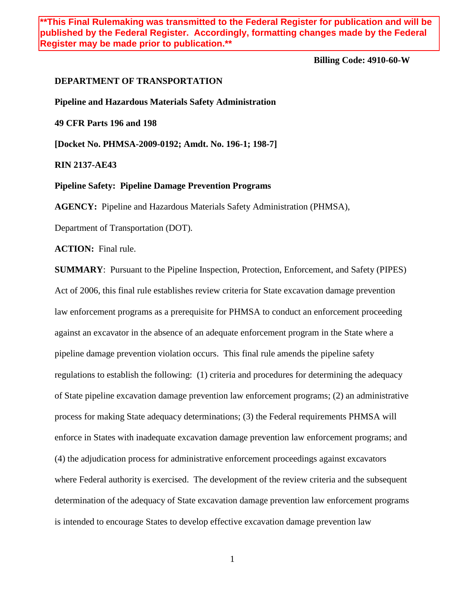**\*\*This Final Rulemaking was transmitted to the Federal Register for publication and will be published by the Federal Register. Accordingly, formatting changes made by the Federal Register may be made prior to publication.\*\***

**Billing Code: 4910-60-W**

### **DEPARTMENT OF TRANSPORTATION**

**Pipeline and Hazardous Materials Safety Administration**

**49 CFR Parts 196 and 198**

**[Docket No. PHMSA-2009-0192; Amdt. No. 196-1; 198-7]**

**RIN 2137-AE43**

**Pipeline Safety: Pipeline Damage Prevention Programs**

**AGENCY:** Pipeline and Hazardous Materials Safety Administration (PHMSA),

Department of Transportation (DOT).

**ACTION:** Final rule.

**SUMMARY**: Pursuant to the Pipeline Inspection, Protection, Enforcement, and Safety (PIPES) Act of 2006, this final rule establishes review criteria for State excavation damage prevention law enforcement programs as a prerequisite for PHMSA to conduct an enforcement proceeding against an excavator in the absence of an adequate enforcement program in the State where a pipeline damage prevention violation occurs. This final rule amends the pipeline safety regulations to establish the following: (1) criteria and procedures for determining the adequacy of State pipeline excavation damage prevention law enforcement programs; (2) an administrative process for making State adequacy determinations; (3) the Federal requirements PHMSA will enforce in States with inadequate excavation damage prevention law enforcement programs; and (4) the adjudication process for administrative enforcement proceedings against excavators where Federal authority is exercised. The development of the review criteria and the subsequent determination of the adequacy of State excavation damage prevention law enforcement programs is intended to encourage States to develop effective excavation damage prevention law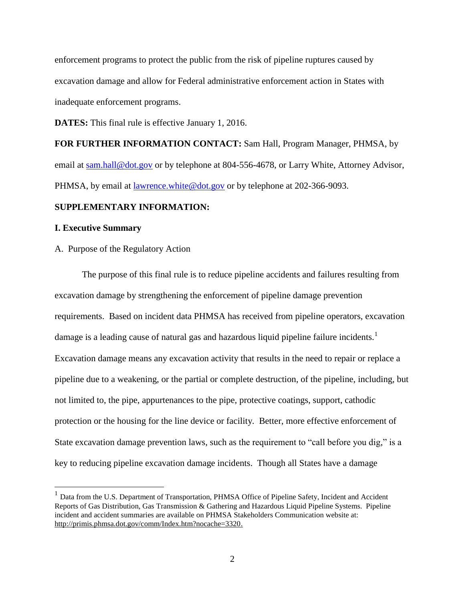enforcement programs to protect the public from the risk of pipeline ruptures caused by excavation damage and allow for Federal administrative enforcement action in States with inadequate enforcement programs.

**DATES:** This final rule is effective January 1, 2016.

**FOR FURTHER INFORMATION CONTACT:** Sam Hall, Program Manager, PHMSA, by email at [sam.hall@dot.gov](mailto:sam.hall@dot.gov) or by telephone at 804-556-4678, or Larry White, Attorney Advisor, PHMSA, by email at <u>lawrence.white@dot.gov</u> or by telephone at 202-366-9093.

# **SUPPLEMENTARY INFORMATION:**

# **I. Executive Summary**

 $\overline{a}$ 

A. Purpose of the Regulatory Action

The purpose of this final rule is to reduce pipeline accidents and failures resulting from excavation damage by strengthening the enforcement of pipeline damage prevention requirements. Based on incident data PHMSA has received from pipeline operators, excavation damage is a leading cause of natural gas and hazardous liquid pipeline failure incidents.<sup>1</sup> Excavation damage means any excavation activity that results in the need to repair or replace a pipeline due to a weakening, or the partial or complete destruction, of the pipeline, including, but not limited to, the pipe, appurtenances to the pipe, protective coatings, support, cathodic protection or the housing for the line device or facility. Better, more effective enforcement of State excavation damage prevention laws, such as the requirement to "call before you dig," is a key to reducing pipeline excavation damage incidents. Though all States have a damage

<sup>&</sup>lt;sup>1</sup> Data from the U.S. Department of Transportation, PHMSA Office of Pipeline Safety, Incident and Accident Reports of Gas Distribution, Gas Transmission & Gathering and Hazardous Liquid Pipeline Systems. Pipeline incident and accident summaries are available on PHMSA Stakeholders Communication website at: [http://primis.phmsa.dot.gov/comm/Index.htm?nocache=3320.](http://primis.phmsa.dot.gov/comm/Index.htm?nocache=3320)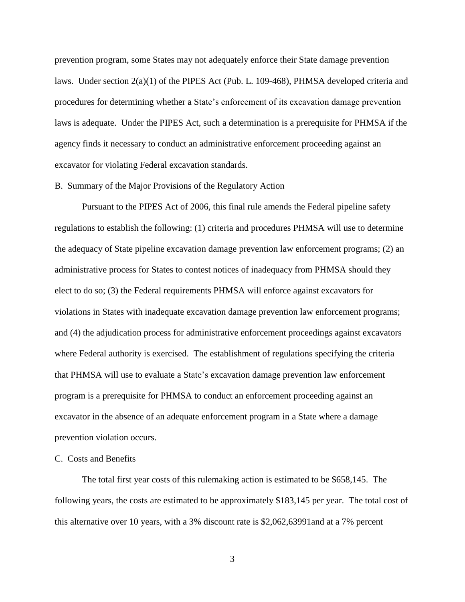prevention program, some States may not adequately enforce their State damage prevention laws. Under section 2(a)(1) of the PIPES Act (Pub. L. 109-468), PHMSA developed criteria and procedures for determining whether a State's enforcement of its excavation damage prevention laws is adequate. Under the PIPES Act, such a determination is a prerequisite for PHMSA if the agency finds it necessary to conduct an administrative enforcement proceeding against an excavator for violating Federal excavation standards.

# B. Summary of the Major Provisions of the Regulatory Action

Pursuant to the PIPES Act of 2006, this final rule amends the Federal pipeline safety regulations to establish the following: (1) criteria and procedures PHMSA will use to determine the adequacy of State pipeline excavation damage prevention law enforcement programs; (2) an administrative process for States to contest notices of inadequacy from PHMSA should they elect to do so; (3) the Federal requirements PHMSA will enforce against excavators for violations in States with inadequate excavation damage prevention law enforcement programs; and (4) the adjudication process for administrative enforcement proceedings against excavators where Federal authority is exercised. The establishment of regulations specifying the criteria that PHMSA will use to evaluate a State's excavation damage prevention law enforcement program is a prerequisite for PHMSA to conduct an enforcement proceeding against an excavator in the absence of an adequate enforcement program in a State where a damage prevention violation occurs.

## C. Costs and Benefits

The total first year costs of this rulemaking action is estimated to be \$658,145. The following years, the costs are estimated to be approximately \$183,145 per year. The total cost of this alternative over 10 years, with a 3% discount rate is \$2,062,63991and at a 7% percent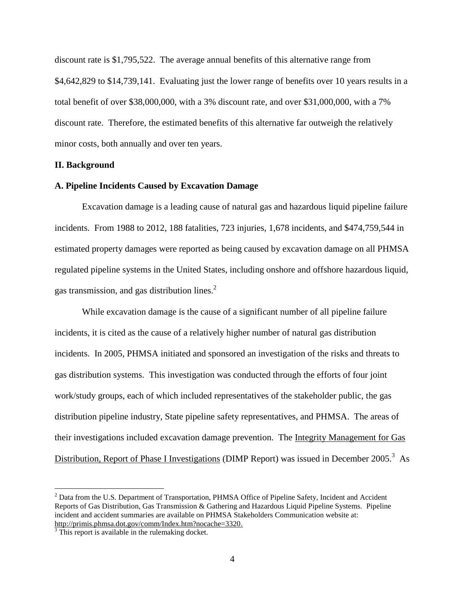discount rate is \$1,795,522. The average annual benefits of this alternative range from \$4,642,829 to \$14,739,141. Evaluating just the lower range of benefits over 10 years results in a total benefit of over \$38,000,000, with a 3% discount rate, and over \$31,000,000, with a 7% discount rate. Therefore, the estimated benefits of this alternative far outweigh the relatively minor costs, both annually and over ten years.

# **II. Background**

## **A. Pipeline Incidents Caused by Excavation Damage**

Excavation damage is a leading cause of natural gas and hazardous liquid pipeline failure incidents. From 1988 to 2012, 188 fatalities, 723 injuries, 1,678 incidents, and \$474,759,544 in estimated property damages were reported as being caused by excavation damage on all PHMSA regulated pipeline systems in the United States, including onshore and offshore hazardous liquid, gas transmission, and gas distribution lines.<sup>2</sup>

While excavation damage is the cause of a significant number of all pipeline failure incidents, it is cited as the cause of a relatively higher number of natural gas distribution incidents. In 2005, PHMSA initiated and sponsored an investigation of the risks and threats to gas distribution systems. This investigation was conducted through the efforts of four joint work/study groups, each of which included representatives of the stakeholder public, the gas distribution pipeline industry, State pipeline safety representatives, and PHMSA. The areas of their investigations included excavation damage prevention. The Integrity Management for Gas Distribution, Report of Phase I Investigations (DIMP Report) was issued in December 2005.<sup>3</sup> As

 $\overline{a}$ 

<sup>&</sup>lt;sup>2</sup> Data from the U.S. Department of Transportation, PHMSA Office of Pipeline Safety, Incident and Accident Reports of Gas Distribution, Gas Transmission & Gathering and Hazardous Liquid Pipeline Systems. Pipeline incident and accident summaries are available on PHMSA Stakeholders Communication website at: [http://primis.phmsa.dot.gov/comm/Index.htm?nocache=3320.](http://primis.phmsa.dot.gov/comm/Index.htm?nocache=3320)

 $3$  This report is available in the rulemaking docket.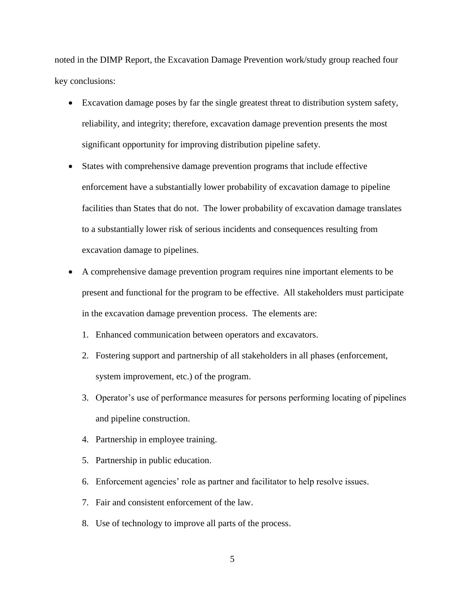noted in the DIMP Report, the Excavation Damage Prevention work/study group reached four key conclusions:

- Excavation damage poses by far the single greatest threat to distribution system safety, reliability, and integrity; therefore, excavation damage prevention presents the most significant opportunity for improving distribution pipeline safety.
- States with comprehensive damage prevention programs that include effective enforcement have a substantially lower probability of excavation damage to pipeline facilities than States that do not. The lower probability of excavation damage translates to a substantially lower risk of serious incidents and consequences resulting from excavation damage to pipelines.
- A comprehensive damage prevention program requires nine important elements to be present and functional for the program to be effective. All stakeholders must participate in the excavation damage prevention process. The elements are:
	- 1. Enhanced communication between operators and excavators.
	- 2. Fostering support and partnership of all stakeholders in all phases (enforcement, system improvement, etc.) of the program.
	- 3. Operator's use of performance measures for persons performing locating of pipelines and pipeline construction.
	- 4. Partnership in employee training.
	- 5. Partnership in public education.
	- 6. Enforcement agencies' role as partner and facilitator to help resolve issues.
	- 7. Fair and consistent enforcement of the law.
	- 8. Use of technology to improve all parts of the process.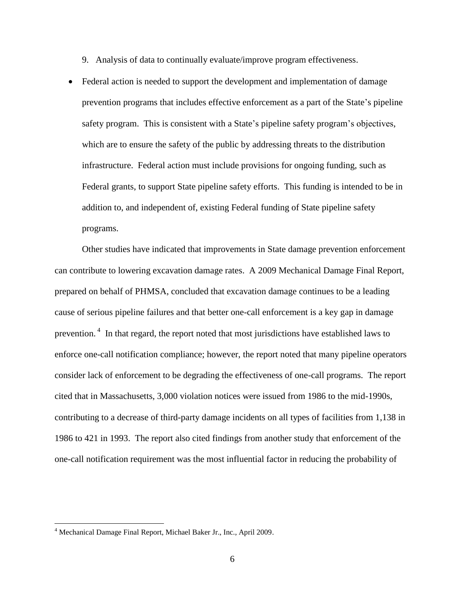- 9. Analysis of data to continually evaluate/improve program effectiveness.
- Federal action is needed to support the development and implementation of damage prevention programs that includes effective enforcement as a part of the State's pipeline safety program. This is consistent with a State's pipeline safety program's objectives, which are to ensure the safety of the public by addressing threats to the distribution infrastructure. Federal action must include provisions for ongoing funding, such as Federal grants, to support State pipeline safety efforts. This funding is intended to be in addition to, and independent of, existing Federal funding of State pipeline safety programs.

Other studies have indicated that improvements in State damage prevention enforcement can contribute to lowering excavation damage rates. A 2009 Mechanical Damage Final Report, prepared on behalf of PHMSA, concluded that excavation damage continues to be a leading cause of serious pipeline failures and that better one-call enforcement is a key gap in damage prevention.<sup>4</sup> In that regard, the report noted that most jurisdictions have established laws to enforce one-call notification compliance; however, the report noted that many pipeline operators consider lack of enforcement to be degrading the effectiveness of one-call programs. The report cited that in Massachusetts, 3,000 violation notices were issued from 1986 to the mid-1990s, contributing to a decrease of third-party damage incidents on all types of facilities from 1,138 in 1986 to 421 in 1993. The report also cited findings from another study that enforcement of the one-call notification requirement was the most influential factor in reducing the probability of

 $\overline{a}$ 

<sup>4</sup> Mechanical Damage Final Report, Michael Baker Jr., Inc., April 2009.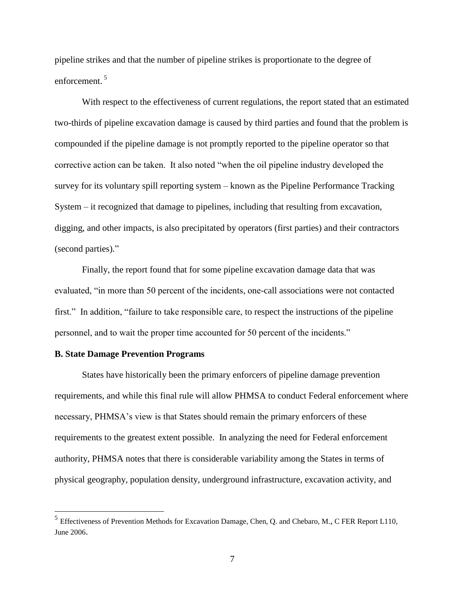pipeline strikes and that the number of pipeline strikes is proportionate to the degree of enforcement. <sup>5</sup>

With respect to the effectiveness of current regulations, the report stated that an estimated two-thirds of pipeline excavation damage is caused by third parties and found that the problem is compounded if the pipeline damage is not promptly reported to the pipeline operator so that corrective action can be taken. It also noted "when the oil pipeline industry developed the survey for its voluntary spill reporting system – known as the Pipeline Performance Tracking System – it recognized that damage to pipelines, including that resulting from excavation, digging, and other impacts, is also precipitated by operators (first parties) and their contractors (second parties)."

Finally, the report found that for some pipeline excavation damage data that was evaluated, "in more than 50 percent of the incidents, one-call associations were not contacted first." In addition, "failure to take responsible care, to respect the instructions of the pipeline personnel, and to wait the proper time accounted for 50 percent of the incidents."

## **B. State Damage Prevention Programs**

States have historically been the primary enforcers of pipeline damage prevention requirements, and while this final rule will allow PHMSA to conduct Federal enforcement where necessary, PHMSA's view is that States should remain the primary enforcers of these requirements to the greatest extent possible. In analyzing the need for Federal enforcement authority, PHMSA notes that there is considerable variability among the States in terms of physical geography, population density, underground infrastructure, excavation activity, and

<sup>&</sup>lt;sup>5</sup><br><sup>5</sup> Effectiveness of Prevention Methods for Excavation Damage, Chen, Q. and Chebaro, M., C FER Report L110, June 2006.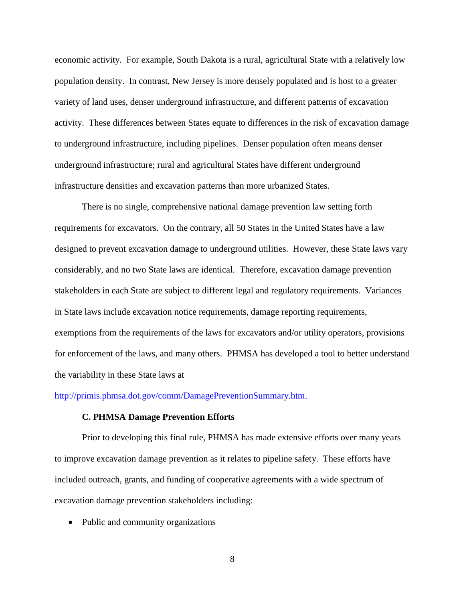economic activity. For example, South Dakota is a rural, agricultural State with a relatively low population density. In contrast, New Jersey is more densely populated and is host to a greater variety of land uses, denser underground infrastructure, and different patterns of excavation activity. These differences between States equate to differences in the risk of excavation damage to underground infrastructure, including pipelines. Denser population often means denser underground infrastructure; rural and agricultural States have different underground infrastructure densities and excavation patterns than more urbanized States.

There is no single, comprehensive national damage prevention law setting forth requirements for excavators. On the contrary, all 50 States in the United States have a law designed to prevent excavation damage to underground utilities. However, these State laws vary considerably, and no two State laws are identical. Therefore, excavation damage prevention stakeholders in each State are subject to different legal and regulatory requirements. Variances in State laws include excavation notice requirements, damage reporting requirements, exemptions from the requirements of the laws for excavators and/or utility operators, provisions for enforcement of the laws, and many others. PHMSA has developed a tool to better understand the variability in these State laws at

#### [http://primis.phmsa.dot.gov/comm/DamagePreventionSummary.htm.](http://primis.phmsa.dot.gov/comm/DamagePreventionSummary.htm)

#### **C. PHMSA Damage Prevention Efforts**

Prior to developing this final rule, PHMSA has made extensive efforts over many years to improve excavation damage prevention as it relates to pipeline safety. These efforts have included outreach, grants, and funding of cooperative agreements with a wide spectrum of excavation damage prevention stakeholders including:

• Public and community organizations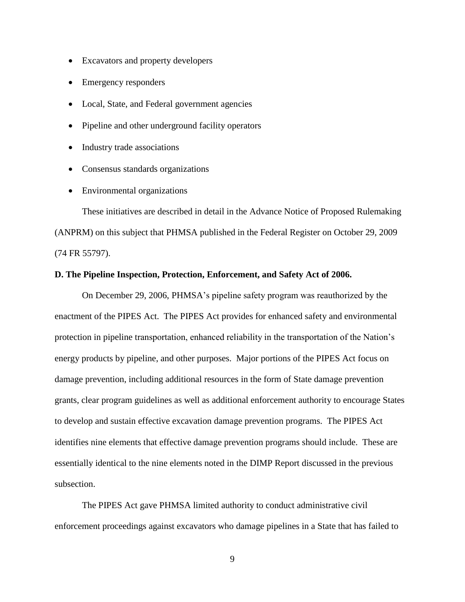- Excavators and property developers
- Emergency responders
- Local, State, and Federal government agencies
- Pipeline and other underground facility operators
- Industry trade associations
- Consensus standards organizations
- Environmental organizations

These initiatives are described in detail in the Advance Notice of Proposed Rulemaking (ANPRM) on this subject that PHMSA published in the Federal Register on October 29, 2009 (74 FR 55797).

# **D. The Pipeline Inspection, Protection, Enforcement, and Safety Act of 2006.**

On December 29, 2006, PHMSA's pipeline safety program was reauthorized by the enactment of the PIPES Act. The PIPES Act provides for enhanced safety and environmental protection in pipeline transportation, enhanced reliability in the transportation of the Nation's energy products by pipeline, and other purposes. Major portions of the PIPES Act focus on damage prevention, including additional resources in the form of State damage prevention grants, clear program guidelines as well as additional enforcement authority to encourage States to develop and sustain effective excavation damage prevention programs. The PIPES Act identifies nine elements that effective damage prevention programs should include. These are essentially identical to the nine elements noted in the DIMP Report discussed in the previous subsection.

The PIPES Act gave PHMSA limited authority to conduct administrative civil enforcement proceedings against excavators who damage pipelines in a State that has failed to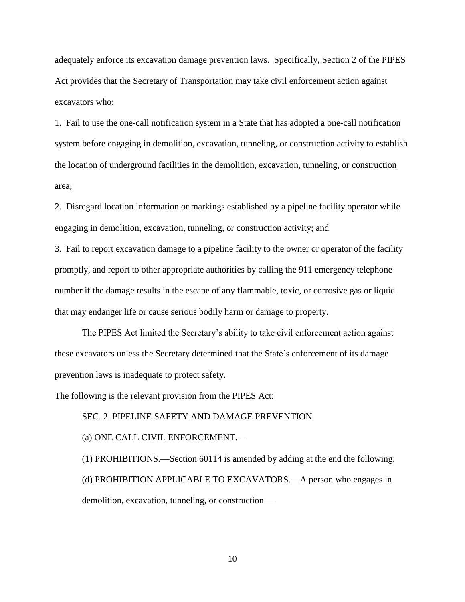adequately enforce its excavation damage prevention laws. Specifically, Section 2 of the PIPES Act provides that the Secretary of Transportation may take civil enforcement action against excavators who:

1. Fail to use the one-call notification system in a State that has adopted a one-call notification system before engaging in demolition, excavation, tunneling, or construction activity to establish the location of underground facilities in the demolition, excavation, tunneling, or construction area;

2. Disregard location information or markings established by a pipeline facility operator while engaging in demolition, excavation, tunneling, or construction activity; and

3. Fail to report excavation damage to a pipeline facility to the owner or operator of the facility promptly, and report to other appropriate authorities by calling the 911 emergency telephone number if the damage results in the escape of any flammable, toxic, or corrosive gas or liquid that may endanger life or cause serious bodily harm or damage to property.

The PIPES Act limited the Secretary's ability to take civil enforcement action against these excavators unless the Secretary determined that the State's enforcement of its damage prevention laws is inadequate to protect safety.

The following is the relevant provision from the PIPES Act:

SEC. 2. PIPELINE SAFETY AND DAMAGE PREVENTION.

(a) ONE CALL CIVIL ENFORCEMENT.—

(1) PROHIBITIONS.—Section 60114 is amended by adding at the end the following: (d) PROHIBITION APPLICABLE TO EXCAVATORS.—A person who engages in demolition, excavation, tunneling, or construction—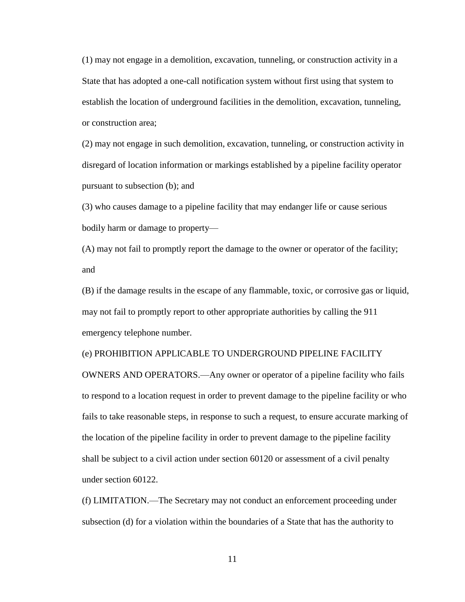(1) may not engage in a demolition, excavation, tunneling, or construction activity in a State that has adopted a one-call notification system without first using that system to establish the location of underground facilities in the demolition, excavation, tunneling, or construction area;

(2) may not engage in such demolition, excavation, tunneling, or construction activity in disregard of location information or markings established by a pipeline facility operator pursuant to subsection (b); and

(3) who causes damage to a pipeline facility that may endanger life or cause serious bodily harm or damage to property—

(A) may not fail to promptly report the damage to the owner or operator of the facility; and

(B) if the damage results in the escape of any flammable, toxic, or corrosive gas or liquid, may not fail to promptly report to other appropriate authorities by calling the 911 emergency telephone number.

## (e) PROHIBITION APPLICABLE TO UNDERGROUND PIPELINE FACILITY

OWNERS AND OPERATORS.—Any owner or operator of a pipeline facility who fails to respond to a location request in order to prevent damage to the pipeline facility or who fails to take reasonable steps, in response to such a request, to ensure accurate marking of the location of the pipeline facility in order to prevent damage to the pipeline facility shall be subject to a civil action under section 60120 or assessment of a civil penalty under section 60122.

(f) LIMITATION.—The Secretary may not conduct an enforcement proceeding under subsection (d) for a violation within the boundaries of a State that has the authority to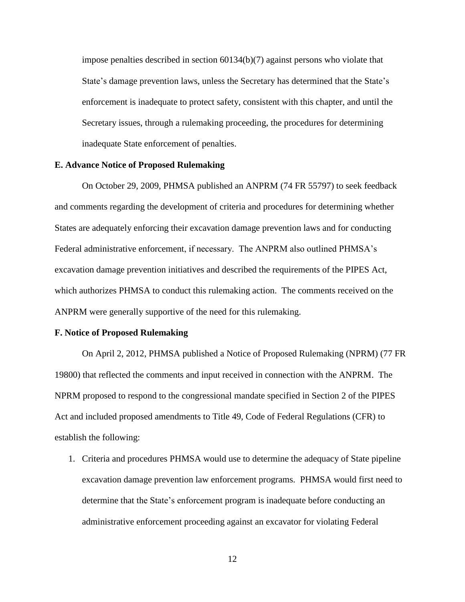impose penalties described in section 60134(b)(7) against persons who violate that State's damage prevention laws, unless the Secretary has determined that the State's enforcement is inadequate to protect safety, consistent with this chapter, and until the Secretary issues, through a rulemaking proceeding, the procedures for determining inadequate State enforcement of penalties.

## **E. Advance Notice of Proposed Rulemaking**

On October 29, 2009, PHMSA published an ANPRM (74 FR 55797) to seek feedback and comments regarding the development of criteria and procedures for determining whether States are adequately enforcing their excavation damage prevention laws and for conducting Federal administrative enforcement, if necessary. The ANPRM also outlined PHMSA's excavation damage prevention initiatives and described the requirements of the PIPES Act, which authorizes PHMSA to conduct this rulemaking action. The comments received on the ANPRM were generally supportive of the need for this rulemaking.

## **F. Notice of Proposed Rulemaking**

On April 2, 2012, PHMSA published a Notice of Proposed Rulemaking (NPRM) (77 FR 19800) that reflected the comments and input received in connection with the ANPRM. The NPRM proposed to respond to the congressional mandate specified in Section 2 of the PIPES Act and included proposed amendments to Title 49, Code of Federal Regulations (CFR) to establish the following:

1. Criteria and procedures PHMSA would use to determine the adequacy of State pipeline excavation damage prevention law enforcement programs. PHMSA would first need to determine that the State's enforcement program is inadequate before conducting an administrative enforcement proceeding against an excavator for violating Federal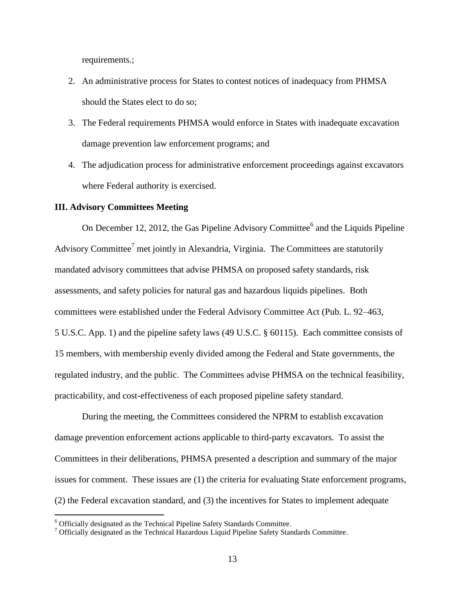requirements.;

- 2. An administrative process for States to contest notices of inadequacy from PHMSA should the States elect to do so;
- 3. The Federal requirements PHMSA would enforce in States with inadequate excavation damage prevention law enforcement programs; and
- 4. The adjudication process for administrative enforcement proceedings against excavators where Federal authority is exercised.

#### **III. Advisory Committees Meeting**

On December 12, 2012, the Gas Pipeline Advisory Committee<sup>6</sup> and the Liquids Pipeline Advisory Committee<sup>7</sup> met jointly in Alexandria, Virginia. The Committees are statutorily mandated advisory committees that advise PHMSA on proposed safety standards, risk assessments, and safety policies for natural gas and hazardous liquids pipelines. Both committees were established under the Federal Advisory Committee Act (Pub. L. 92–463, 5 U.S.C. App. 1) and the pipeline safety laws (49 U.S.C. § 60115). Each committee consists of 15 members, with membership evenly divided among the Federal and State governments, the regulated industry, and the public. The Committees advise PHMSA on the technical feasibility, practicability, and cost-effectiveness of each proposed pipeline safety standard.

During the meeting, the Committees considered the NPRM to establish excavation damage prevention enforcement actions applicable to third-party excavators. To assist the Committees in their deliberations, PHMSA presented a description and summary of the major issues for comment. These issues are (1) the criteria for evaluating State enforcement programs, (2) the Federal excavation standard, and (3) the incentives for States to implement adequate

 $\overline{a}$ 

<sup>6</sup> Officially designated as the Technical Pipeline Safety Standards Committee.

 $<sup>7</sup>$  Officially designated as the Technical Hazardous Liquid Pipeline Safety Standards Committee.</sup>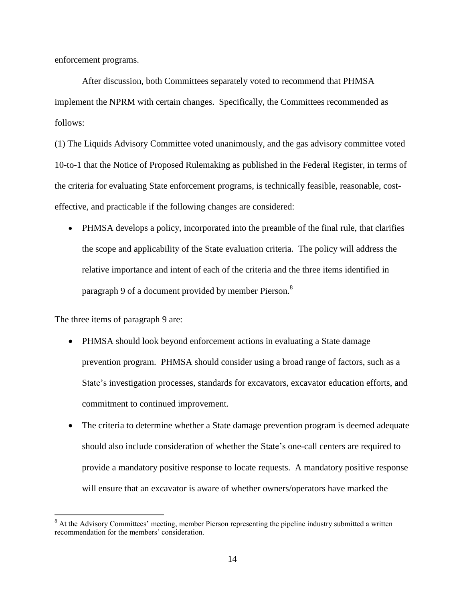enforcement programs.

After discussion, both Committees separately voted to recommend that PHMSA implement the NPRM with certain changes. Specifically, the Committees recommended as follows:

(1) The Liquids Advisory Committee voted unanimously, and the gas advisory committee voted 10-to-1 that the Notice of Proposed Rulemaking as published in the Federal Register, in terms of the criteria for evaluating State enforcement programs, is technically feasible, reasonable, costeffective, and practicable if the following changes are considered:

 PHMSA develops a policy, incorporated into the preamble of the final rule, that clarifies the scope and applicability of the State evaluation criteria. The policy will address the relative importance and intent of each of the criteria and the three items identified in paragraph 9 of a document provided by member Pierson.<sup>8</sup>

The three items of paragraph 9 are:

 $\overline{a}$ 

- PHMSA should look beyond enforcement actions in evaluating a State damage prevention program. PHMSA should consider using a broad range of factors, such as a State's investigation processes, standards for excavators, excavator education efforts, and commitment to continued improvement.
- The criteria to determine whether a State damage prevention program is deemed adequate should also include consideration of whether the State's one-call centers are required to provide a mandatory positive response to locate requests. A mandatory positive response will ensure that an excavator is aware of whether owners/operators have marked the

<sup>&</sup>lt;sup>8</sup> At the Advisory Committees' meeting, member Pierson representing the pipeline industry submitted a written recommendation for the members' consideration.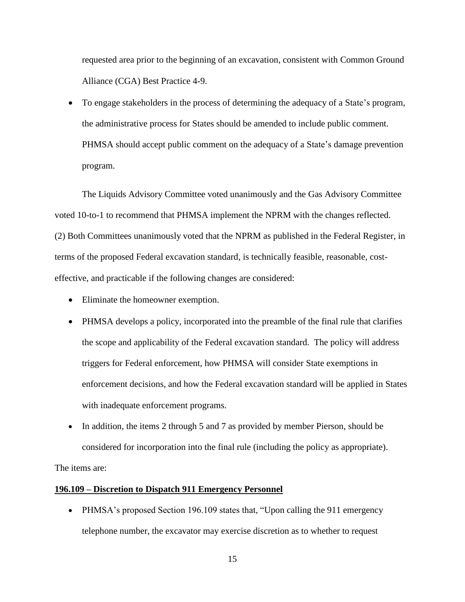requested area prior to the beginning of an excavation, consistent with Common Ground Alliance (CGA) Best Practice 4-9.

• To engage stakeholders in the process of determining the adequacy of a State's program, the administrative process for States should be amended to include public comment. PHMSA should accept public comment on the adequacy of a State's damage prevention program.

The Liquids Advisory Committee voted unanimously and the Gas Advisory Committee voted 10-to-1 to recommend that PHMSA implement the NPRM with the changes reflected. (2) Both Committees unanimously voted that the NPRM as published in the Federal Register, in terms of the proposed Federal excavation standard, is technically feasible, reasonable, costeffective, and practicable if the following changes are considered:

- Eliminate the homeowner exemption.
- PHMSA develops a policy, incorporated into the preamble of the final rule that clarifies the scope and applicability of the Federal excavation standard. The policy will address triggers for Federal enforcement, how PHMSA will consider State exemptions in enforcement decisions, and how the Federal excavation standard will be applied in States with inadequate enforcement programs.
- In addition, the items 2 through 5 and 7 as provided by member Pierson, should be considered for incorporation into the final rule (including the policy as appropriate).

The items are:

### **196.109 – Discretion to Dispatch 911 Emergency Personnel**

• PHMSA's proposed Section 196.109 states that, "Upon calling the 911 emergency telephone number, the excavator may exercise discretion as to whether to request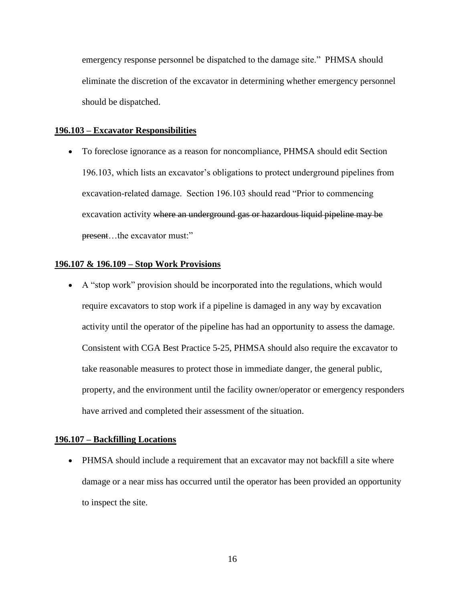emergency response personnel be dispatched to the damage site." PHMSA should eliminate the discretion of the excavator in determining whether emergency personnel should be dispatched.

#### **196.103 – Excavator Responsibilities**

 To foreclose ignorance as a reason for noncompliance, PHMSA should edit Section 196.103, which lists an excavator's obligations to protect underground pipelines from excavation-related damage. Section 196.103 should read "Prior to commencing excavation activity where an underground gas or hazardous liquid pipeline may be present...the excavator must:"

### **196.107 & 196.109 – Stop Work Provisions**

 A "stop work" provision should be incorporated into the regulations, which would require excavators to stop work if a pipeline is damaged in any way by excavation activity until the operator of the pipeline has had an opportunity to assess the damage. Consistent with CGA Best Practice 5-25, PHMSA should also require the excavator to take reasonable measures to protect those in immediate danger, the general public, property, and the environment until the facility owner/operator or emergency responders have arrived and completed their assessment of the situation.

## **196.107 – Backfilling Locations**

• PHMSA should include a requirement that an excavator may not backfill a site where damage or a near miss has occurred until the operator has been provided an opportunity to inspect the site.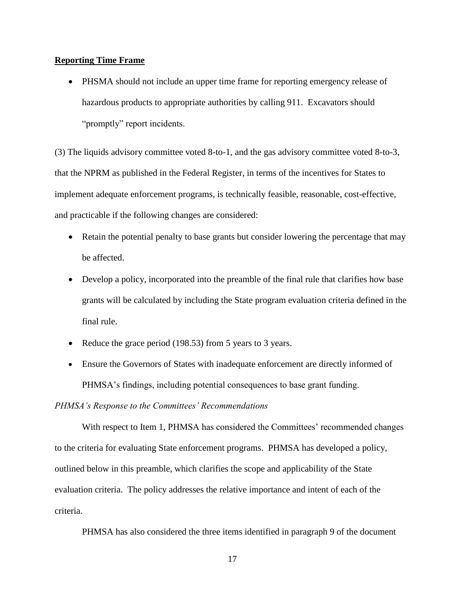# **Reporting Time Frame**

 PHSMA should not include an upper time frame for reporting emergency release of hazardous products to appropriate authorities by calling 911. Excavators should "promptly" report incidents.

(3) The liquids advisory committee voted 8-to-1, and the gas advisory committee voted 8-to-3, that the NPRM as published in the Federal Register, in terms of the incentives for States to implement adequate enforcement programs, is technically feasible, reasonable, cost-effective, and practicable if the following changes are considered:

- Retain the potential penalty to base grants but consider lowering the percentage that may be affected.
- Develop a policy, incorporated into the preamble of the final rule that clarifies how base grants will be calculated by including the State program evaluation criteria defined in the final rule.
- Reduce the grace period (198.53) from 5 years to 3 years.
- Ensure the Governors of States with inadequate enforcement are directly informed of PHMSA's findings, including potential consequences to base grant funding.

# *PHMSA's Response to the Committees' Recommendations*

With respect to Item 1, PHMSA has considered the Committees' recommended changes to the criteria for evaluating State enforcement programs. PHMSA has developed a policy, outlined below in this preamble, which clarifies the scope and applicability of the State evaluation criteria. The policy addresses the relative importance and intent of each of the criteria.

PHMSA has also considered the three items identified in paragraph 9 of the document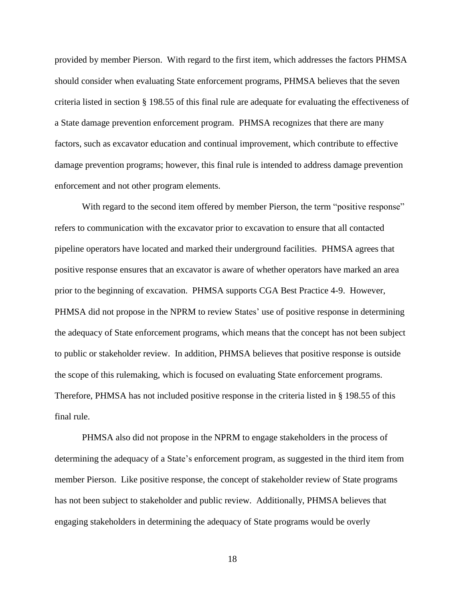provided by member Pierson. With regard to the first item, which addresses the factors PHMSA should consider when evaluating State enforcement programs, PHMSA believes that the seven criteria listed in section § 198.55 of this final rule are adequate for evaluating the effectiveness of a State damage prevention enforcement program. PHMSA recognizes that there are many factors, such as excavator education and continual improvement, which contribute to effective damage prevention programs; however, this final rule is intended to address damage prevention enforcement and not other program elements.

With regard to the second item offered by member Pierson, the term "positive response" refers to communication with the excavator prior to excavation to ensure that all contacted pipeline operators have located and marked their underground facilities. PHMSA agrees that positive response ensures that an excavator is aware of whether operators have marked an area prior to the beginning of excavation. PHMSA supports CGA Best Practice 4-9. However, PHMSA did not propose in the NPRM to review States' use of positive response in determining the adequacy of State enforcement programs, which means that the concept has not been subject to public or stakeholder review. In addition, PHMSA believes that positive response is outside the scope of this rulemaking, which is focused on evaluating State enforcement programs. Therefore, PHMSA has not included positive response in the criteria listed in § 198.55 of this final rule.

PHMSA also did not propose in the NPRM to engage stakeholders in the process of determining the adequacy of a State's enforcement program, as suggested in the third item from member Pierson. Like positive response, the concept of stakeholder review of State programs has not been subject to stakeholder and public review. Additionally, PHMSA believes that engaging stakeholders in determining the adequacy of State programs would be overly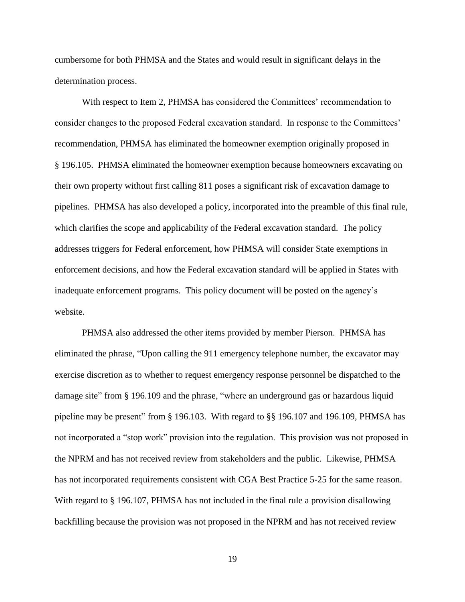cumbersome for both PHMSA and the States and would result in significant delays in the determination process.

With respect to Item 2, PHMSA has considered the Committees' recommendation to consider changes to the proposed Federal excavation standard. In response to the Committees' recommendation, PHMSA has eliminated the homeowner exemption originally proposed in § 196.105. PHMSA eliminated the homeowner exemption because homeowners excavating on their own property without first calling 811 poses a significant risk of excavation damage to pipelines. PHMSA has also developed a policy, incorporated into the preamble of this final rule, which clarifies the scope and applicability of the Federal excavation standard. The policy addresses triggers for Federal enforcement, how PHMSA will consider State exemptions in enforcement decisions, and how the Federal excavation standard will be applied in States with inadequate enforcement programs. This policy document will be posted on the agency's website.

PHMSA also addressed the other items provided by member Pierson. PHMSA has eliminated the phrase, "Upon calling the 911 emergency telephone number, the excavator may exercise discretion as to whether to request emergency response personnel be dispatched to the damage site" from § 196.109 and the phrase, "where an underground gas or hazardous liquid pipeline may be present" from § 196.103. With regard to §§ 196.107 and 196.109, PHMSA has not incorporated a "stop work" provision into the regulation. This provision was not proposed in the NPRM and has not received review from stakeholders and the public. Likewise, PHMSA has not incorporated requirements consistent with CGA Best Practice 5-25 for the same reason. With regard to § 196.107, PHMSA has not included in the final rule a provision disallowing backfilling because the provision was not proposed in the NPRM and has not received review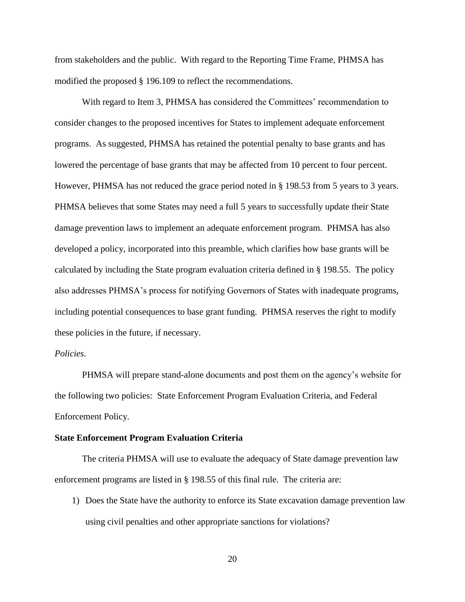from stakeholders and the public. With regard to the Reporting Time Frame, PHMSA has modified the proposed § 196.109 to reflect the recommendations.

With regard to Item 3, PHMSA has considered the Committees' recommendation to consider changes to the proposed incentives for States to implement adequate enforcement programs. As suggested, PHMSA has retained the potential penalty to base grants and has lowered the percentage of base grants that may be affected from 10 percent to four percent. However, PHMSA has not reduced the grace period noted in § 198.53 from 5 years to 3 years. PHMSA believes that some States may need a full 5 years to successfully update their State damage prevention laws to implement an adequate enforcement program. PHMSA has also developed a policy, incorporated into this preamble, which clarifies how base grants will be calculated by including the State program evaluation criteria defined in § 198.55. The policy also addresses PHMSA's process for notifying Governors of States with inadequate programs, including potential consequences to base grant funding. PHMSA reserves the right to modify these policies in the future, if necessary.

# *Policies.*

PHMSA will prepare stand-alone documents and post them on the agency's website for the following two policies: State Enforcement Program Evaluation Criteria, and Federal Enforcement Policy.

#### **State Enforcement Program Evaluation Criteria**

The criteria PHMSA will use to evaluate the adequacy of State damage prevention law enforcement programs are listed in § 198.55 of this final rule. The criteria are:

1) Does the State have the authority to enforce its State excavation damage prevention law using civil penalties and other appropriate sanctions for violations?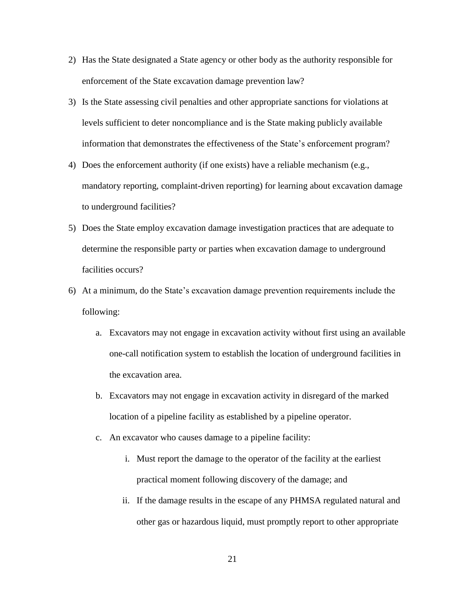- 2) Has the State designated a State agency or other body as the authority responsible for enforcement of the State excavation damage prevention law?
- 3) Is the State assessing civil penalties and other appropriate sanctions for violations at levels sufficient to deter noncompliance and is the State making publicly available information that demonstrates the effectiveness of the State's enforcement program?
- 4) Does the enforcement authority (if one exists) have a reliable mechanism (e.g., mandatory reporting, complaint-driven reporting) for learning about excavation damage to underground facilities?
- 5) Does the State employ excavation damage investigation practices that are adequate to determine the responsible party or parties when excavation damage to underground facilities occurs?
- 6) At a minimum, do the State's excavation damage prevention requirements include the following:
	- a. Excavators may not engage in excavation activity without first using an available one-call notification system to establish the location of underground facilities in the excavation area.
	- b. Excavators may not engage in excavation activity in disregard of the marked location of a pipeline facility as established by a pipeline operator.
	- c. An excavator who causes damage to a pipeline facility:
		- i. Must report the damage to the operator of the facility at the earliest practical moment following discovery of the damage; and
		- ii. If the damage results in the escape of any PHMSA regulated natural and other gas or hazardous liquid, must promptly report to other appropriate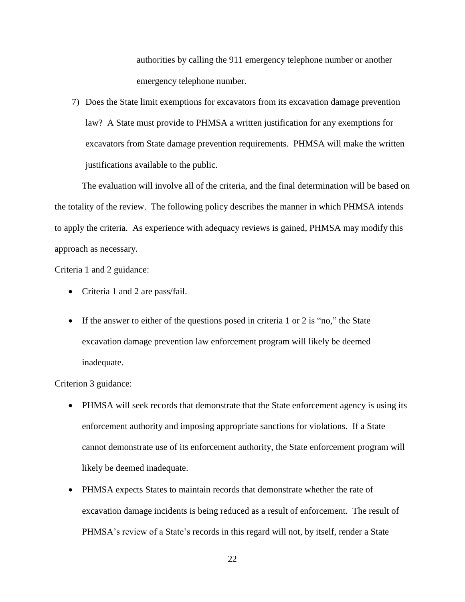authorities by calling the 911 emergency telephone number or another emergency telephone number.

7) Does the State limit exemptions for excavators from its excavation damage prevention law? A State must provide to PHMSA a written justification for any exemptions for excavators from State damage prevention requirements. PHMSA will make the written justifications available to the public.

The evaluation will involve all of the criteria, and the final determination will be based on the totality of the review. The following policy describes the manner in which PHMSA intends to apply the criteria. As experience with adequacy reviews is gained, PHMSA may modify this approach as necessary.

Criteria 1 and 2 guidance:

- Criteria 1 and 2 are pass/fail.
- If the answer to either of the questions posed in criteria 1 or 2 is "no," the State excavation damage prevention law enforcement program will likely be deemed inadequate.

Criterion 3 guidance:

- PHMSA will seek records that demonstrate that the State enforcement agency is using its enforcement authority and imposing appropriate sanctions for violations. If a State cannot demonstrate use of its enforcement authority, the State enforcement program will likely be deemed inadequate.
- PHMSA expects States to maintain records that demonstrate whether the rate of excavation damage incidents is being reduced as a result of enforcement. The result of PHMSA's review of a State's records in this regard will not, by itself, render a State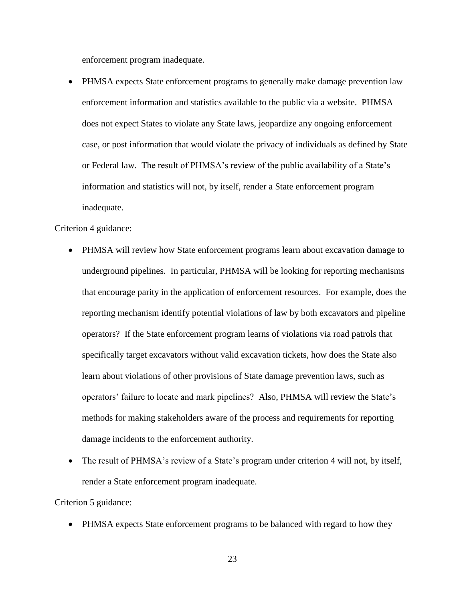enforcement program inadequate.

 PHMSA expects State enforcement programs to generally make damage prevention law enforcement information and statistics available to the public via a website. PHMSA does not expect States to violate any State laws, jeopardize any ongoing enforcement case, or post information that would violate the privacy of individuals as defined by State or Federal law. The result of PHMSA's review of the public availability of a State's information and statistics will not, by itself, render a State enforcement program inadequate.

Criterion 4 guidance:

- PHMSA will review how State enforcement programs learn about excavation damage to underground pipelines. In particular, PHMSA will be looking for reporting mechanisms that encourage parity in the application of enforcement resources. For example, does the reporting mechanism identify potential violations of law by both excavators and pipeline operators? If the State enforcement program learns of violations via road patrols that specifically target excavators without valid excavation tickets, how does the State also learn about violations of other provisions of State damage prevention laws, such as operators' failure to locate and mark pipelines? Also, PHMSA will review the State's methods for making stakeholders aware of the process and requirements for reporting damage incidents to the enforcement authority.
- The result of PHMSA's review of a State's program under criterion 4 will not, by itself, render a State enforcement program inadequate.

Criterion 5 guidance:

- PHMSA expects State enforcement programs to be balanced with regard to how they
	- 23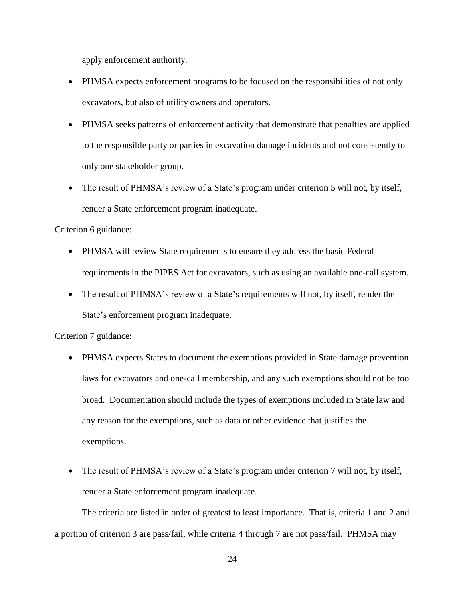apply enforcement authority.

- PHMSA expects enforcement programs to be focused on the responsibilities of not only excavators, but also of utility owners and operators.
- PHMSA seeks patterns of enforcement activity that demonstrate that penalties are applied to the responsible party or parties in excavation damage incidents and not consistently to only one stakeholder group.
- The result of PHMSA's review of a State's program under criterion 5 will not, by itself, render a State enforcement program inadequate.

Criterion 6 guidance:

- PHMSA will review State requirements to ensure they address the basic Federal requirements in the PIPES Act for excavators, such as using an available one-call system.
- The result of PHMSA's review of a State's requirements will not, by itself, render the State's enforcement program inadequate.

Criterion 7 guidance:

- PHMSA expects States to document the exemptions provided in State damage prevention laws for excavators and one-call membership, and any such exemptions should not be too broad. Documentation should include the types of exemptions included in State law and any reason for the exemptions, such as data or other evidence that justifies the exemptions.
- The result of PHMSA's review of a State's program under criterion 7 will not, by itself, render a State enforcement program inadequate.

The criteria are listed in order of greatest to least importance. That is, criteria 1 and 2 and a portion of criterion 3 are pass/fail, while criteria 4 through 7 are not pass/fail. PHMSA may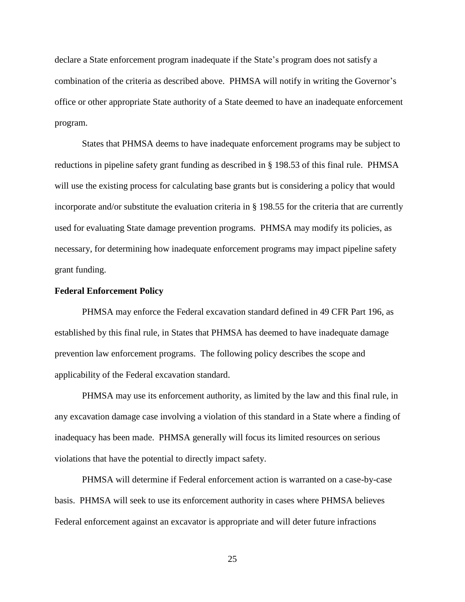declare a State enforcement program inadequate if the State's program does not satisfy a combination of the criteria as described above. PHMSA will notify in writing the Governor's office or other appropriate State authority of a State deemed to have an inadequate enforcement program.

States that PHMSA deems to have inadequate enforcement programs may be subject to reductions in pipeline safety grant funding as described in § 198.53 of this final rule. PHMSA will use the existing process for calculating base grants but is considering a policy that would incorporate and/or substitute the evaluation criteria in § 198.55 for the criteria that are currently used for evaluating State damage prevention programs. PHMSA may modify its policies, as necessary, for determining how inadequate enforcement programs may impact pipeline safety grant funding.

#### **Federal Enforcement Policy**

PHMSA may enforce the Federal excavation standard defined in 49 CFR Part 196, as established by this final rule, in States that PHMSA has deemed to have inadequate damage prevention law enforcement programs. The following policy describes the scope and applicability of the Federal excavation standard.

PHMSA may use its enforcement authority, as limited by the law and this final rule, in any excavation damage case involving a violation of this standard in a State where a finding of inadequacy has been made. PHMSA generally will focus its limited resources on serious violations that have the potential to directly impact safety.

PHMSA will determine if Federal enforcement action is warranted on a case-by-case basis. PHMSA will seek to use its enforcement authority in cases where PHMSA believes Federal enforcement against an excavator is appropriate and will deter future infractions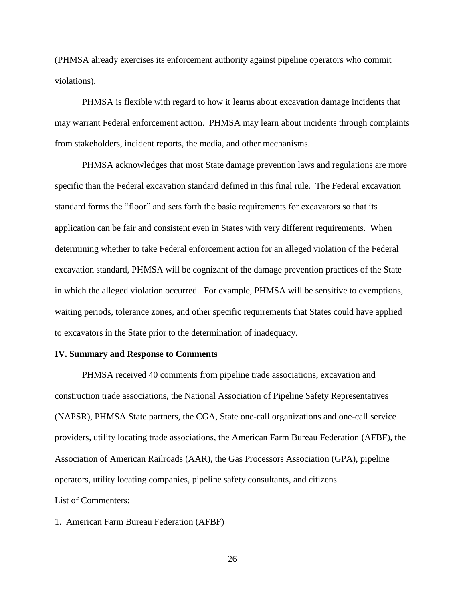(PHMSA already exercises its enforcement authority against pipeline operators who commit violations).

PHMSA is flexible with regard to how it learns about excavation damage incidents that may warrant Federal enforcement action. PHMSA may learn about incidents through complaints from stakeholders, incident reports, the media, and other mechanisms.

PHMSA acknowledges that most State damage prevention laws and regulations are more specific than the Federal excavation standard defined in this final rule. The Federal excavation standard forms the "floor" and sets forth the basic requirements for excavators so that its application can be fair and consistent even in States with very different requirements. When determining whether to take Federal enforcement action for an alleged violation of the Federal excavation standard, PHMSA will be cognizant of the damage prevention practices of the State in which the alleged violation occurred. For example, PHMSA will be sensitive to exemptions, waiting periods, tolerance zones, and other specific requirements that States could have applied to excavators in the State prior to the determination of inadequacy.

## **IV. Summary and Response to Comments**

PHMSA received 40 comments from pipeline trade associations, excavation and construction trade associations, the National Association of Pipeline Safety Representatives (NAPSR), PHMSA State partners, the CGA, State one-call organizations and one-call service providers, utility locating trade associations, the American Farm Bureau Federation (AFBF), the Association of American Railroads (AAR), the Gas Processors Association (GPA), pipeline operators, utility locating companies, pipeline safety consultants, and citizens. List of Commenters:

1. American Farm Bureau Federation (AFBF)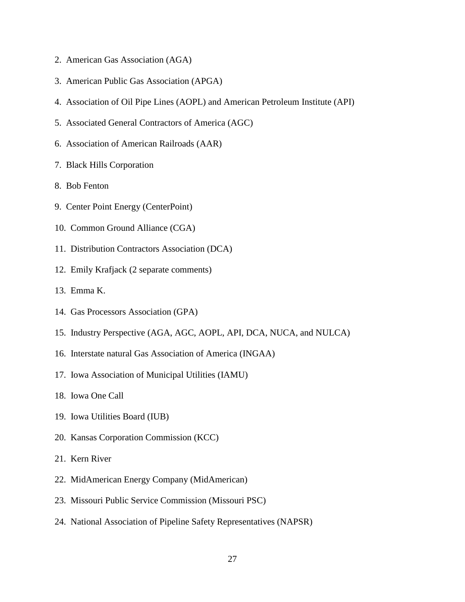- 2. American Gas Association (AGA)
- 3. American Public Gas Association (APGA)
- 4. Association of Oil Pipe Lines (AOPL) and American Petroleum Institute (API)
- 5. Associated General Contractors of America (AGC)
- 6. Association of American Railroads (AAR)
- 7. Black Hills Corporation
- 8. Bob Fenton
- 9. Center Point Energy (CenterPoint)
- 10. Common Ground Alliance (CGA)
- 11. Distribution Contractors Association (DCA)
- 12. Emily Krafjack (2 separate comments)
- 13. Emma K.
- 14. Gas Processors Association (GPA)
- 15. Industry Perspective (AGA, AGC, AOPL, API, DCA, NUCA, and NULCA)
- 16. Interstate natural Gas Association of America (INGAA)
- 17. Iowa Association of Municipal Utilities (IAMU)
- 18. Iowa One Call
- 19. Iowa Utilities Board (IUB)
- 20. Kansas Corporation Commission (KCC)
- 21. Kern River
- 22. MidAmerican Energy Company (MidAmerican)
- 23. Missouri Public Service Commission (Missouri PSC)
- 24. National Association of Pipeline Safety Representatives (NAPSR)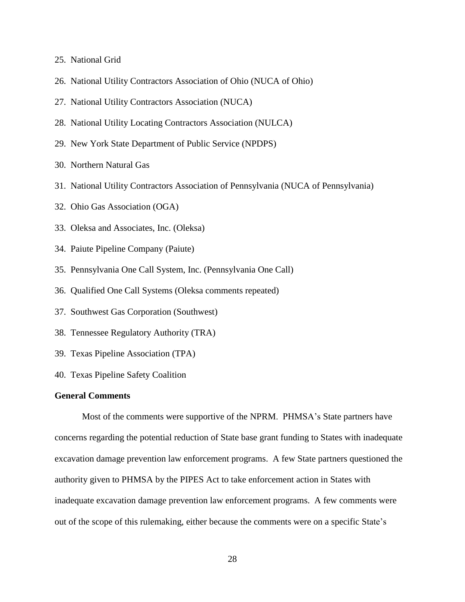- 25. National Grid
- 26. National Utility Contractors Association of Ohio (NUCA of Ohio)
- 27. National Utility Contractors Association (NUCA)
- 28. National Utility Locating Contractors Association (NULCA)
- 29. New York State Department of Public Service (NPDPS)
- 30. Northern Natural Gas
- 31. National Utility Contractors Association of Pennsylvania (NUCA of Pennsylvania)
- 32. Ohio Gas Association (OGA)
- 33. Oleksa and Associates, Inc. (Oleksa)
- 34. Paiute Pipeline Company (Paiute)
- 35. Pennsylvania One Call System, Inc. (Pennsylvania One Call)
- 36. Qualified One Call Systems (Oleksa comments repeated)
- 37. Southwest Gas Corporation (Southwest)
- 38. Tennessee Regulatory Authority (TRA)
- 39. Texas Pipeline Association (TPA)
- 40. Texas Pipeline Safety Coalition

## **General Comments**

Most of the comments were supportive of the NPRM. PHMSA's State partners have concerns regarding the potential reduction of State base grant funding to States with inadequate excavation damage prevention law enforcement programs. A few State partners questioned the authority given to PHMSA by the PIPES Act to take enforcement action in States with inadequate excavation damage prevention law enforcement programs. A few comments were out of the scope of this rulemaking, either because the comments were on a specific State's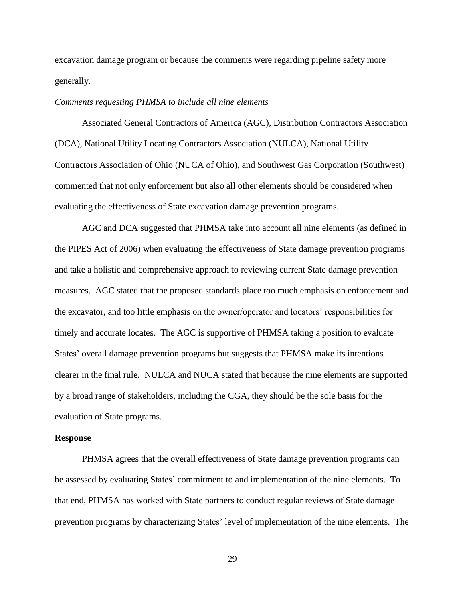excavation damage program or because the comments were regarding pipeline safety more generally.

# *Comments requesting PHMSA to include all nine elements*

Associated General Contractors of America (AGC), Distribution Contractors Association (DCA), National Utility Locating Contractors Association (NULCA), National Utility Contractors Association of Ohio (NUCA of Ohio), and Southwest Gas Corporation (Southwest) commented that not only enforcement but also all other elements should be considered when evaluating the effectiveness of State excavation damage prevention programs.

AGC and DCA suggested that PHMSA take into account all nine elements (as defined in the PIPES Act of 2006) when evaluating the effectiveness of State damage prevention programs and take a holistic and comprehensive approach to reviewing current State damage prevention measures. AGC stated that the proposed standards place too much emphasis on enforcement and the excavator, and too little emphasis on the owner/operator and locators' responsibilities for timely and accurate locates. The AGC is supportive of PHMSA taking a position to evaluate States' overall damage prevention programs but suggests that PHMSA make its intentions clearer in the final rule. NULCA and NUCA stated that because the nine elements are supported by a broad range of stakeholders, including the CGA, they should be the sole basis for the evaluation of State programs.

#### **Response**

PHMSA agrees that the overall effectiveness of State damage prevention programs can be assessed by evaluating States' commitment to and implementation of the nine elements. To that end, PHMSA has worked with State partners to conduct regular reviews of State damage prevention programs by characterizing States' level of implementation of the nine elements. The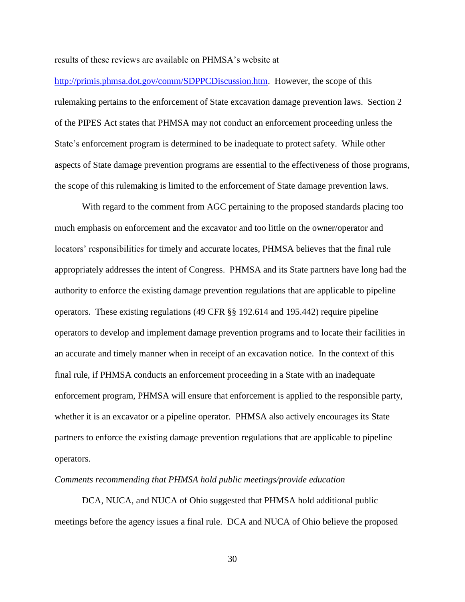results of these reviews are available on PHMSA's website at

[http://primis.phmsa.dot.gov/comm/SDPPCDiscussion.htm.](http://primis.phmsa.dot.gov/comm/SDPPCDiscussion.htm) However, the scope of this rulemaking pertains to the enforcement of State excavation damage prevention laws. Section 2 of the PIPES Act states that PHMSA may not conduct an enforcement proceeding unless the State's enforcement program is determined to be inadequate to protect safety. While other aspects of State damage prevention programs are essential to the effectiveness of those programs, the scope of this rulemaking is limited to the enforcement of State damage prevention laws.

With regard to the comment from AGC pertaining to the proposed standards placing too much emphasis on enforcement and the excavator and too little on the owner/operator and locators' responsibilities for timely and accurate locates, PHMSA believes that the final rule appropriately addresses the intent of Congress. PHMSA and its State partners have long had the authority to enforce the existing damage prevention regulations that are applicable to pipeline operators. These existing regulations (49 CFR §§ 192.614 and 195.442) require pipeline operators to develop and implement damage prevention programs and to locate their facilities in an accurate and timely manner when in receipt of an excavation notice. In the context of this final rule, if PHMSA conducts an enforcement proceeding in a State with an inadequate enforcement program, PHMSA will ensure that enforcement is applied to the responsible party, whether it is an excavator or a pipeline operator. PHMSA also actively encourages its State partners to enforce the existing damage prevention regulations that are applicable to pipeline operators.

#### *Comments recommending that PHMSA hold public meetings/provide education*

DCA, NUCA, and NUCA of Ohio suggested that PHMSA hold additional public meetings before the agency issues a final rule. DCA and NUCA of Ohio believe the proposed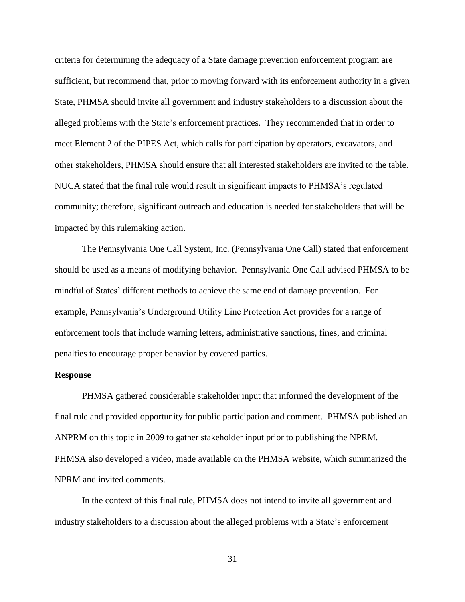criteria for determining the adequacy of a State damage prevention enforcement program are sufficient, but recommend that, prior to moving forward with its enforcement authority in a given State, PHMSA should invite all government and industry stakeholders to a discussion about the alleged problems with the State's enforcement practices. They recommended that in order to meet Element 2 of the PIPES Act, which calls for participation by operators, excavators, and other stakeholders, PHMSA should ensure that all interested stakeholders are invited to the table. NUCA stated that the final rule would result in significant impacts to PHMSA's regulated community; therefore, significant outreach and education is needed for stakeholders that will be impacted by this rulemaking action.

The Pennsylvania One Call System, Inc. (Pennsylvania One Call) stated that enforcement should be used as a means of modifying behavior. Pennsylvania One Call advised PHMSA to be mindful of States' different methods to achieve the same end of damage prevention. For example, Pennsylvania's Underground Utility Line Protection Act provides for a range of enforcement tools that include warning letters, administrative sanctions, fines, and criminal penalties to encourage proper behavior by covered parties.

### **Response**

PHMSA gathered considerable stakeholder input that informed the development of the final rule and provided opportunity for public participation and comment. PHMSA published an ANPRM on this topic in 2009 to gather stakeholder input prior to publishing the NPRM. PHMSA also developed a video, made available on the PHMSA website, which summarized the NPRM and invited comments.

In the context of this final rule, PHMSA does not intend to invite all government and industry stakeholders to a discussion about the alleged problems with a State's enforcement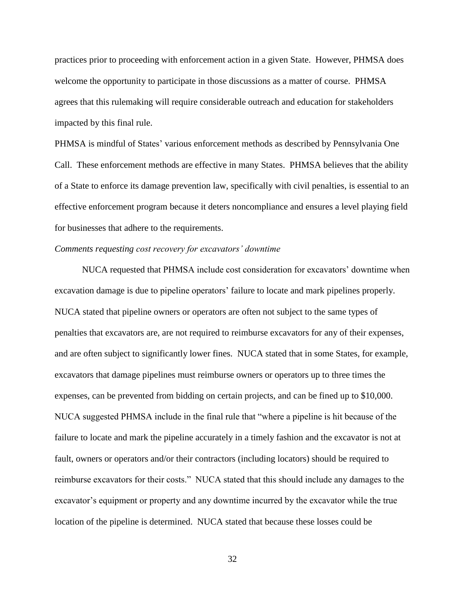practices prior to proceeding with enforcement action in a given State. However, PHMSA does welcome the opportunity to participate in those discussions as a matter of course. PHMSA agrees that this rulemaking will require considerable outreach and education for stakeholders impacted by this final rule.

PHMSA is mindful of States' various enforcement methods as described by Pennsylvania One Call. These enforcement methods are effective in many States. PHMSA believes that the ability of a State to enforce its damage prevention law, specifically with civil penalties, is essential to an effective enforcement program because it deters noncompliance and ensures a level playing field for businesses that adhere to the requirements.

# *Comments requesting cost recovery for excavators' downtime*

NUCA requested that PHMSA include cost consideration for excavators' downtime when excavation damage is due to pipeline operators' failure to locate and mark pipelines properly. NUCA stated that pipeline owners or operators are often not subject to the same types of penalties that excavators are, are not required to reimburse excavators for any of their expenses, and are often subject to significantly lower fines. NUCA stated that in some States, for example, excavators that damage pipelines must reimburse owners or operators up to three times the expenses, can be prevented from bidding on certain projects, and can be fined up to \$10,000. NUCA suggested PHMSA include in the final rule that "where a pipeline is hit because of the failure to locate and mark the pipeline accurately in a timely fashion and the excavator is not at fault, owners or operators and/or their contractors (including locators) should be required to reimburse excavators for their costs." NUCA stated that this should include any damages to the excavator's equipment or property and any downtime incurred by the excavator while the true location of the pipeline is determined. NUCA stated that because these losses could be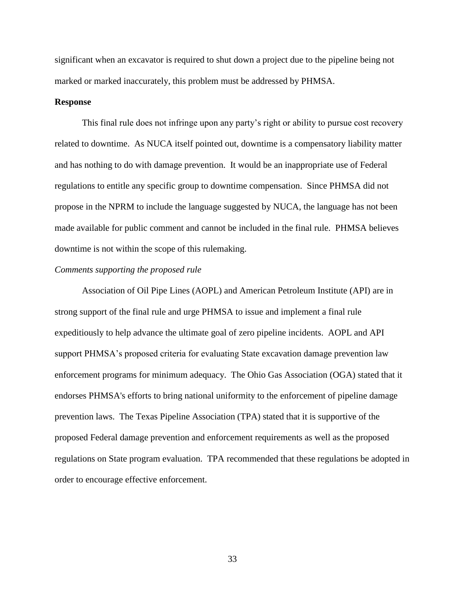significant when an excavator is required to shut down a project due to the pipeline being not marked or marked inaccurately, this problem must be addressed by PHMSA.

## **Response**

This final rule does not infringe upon any party's right or ability to pursue cost recovery related to downtime. As NUCA itself pointed out, downtime is a compensatory liability matter and has nothing to do with damage prevention. It would be an inappropriate use of Federal regulations to entitle any specific group to downtime compensation. Since PHMSA did not propose in the NPRM to include the language suggested by NUCA, the language has not been made available for public comment and cannot be included in the final rule. PHMSA believes downtime is not within the scope of this rulemaking.

### *Comments supporting the proposed rule*

Association of Oil Pipe Lines (AOPL) and American Petroleum Institute (API) are in strong support of the final rule and urge PHMSA to issue and implement a final rule expeditiously to help advance the ultimate goal of zero pipeline incidents. AOPL and API support PHMSA's proposed criteria for evaluating State excavation damage prevention law enforcement programs for minimum adequacy. The Ohio Gas Association (OGA) stated that it endorses PHMSA's efforts to bring national uniformity to the enforcement of pipeline damage prevention laws. The Texas Pipeline Association (TPA) stated that it is supportive of the proposed Federal damage prevention and enforcement requirements as well as the proposed regulations on State program evaluation. TPA recommended that these regulations be adopted in order to encourage effective enforcement.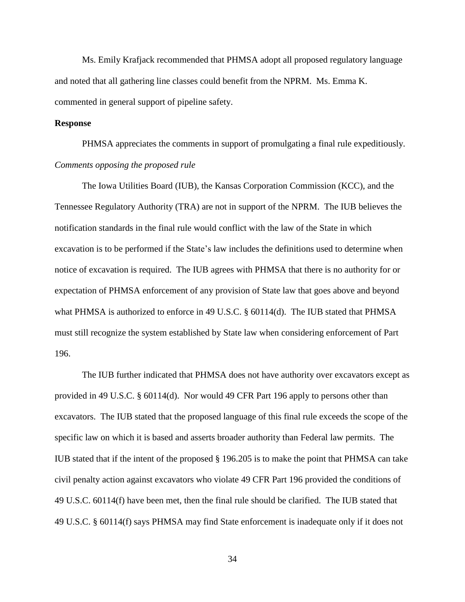Ms. Emily Krafjack recommended that PHMSA adopt all proposed regulatory language and noted that all gathering line classes could benefit from the NPRM. Ms. Emma K. commented in general support of pipeline safety.

## **Response**

PHMSA appreciates the comments in support of promulgating a final rule expeditiously. *Comments opposing the proposed rule*

The Iowa Utilities Board (IUB), the Kansas Corporation Commission (KCC), and the Tennessee Regulatory Authority (TRA) are not in support of the NPRM. The IUB believes the notification standards in the final rule would conflict with the law of the State in which excavation is to be performed if the State's law includes the definitions used to determine when notice of excavation is required. The IUB agrees with PHMSA that there is no authority for or expectation of PHMSA enforcement of any provision of State law that goes above and beyond what PHMSA is authorized to enforce in 49 U.S.C. § 60114(d). The IUB stated that PHMSA must still recognize the system established by State law when considering enforcement of Part 196.

The IUB further indicated that PHMSA does not have authority over excavators except as provided in 49 U.S.C. § 60114(d). Nor would 49 CFR Part 196 apply to persons other than excavators. The IUB stated that the proposed language of this final rule exceeds the scope of the specific law on which it is based and asserts broader authority than Federal law permits. The IUB stated that if the intent of the proposed § 196.205 is to make the point that PHMSA can take civil penalty action against excavators who violate 49 CFR Part 196 provided the conditions of 49 U.S.C. 60114(f) have been met, then the final rule should be clarified. The IUB stated that 49 U.S.C. § 60114(f) says PHMSA may find State enforcement is inadequate only if it does not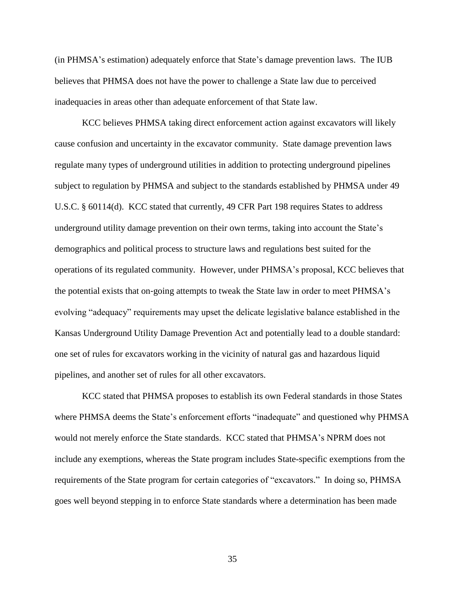(in PHMSA's estimation) adequately enforce that State's damage prevention laws. The IUB believes that PHMSA does not have the power to challenge a State law due to perceived inadequacies in areas other than adequate enforcement of that State law.

KCC believes PHMSA taking direct enforcement action against excavators will likely cause confusion and uncertainty in the excavator community. State damage prevention laws regulate many types of underground utilities in addition to protecting underground pipelines subject to regulation by PHMSA and subject to the standards established by PHMSA under 49 U.S.C. § 60114(d). KCC stated that currently, 49 CFR Part 198 requires States to address underground utility damage prevention on their own terms, taking into account the State's demographics and political process to structure laws and regulations best suited for the operations of its regulated community. However, under PHMSA's proposal, KCC believes that the potential exists that on‐going attempts to tweak the State law in order to meet PHMSA's evolving "adequacy" requirements may upset the delicate legislative balance established in the Kansas Underground Utility Damage Prevention Act and potentially lead to a double standard: one set of rules for excavators working in the vicinity of natural gas and hazardous liquid pipelines, and another set of rules for all other excavators.

KCC stated that PHMSA proposes to establish its own Federal standards in those States where PHMSA deems the State's enforcement efforts "inadequate" and questioned why PHMSA would not merely enforce the State standards. KCC stated that PHMSA's NPRM does not include any exemptions, whereas the State program includes State-specific exemptions from the requirements of the State program for certain categories of "excavators." In doing so, PHMSA goes well beyond stepping in to enforce State standards where a determination has been made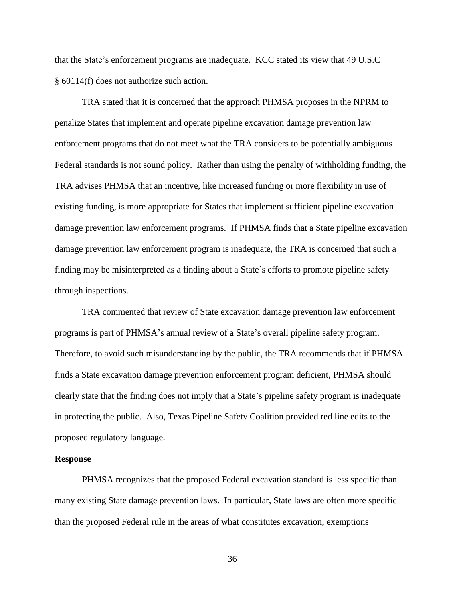that the State's enforcement programs are inadequate. KCC stated its view that 49 U.S.C § 60114(f) does not authorize such action.

TRA stated that it is concerned that the approach PHMSA proposes in the NPRM to penalize States that implement and operate pipeline excavation damage prevention law enforcement programs that do not meet what the TRA considers to be potentially ambiguous Federal standards is not sound policy. Rather than using the penalty of withholding funding, the TRA advises PHMSA that an incentive, like increased funding or more flexibility in use of existing funding, is more appropriate for States that implement sufficient pipeline excavation damage prevention law enforcement programs. If PHMSA finds that a State pipeline excavation damage prevention law enforcement program is inadequate, the TRA is concerned that such a finding may be misinterpreted as a finding about a State's efforts to promote pipeline safety through inspections.

TRA commented that review of State excavation damage prevention law enforcement programs is part of PHMSA's annual review of a State's overall pipeline safety program. Therefore, to avoid such misunderstanding by the public, the TRA recommends that if PHMSA finds a State excavation damage prevention enforcement program deficient, PHMSA should clearly state that the finding does not imply that a State's pipeline safety program is inadequate in protecting the public. Also, Texas Pipeline Safety Coalition provided red line edits to the proposed regulatory language.

#### **Response**

PHMSA recognizes that the proposed Federal excavation standard is less specific than many existing State damage prevention laws. In particular, State laws are often more specific than the proposed Federal rule in the areas of what constitutes excavation, exemptions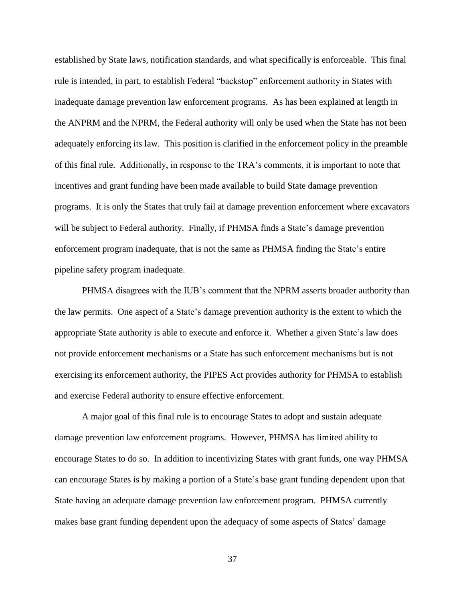established by State laws, notification standards, and what specifically is enforceable. This final rule is intended, in part, to establish Federal "backstop" enforcement authority in States with inadequate damage prevention law enforcement programs. As has been explained at length in the ANPRM and the NPRM, the Federal authority will only be used when the State has not been adequately enforcing its law. This position is clarified in the enforcement policy in the preamble of this final rule. Additionally, in response to the TRA's comments, it is important to note that incentives and grant funding have been made available to build State damage prevention programs. It is only the States that truly fail at damage prevention enforcement where excavators will be subject to Federal authority. Finally, if PHMSA finds a State's damage prevention enforcement program inadequate, that is not the same as PHMSA finding the State's entire pipeline safety program inadequate.

PHMSA disagrees with the IUB's comment that the NPRM asserts broader authority than the law permits. One aspect of a State's damage prevention authority is the extent to which the appropriate State authority is able to execute and enforce it. Whether a given State's law does not provide enforcement mechanisms or a State has such enforcement mechanisms but is not exercising its enforcement authority, the PIPES Act provides authority for PHMSA to establish and exercise Federal authority to ensure effective enforcement.

A major goal of this final rule is to encourage States to adopt and sustain adequate damage prevention law enforcement programs. However, PHMSA has limited ability to encourage States to do so. In addition to incentivizing States with grant funds, one way PHMSA can encourage States is by making a portion of a State's base grant funding dependent upon that State having an adequate damage prevention law enforcement program. PHMSA currently makes base grant funding dependent upon the adequacy of some aspects of States' damage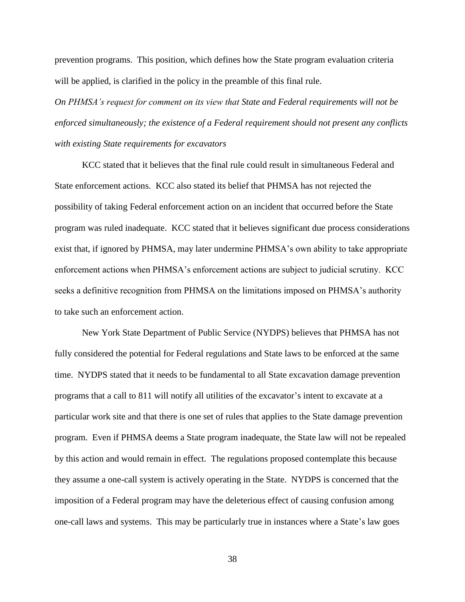prevention programs. This position, which defines how the State program evaluation criteria will be applied, is clarified in the policy in the preamble of this final rule.

*On PHMSA's request for comment on its view that State and Federal requirements will not be enforced simultaneously; the existence of a Federal requirement should not present any conflicts with existing State requirements for excavators*

KCC stated that it believes that the final rule could result in simultaneous Federal and State enforcement actions. KCC also stated its belief that PHMSA has not rejected the possibility of taking Federal enforcement action on an incident that occurred before the State program was ruled inadequate. KCC stated that it believes significant due process considerations exist that, if ignored by PHMSA, may later undermine PHMSA's own ability to take appropriate enforcement actions when PHMSA's enforcement actions are subject to judicial scrutiny. KCC seeks a definitive recognition from PHMSA on the limitations imposed on PHMSA's authority to take such an enforcement action.

New York State Department of Public Service (NYDPS) believes that PHMSA has not fully considered the potential for Federal regulations and State laws to be enforced at the same time. NYDPS stated that it needs to be fundamental to all State excavation damage prevention programs that a call to 811 will notify all utilities of the excavator's intent to excavate at a particular work site and that there is one set of rules that applies to the State damage prevention program. Even if PHMSA deems a State program inadequate, the State law will not be repealed by this action and would remain in effect. The regulations proposed contemplate this because they assume a one-call system is actively operating in the State. NYDPS is concerned that the imposition of a Federal program may have the deleterious effect of causing confusion among one-call laws and systems. This may be particularly true in instances where a State's law goes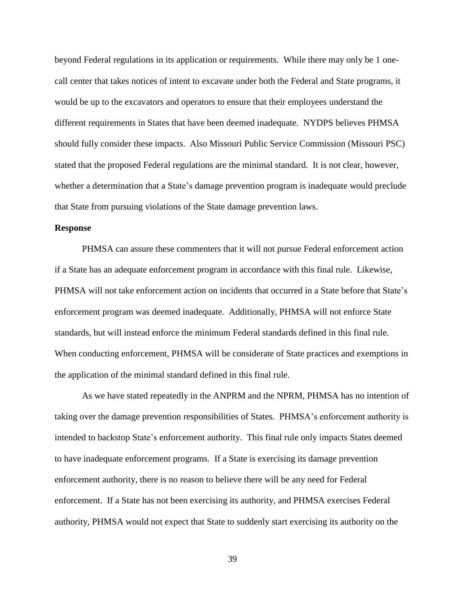beyond Federal regulations in its application or requirements. While there may only be 1 onecall center that takes notices of intent to excavate under both the Federal and State programs, it would be up to the excavators and operators to ensure that their employees understand the different requirements in States that have been deemed inadequate. NYDPS believes PHMSA should fully consider these impacts. Also Missouri Public Service Commission (Missouri PSC) stated that the proposed Federal regulations are the minimal standard. It is not clear, however, whether a determination that a State's damage prevention program is inadequate would preclude that State from pursuing violations of the State damage prevention laws.

## **Response**

PHMSA can assure these commenters that it will not pursue Federal enforcement action if a State has an adequate enforcement program in accordance with this final rule. Likewise, PHMSA will not take enforcement action on incidents that occurred in a State before that State's enforcement program was deemed inadequate. Additionally, PHMSA will not enforce State standards, but will instead enforce the minimum Federal standards defined in this final rule. When conducting enforcement, PHMSA will be considerate of State practices and exemptions in the application of the minimal standard defined in this final rule.

As we have stated repeatedly in the ANPRM and the NPRM, PHMSA has no intention of taking over the damage prevention responsibilities of States. PHMSA's enforcement authority is intended to backstop State's enforcement authority. This final rule only impacts States deemed to have inadequate enforcement programs. If a State is exercising its damage prevention enforcement authority, there is no reason to believe there will be any need for Federal enforcement. If a State has not been exercising its authority, and PHMSA exercises Federal authority, PHMSA would not expect that State to suddenly start exercising its authority on the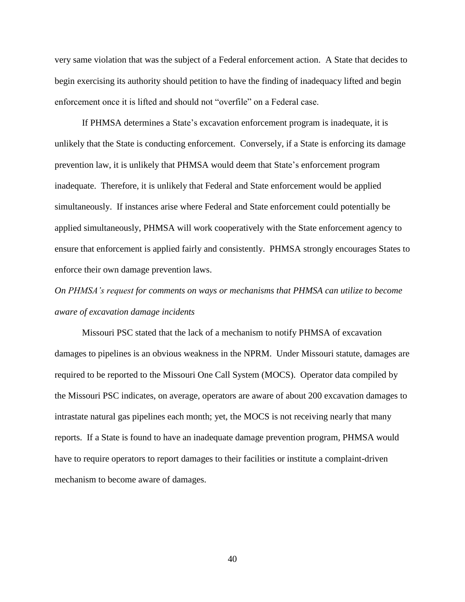very same violation that was the subject of a Federal enforcement action. A State that decides to begin exercising its authority should petition to have the finding of inadequacy lifted and begin enforcement once it is lifted and should not "overfile" on a Federal case.

If PHMSA determines a State's excavation enforcement program is inadequate, it is unlikely that the State is conducting enforcement. Conversely, if a State is enforcing its damage prevention law, it is unlikely that PHMSA would deem that State's enforcement program inadequate. Therefore, it is unlikely that Federal and State enforcement would be applied simultaneously. If instances arise where Federal and State enforcement could potentially be applied simultaneously, PHMSA will work cooperatively with the State enforcement agency to ensure that enforcement is applied fairly and consistently. PHMSA strongly encourages States to enforce their own damage prevention laws.

*On PHMSA's request for comments on ways or mechanisms that PHMSA can utilize to become aware of excavation damage incidents*

Missouri PSC stated that the lack of a mechanism to notify PHMSA of excavation damages to pipelines is an obvious weakness in the NPRM. Under Missouri statute, damages are required to be reported to the Missouri One Call System (MOCS). Operator data compiled by the Missouri PSC indicates, on average, operators are aware of about 200 excavation damages to intrastate natural gas pipelines each month; yet, the MOCS is not receiving nearly that many reports. If a State is found to have an inadequate damage prevention program, PHMSA would have to require operators to report damages to their facilities or institute a complaint-driven mechanism to become aware of damages.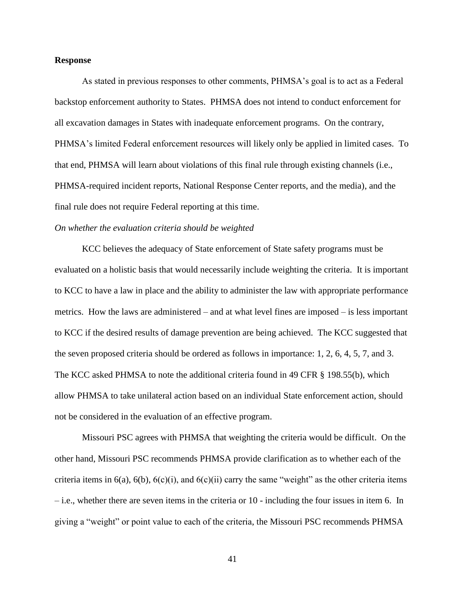#### **Response**

As stated in previous responses to other comments, PHMSA's goal is to act as a Federal backstop enforcement authority to States. PHMSA does not intend to conduct enforcement for all excavation damages in States with inadequate enforcement programs. On the contrary, PHMSA's limited Federal enforcement resources will likely only be applied in limited cases. To that end, PHMSA will learn about violations of this final rule through existing channels (i.e., PHMSA-required incident reports, National Response Center reports, and the media), and the final rule does not require Federal reporting at this time.

## *On whether the evaluation criteria should be weighted*

KCC believes the adequacy of State enforcement of State safety programs must be evaluated on a holistic basis that would necessarily include weighting the criteria. It is important to KCC to have a law in place and the ability to administer the law with appropriate performance metrics. How the laws are administered – and at what level fines are imposed – is less important to KCC if the desired results of damage prevention are being achieved. The KCC suggested that the seven proposed criteria should be ordered as follows in importance: 1, 2, 6, 4, 5, 7, and 3. The KCC asked PHMSA to note the additional criteria found in 49 CFR § 198.55(b), which allow PHMSA to take unilateral action based on an individual State enforcement action, should not be considered in the evaluation of an effective program.

Missouri PSC agrees with PHMSA that weighting the criteria would be difficult. On the other hand, Missouri PSC recommends PHMSA provide clarification as to whether each of the criteria items in  $6(a)$ ,  $6(b)$ ,  $6(c)(i)$ , and  $6(c)(ii)$  carry the same "weight" as the other criteria items – i.e., whether there are seven items in the criteria or 10 - including the four issues in item 6. In giving a "weight" or point value to each of the criteria, the Missouri PSC recommends PHMSA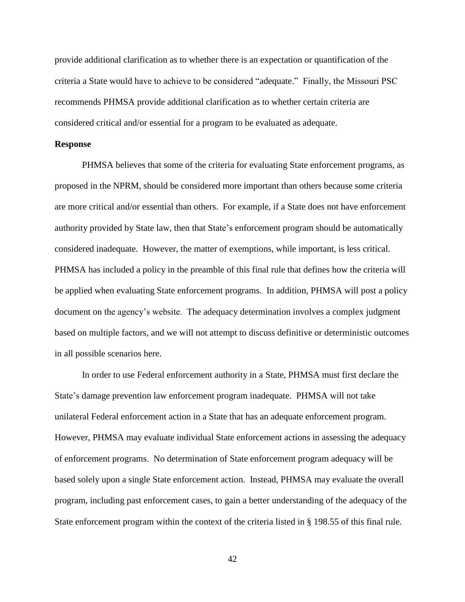provide additional clarification as to whether there is an expectation or quantification of the criteria a State would have to achieve to be considered "adequate." Finally, the Missouri PSC recommends PHMSA provide additional clarification as to whether certain criteria are considered critical and/or essential for a program to be evaluated as adequate.

### **Response**

PHMSA believes that some of the criteria for evaluating State enforcement programs, as proposed in the NPRM, should be considered more important than others because some criteria are more critical and/or essential than others. For example, if a State does not have enforcement authority provided by State law, then that State's enforcement program should be automatically considered inadequate. However, the matter of exemptions, while important, is less critical. PHMSA has included a policy in the preamble of this final rule that defines how the criteria will be applied when evaluating State enforcement programs. In addition, PHMSA will post a policy document on the agency's website. The adequacy determination involves a complex judgment based on multiple factors, and we will not attempt to discuss definitive or deterministic outcomes in all possible scenarios here.

In order to use Federal enforcement authority in a State, PHMSA must first declare the State's damage prevention law enforcement program inadequate. PHMSA will not take unilateral Federal enforcement action in a State that has an adequate enforcement program. However, PHMSA may evaluate individual State enforcement actions in assessing the adequacy of enforcement programs. No determination of State enforcement program adequacy will be based solely upon a single State enforcement action. Instead, PHMSA may evaluate the overall program, including past enforcement cases, to gain a better understanding of the adequacy of the State enforcement program within the context of the criteria listed in § 198.55 of this final rule.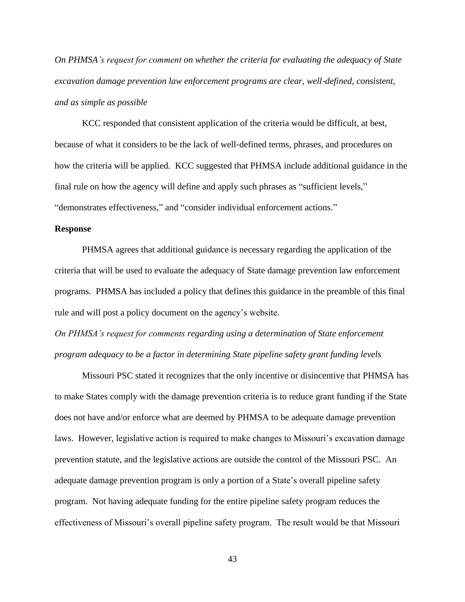*On PHMSA's request for comment on whether the criteria for evaluating the adequacy of State excavation damage prevention law enforcement programs are clear, well-defined, consistent, and as simple as possible*

KCC responded that consistent application of the criteria would be difficult, at best, because of what it considers to be the lack of well-defined terms, phrases, and procedures on how the criteria will be applied. KCC suggested that PHMSA include additional guidance in the final rule on how the agency will define and apply such phrases as "sufficient levels," "demonstrates effectiveness," and "consider individual enforcement actions."

#### **Response**

PHMSA agrees that additional guidance is necessary regarding the application of the criteria that will be used to evaluate the adequacy of State damage prevention law enforcement programs. PHMSA has included a policy that defines this guidance in the preamble of this final rule and will post a policy document on the agency's website.

*On PHMSA's request for comments regarding using a determination of State enforcement program adequacy to be a factor in determining State pipeline safety grant funding levels*

Missouri PSC stated it recognizes that the only incentive or disincentive that PHMSA has to make States comply with the damage prevention criteria is to reduce grant funding if the State does not have and/or enforce what are deemed by PHMSA to be adequate damage prevention laws. However, legislative action is required to make changes to Missouri's excavation damage prevention statute, and the legislative actions are outside the control of the Missouri PSC. An adequate damage prevention program is only a portion of a State's overall pipeline safety program. Not having adequate funding for the entire pipeline safety program reduces the effectiveness of Missouri's overall pipeline safety program. The result would be that Missouri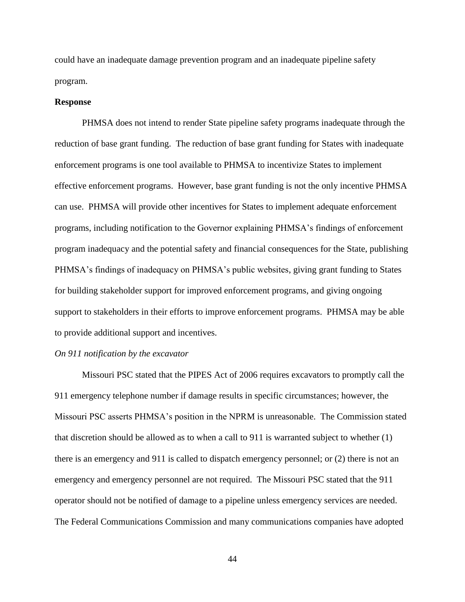could have an inadequate damage prevention program and an inadequate pipeline safety program.

### **Response**

PHMSA does not intend to render State pipeline safety programs inadequate through the reduction of base grant funding. The reduction of base grant funding for States with inadequate enforcement programs is one tool available to PHMSA to incentivize States to implement effective enforcement programs. However, base grant funding is not the only incentive PHMSA can use. PHMSA will provide other incentives for States to implement adequate enforcement programs, including notification to the Governor explaining PHMSA's findings of enforcement program inadequacy and the potential safety and financial consequences for the State, publishing PHMSA's findings of inadequacy on PHMSA's public websites, giving grant funding to States for building stakeholder support for improved enforcement programs, and giving ongoing support to stakeholders in their efforts to improve enforcement programs. PHMSA may be able to provide additional support and incentives.

### *On 911 notification by the excavator*

Missouri PSC stated that the PIPES Act of 2006 requires excavators to promptly call the 911 emergency telephone number if damage results in specific circumstances; however, the Missouri PSC asserts PHMSA's position in the NPRM is unreasonable. The Commission stated that discretion should be allowed as to when a call to 911 is warranted subject to whether (1) there is an emergency and 911 is called to dispatch emergency personnel; or (2) there is not an emergency and emergency personnel are not required. The Missouri PSC stated that the 911 operator should not be notified of damage to a pipeline unless emergency services are needed. The Federal Communications Commission and many communications companies have adopted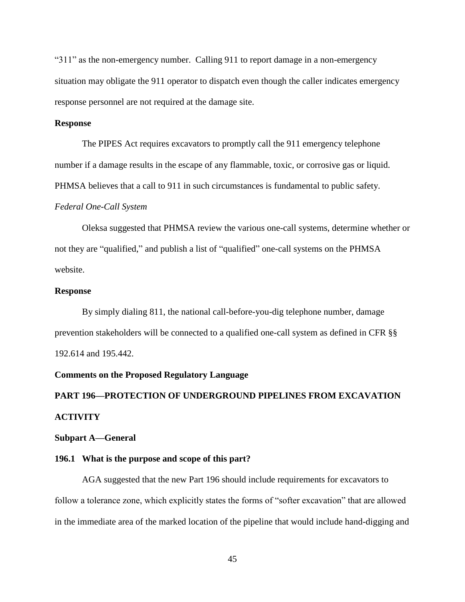"311" as the non-emergency number. Calling 911 to report damage in a non-emergency situation may obligate the 911 operator to dispatch even though the caller indicates emergency response personnel are not required at the damage site.

## **Response**

The PIPES Act requires excavators to promptly call the 911 emergency telephone number if a damage results in the escape of any flammable, toxic, or corrosive gas or liquid. PHMSA believes that a call to 911 in such circumstances is fundamental to public safety.

#### *Federal One-Call System*

Oleksa suggested that PHMSA review the various one-call systems, determine whether or not they are "qualified," and publish a list of "qualified" one-call systems on the PHMSA website.

#### **Response**

By simply dialing 811, the national call-before-you-dig telephone number, damage prevention stakeholders will be connected to a qualified one-call system as defined in CFR §§ 192.614 and 195.442.

## **Comments on the Proposed Regulatory Language**

# **PART 196—PROTECTION OF UNDERGROUND PIPELINES FROM EXCAVATION ACTIVITY**

#### **Subpart A—General**

## **196.1 What is the purpose and scope of this part?**

AGA suggested that the new Part 196 should include requirements for excavators to follow a tolerance zone, which explicitly states the forms of "softer excavation" that are allowed in the immediate area of the marked location of the pipeline that would include hand-digging and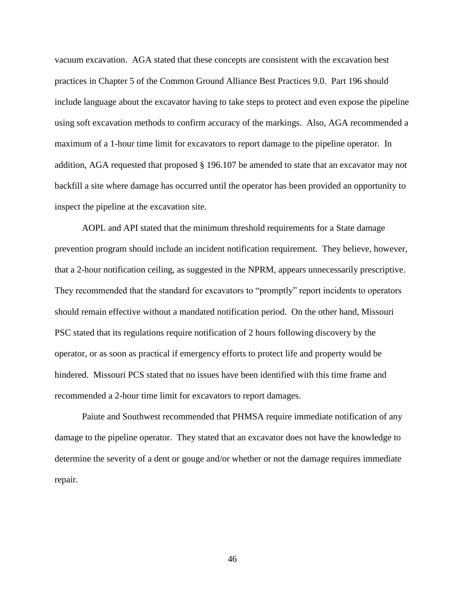vacuum excavation. AGA stated that these concepts are consistent with the excavation best practices in Chapter 5 of the Common Ground Alliance Best Practices 9.0. Part 196 should include language about the excavator having to take steps to protect and even expose the pipeline using soft excavation methods to confirm accuracy of the markings. Also, AGA recommended a maximum of a 1-hour time limit for excavators to report damage to the pipeline operator. In addition, AGA requested that proposed § 196.107 be amended to state that an excavator may not backfill a site where damage has occurred until the operator has been provided an opportunity to inspect the pipeline at the excavation site.

AOPL and API stated that the minimum threshold requirements for a State damage prevention program should include an incident notification requirement. They believe, however, that a 2-hour notification ceiling, as suggested in the NPRM, appears unnecessarily prescriptive. They recommended that the standard for excavators to "promptly" report incidents to operators should remain effective without a mandated notification period. On the other hand, Missouri PSC stated that its regulations require notification of 2 hours following discovery by the operator, or as soon as practical if emergency efforts to protect life and property would be hindered. Missouri PCS stated that no issues have been identified with this time frame and recommended a 2-hour time limit for excavators to report damages.

Paiute and Southwest recommended that PHMSA require immediate notification of any damage to the pipeline operator. They stated that an excavator does not have the knowledge to determine the severity of a dent or gouge and/or whether or not the damage requires immediate repair.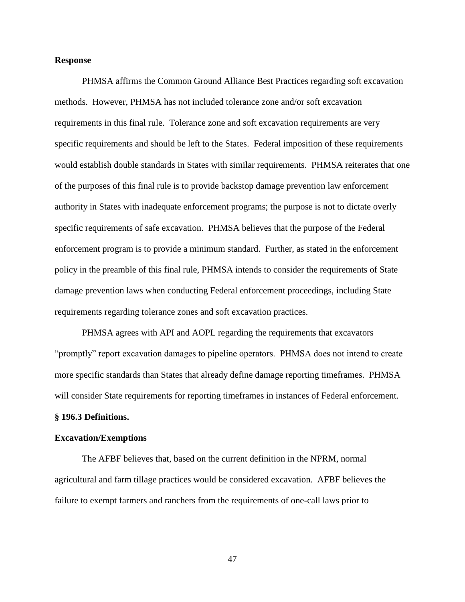#### **Response**

PHMSA affirms the Common Ground Alliance Best Practices regarding soft excavation methods. However, PHMSA has not included tolerance zone and/or soft excavation requirements in this final rule. Tolerance zone and soft excavation requirements are very specific requirements and should be left to the States. Federal imposition of these requirements would establish double standards in States with similar requirements. PHMSA reiterates that one of the purposes of this final rule is to provide backstop damage prevention law enforcement authority in States with inadequate enforcement programs; the purpose is not to dictate overly specific requirements of safe excavation. PHMSA believes that the purpose of the Federal enforcement program is to provide a minimum standard. Further, as stated in the enforcement policy in the preamble of this final rule, PHMSA intends to consider the requirements of State damage prevention laws when conducting Federal enforcement proceedings, including State requirements regarding tolerance zones and soft excavation practices.

PHMSA agrees with API and AOPL regarding the requirements that excavators "promptly" report excavation damages to pipeline operators. PHMSA does not intend to create more specific standards than States that already define damage reporting timeframes. PHMSA will consider State requirements for reporting timeframes in instances of Federal enforcement.

## **§ 196.3 Definitions.**

## **Excavation/Exemptions**

The AFBF believes that, based on the current definition in the NPRM, normal agricultural and farm tillage practices would be considered excavation. AFBF believes the failure to exempt farmers and ranchers from the requirements of one-call laws prior to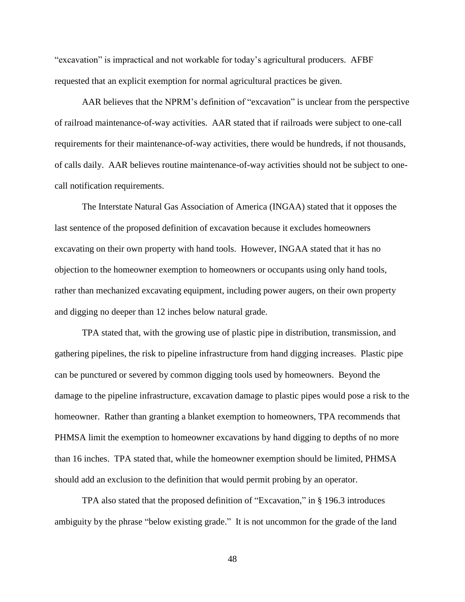"excavation" is impractical and not workable for today's agricultural producers. AFBF requested that an explicit exemption for normal agricultural practices be given.

AAR believes that the NPRM's definition of "excavation" is unclear from the perspective of railroad maintenance-of-way activities. AAR stated that if railroads were subject to one-call requirements for their maintenance-of-way activities, there would be hundreds, if not thousands, of calls daily. AAR believes routine maintenance-of-way activities should not be subject to onecall notification requirements.

The Interstate Natural Gas Association of America (INGAA) stated that it opposes the last sentence of the proposed definition of excavation because it excludes homeowners excavating on their own property with hand tools. However, INGAA stated that it has no objection to the homeowner exemption to homeowners or occupants using only hand tools, rather than mechanized excavating equipment, including power augers, on their own property and digging no deeper than 12 inches below natural grade.

TPA stated that, with the growing use of plastic pipe in distribution, transmission, and gathering pipelines, the risk to pipeline infrastructure from hand digging increases. Plastic pipe can be punctured or severed by common digging tools used by homeowners. Beyond the damage to the pipeline infrastructure, excavation damage to plastic pipes would pose a risk to the homeowner. Rather than granting a blanket exemption to homeowners, TPA recommends that PHMSA limit the exemption to homeowner excavations by hand digging to depths of no more than 16 inches. TPA stated that, while the homeowner exemption should be limited, PHMSA should add an exclusion to the definition that would permit probing by an operator.

TPA also stated that the proposed definition of "Excavation," in § 196.3 introduces ambiguity by the phrase "below existing grade." It is not uncommon for the grade of the land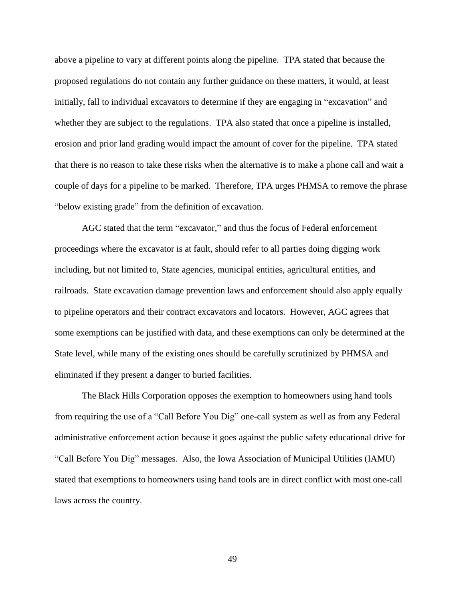above a pipeline to vary at different points along the pipeline. TPA stated that because the proposed regulations do not contain any further guidance on these matters, it would, at least initially, fall to individual excavators to determine if they are engaging in "excavation" and whether they are subject to the regulations. TPA also stated that once a pipeline is installed, erosion and prior land grading would impact the amount of cover for the pipeline. TPA stated that there is no reason to take these risks when the alternative is to make a phone call and wait a couple of days for a pipeline to be marked. Therefore, TPA urges PHMSA to remove the phrase "below existing grade" from the definition of excavation.

AGC stated that the term "excavator," and thus the focus of Federal enforcement proceedings where the excavator is at fault, should refer to all parties doing digging work including, but not limited to, State agencies, municipal entities, agricultural entities, and railroads. State excavation damage prevention laws and enforcement should also apply equally to pipeline operators and their contract excavators and locators. However, AGC agrees that some exemptions can be justified with data, and these exemptions can only be determined at the State level, while many of the existing ones should be carefully scrutinized by PHMSA and eliminated if they present a danger to buried facilities.

The Black Hills Corporation opposes the exemption to homeowners using hand tools from requiring the use of a "Call Before You Dig" one-call system as well as from any Federal administrative enforcement action because it goes against the public safety educational drive for "Call Before You Dig" messages. Also, the Iowa Association of Municipal Utilities (IAMU) stated that exemptions to homeowners using hand tools are in direct conflict with most one-call laws across the country.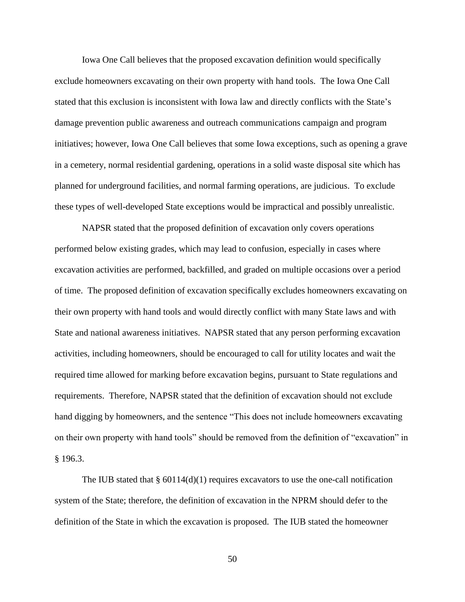Iowa One Call believes that the proposed excavation definition would specifically exclude homeowners excavating on their own property with hand tools. The Iowa One Call stated that this exclusion is inconsistent with Iowa law and directly conflicts with the State's damage prevention public awareness and outreach communications campaign and program initiatives; however, Iowa One Call believes that some Iowa exceptions, such as opening a grave in a cemetery, normal residential gardening, operations in a solid waste disposal site which has planned for underground facilities, and normal farming operations, are judicious. To exclude these types of well-developed State exceptions would be impractical and possibly unrealistic.

NAPSR stated that the proposed definition of excavation only covers operations performed below existing grades, which may lead to confusion, especially in cases where excavation activities are performed, backfilled, and graded on multiple occasions over a period of time. The proposed definition of excavation specifically excludes homeowners excavating on their own property with hand tools and would directly conflict with many State laws and with State and national awareness initiatives. NAPSR stated that any person performing excavation activities, including homeowners, should be encouraged to call for utility locates and wait the required time allowed for marking before excavation begins, pursuant to State regulations and requirements. Therefore, NAPSR stated that the definition of excavation should not exclude hand digging by homeowners, and the sentence "This does not include homeowners excavating on their own property with hand tools" should be removed from the definition of "excavation" in § 196.3.

The IUB stated that  $\S 60114(d)(1)$  requires excavators to use the one-call notification system of the State; therefore, the definition of excavation in the NPRM should defer to the definition of the State in which the excavation is proposed. The IUB stated the homeowner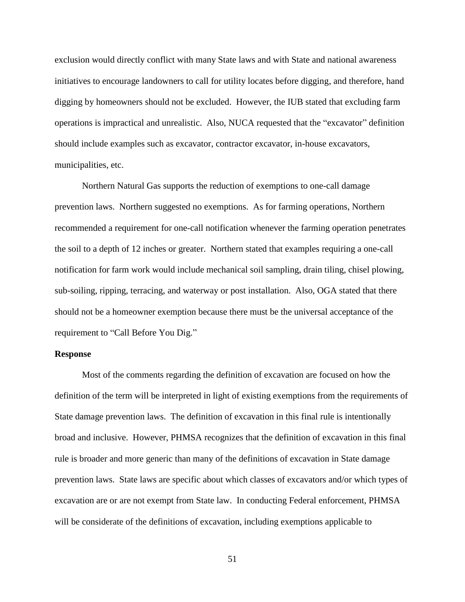exclusion would directly conflict with many State laws and with State and national awareness initiatives to encourage landowners to call for utility locates before digging, and therefore, hand digging by homeowners should not be excluded. However, the IUB stated that excluding farm operations is impractical and unrealistic. Also, NUCA requested that the "excavator" definition should include examples such as excavator, contractor excavator, in-house excavators, municipalities, etc.

Northern Natural Gas supports the reduction of exemptions to one-call damage prevention laws. Northern suggested no exemptions. As for farming operations, Northern recommended a requirement for one-call notification whenever the farming operation penetrates the soil to a depth of 12 inches or greater. Northern stated that examples requiring a one-call notification for farm work would include mechanical soil sampling, drain tiling, chisel plowing, sub-soiling, ripping, terracing, and waterway or post installation. Also, OGA stated that there should not be a homeowner exemption because there must be the universal acceptance of the requirement to "Call Before You Dig."

## **Response**

Most of the comments regarding the definition of excavation are focused on how the definition of the term will be interpreted in light of existing exemptions from the requirements of State damage prevention laws. The definition of excavation in this final rule is intentionally broad and inclusive. However, PHMSA recognizes that the definition of excavation in this final rule is broader and more generic than many of the definitions of excavation in State damage prevention laws. State laws are specific about which classes of excavators and/or which types of excavation are or are not exempt from State law. In conducting Federal enforcement, PHMSA will be considerate of the definitions of excavation, including exemptions applicable to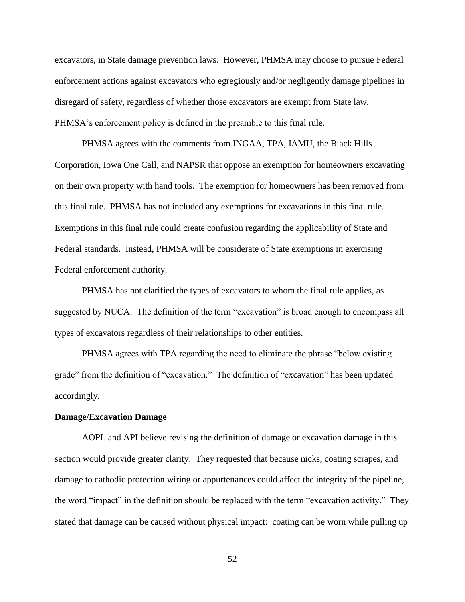excavators, in State damage prevention laws. However, PHMSA may choose to pursue Federal enforcement actions against excavators who egregiously and/or negligently damage pipelines in disregard of safety, regardless of whether those excavators are exempt from State law. PHMSA's enforcement policy is defined in the preamble to this final rule.

PHMSA agrees with the comments from INGAA, TPA, IAMU, the Black Hills Corporation, Iowa One Call, and NAPSR that oppose an exemption for homeowners excavating on their own property with hand tools. The exemption for homeowners has been removed from this final rule. PHMSA has not included any exemptions for excavations in this final rule. Exemptions in this final rule could create confusion regarding the applicability of State and Federal standards. Instead, PHMSA will be considerate of State exemptions in exercising Federal enforcement authority.

PHMSA has not clarified the types of excavators to whom the final rule applies, as suggested by NUCA. The definition of the term "excavation" is broad enough to encompass all types of excavators regardless of their relationships to other entities.

PHMSA agrees with TPA regarding the need to eliminate the phrase "below existing grade" from the definition of "excavation." The definition of "excavation" has been updated accordingly.

### **Damage/Excavation Damage**

AOPL and API believe revising the definition of damage or excavation damage in this section would provide greater clarity. They requested that because nicks, coating scrapes, and damage to cathodic protection wiring or appurtenances could affect the integrity of the pipeline, the word "impact" in the definition should be replaced with the term "excavation activity." They stated that damage can be caused without physical impact: coating can be worn while pulling up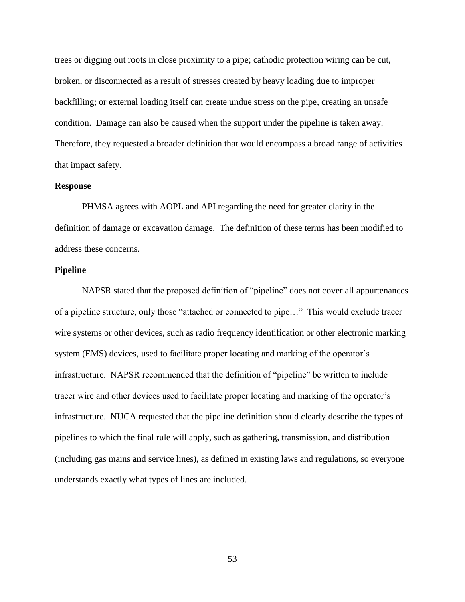trees or digging out roots in close proximity to a pipe; cathodic protection wiring can be cut, broken, or disconnected as a result of stresses created by heavy loading due to improper backfilling; or external loading itself can create undue stress on the pipe, creating an unsafe condition. Damage can also be caused when the support under the pipeline is taken away. Therefore, they requested a broader definition that would encompass a broad range of activities that impact safety.

#### **Response**

PHMSA agrees with AOPL and API regarding the need for greater clarity in the definition of damage or excavation damage. The definition of these terms has been modified to address these concerns.

## **Pipeline**

NAPSR stated that the proposed definition of "pipeline" does not cover all appurtenances of a pipeline structure, only those "attached or connected to pipe…" This would exclude tracer wire systems or other devices, such as radio frequency identification or other electronic marking system (EMS) devices, used to facilitate proper locating and marking of the operator's infrastructure. NAPSR recommended that the definition of "pipeline" be written to include tracer wire and other devices used to facilitate proper locating and marking of the operator's infrastructure. NUCA requested that the pipeline definition should clearly describe the types of pipelines to which the final rule will apply, such as gathering, transmission, and distribution (including gas mains and service lines), as defined in existing laws and regulations, so everyone understands exactly what types of lines are included.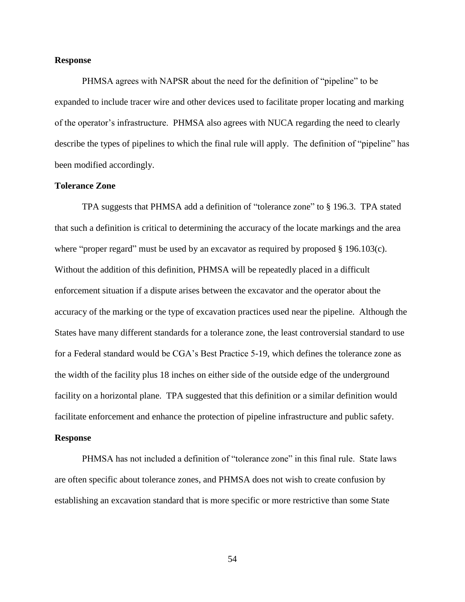## **Response**

PHMSA agrees with NAPSR about the need for the definition of "pipeline" to be expanded to include tracer wire and other devices used to facilitate proper locating and marking of the operator's infrastructure. PHMSA also agrees with NUCA regarding the need to clearly describe the types of pipelines to which the final rule will apply. The definition of "pipeline" has been modified accordingly.

## **Tolerance Zone**

TPA suggests that PHMSA add a definition of "tolerance zone" to § 196.3. TPA stated that such a definition is critical to determining the accuracy of the locate markings and the area where "proper regard" must be used by an excavator as required by proposed  $\S$  196.103(c). Without the addition of this definition, PHMSA will be repeatedly placed in a difficult enforcement situation if a dispute arises between the excavator and the operator about the accuracy of the marking or the type of excavation practices used near the pipeline. Although the States have many different standards for a tolerance zone, the least controversial standard to use for a Federal standard would be CGA's Best Practice 5-19, which defines the tolerance zone as the width of the facility plus 18 inches on either side of the outside edge of the underground facility on a horizontal plane. TPA suggested that this definition or a similar definition would facilitate enforcement and enhance the protection of pipeline infrastructure and public safety.

## **Response**

PHMSA has not included a definition of "tolerance zone" in this final rule. State laws are often specific about tolerance zones, and PHMSA does not wish to create confusion by establishing an excavation standard that is more specific or more restrictive than some State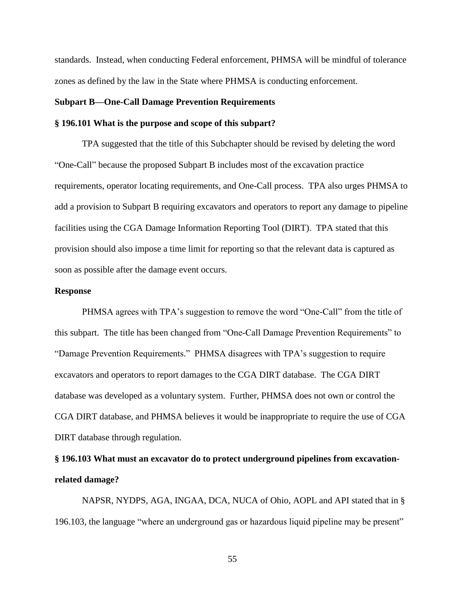standards. Instead, when conducting Federal enforcement, PHMSA will be mindful of tolerance zones as defined by the law in the State where PHMSA is conducting enforcement.

## **Subpart B—One-Call Damage Prevention Requirements**

## **§ 196.101 What is the purpose and scope of this subpart?**

TPA suggested that the title of this Subchapter should be revised by deleting the word "One-Call" because the proposed Subpart B includes most of the excavation practice requirements, operator locating requirements, and One-Call process. TPA also urges PHMSA to add a provision to Subpart B requiring excavators and operators to report any damage to pipeline facilities using the CGA Damage Information Reporting Tool (DIRT). TPA stated that this provision should also impose a time limit for reporting so that the relevant data is captured as soon as possible after the damage event occurs.

#### **Response**

PHMSA agrees with TPA's suggestion to remove the word "One-Call" from the title of this subpart. The title has been changed from "One-Call Damage Prevention Requirements" to "Damage Prevention Requirements." PHMSA disagrees with TPA's suggestion to require excavators and operators to report damages to the CGA DIRT database. The CGA DIRT database was developed as a voluntary system. Further, PHMSA does not own or control the CGA DIRT database, and PHMSA believes it would be inappropriate to require the use of CGA DIRT database through regulation.

## **§ 196.103 What must an excavator do to protect underground pipelines from excavationrelated damage?**

NAPSR, NYDPS, AGA, INGAA, DCA, NUCA of Ohio, AOPL and API stated that in § 196.103, the language "where an underground gas or hazardous liquid pipeline may be present"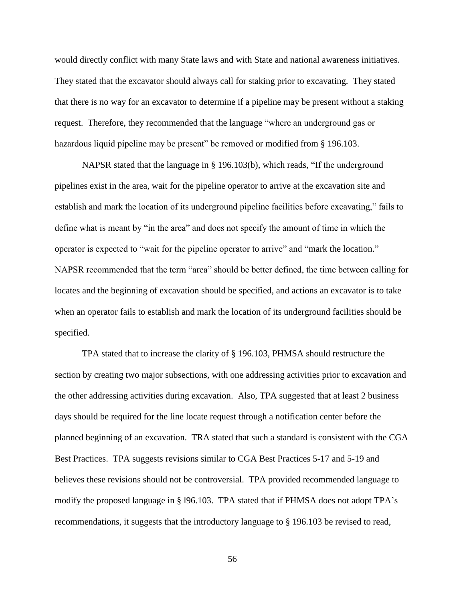would directly conflict with many State laws and with State and national awareness initiatives. They stated that the excavator should always call for staking prior to excavating. They stated that there is no way for an excavator to determine if a pipeline may be present without a staking request. Therefore, they recommended that the language "where an underground gas or hazardous liquid pipeline may be present" be removed or modified from § 196.103.

NAPSR stated that the language in § 196.103(b), which reads, "If the underground pipelines exist in the area, wait for the pipeline operator to arrive at the excavation site and establish and mark the location of its underground pipeline facilities before excavating," fails to define what is meant by "in the area" and does not specify the amount of time in which the operator is expected to "wait for the pipeline operator to arrive" and "mark the location." NAPSR recommended that the term "area" should be better defined, the time between calling for locates and the beginning of excavation should be specified, and actions an excavator is to take when an operator fails to establish and mark the location of its underground facilities should be specified.

TPA stated that to increase the clarity of § 196.103, PHMSA should restructure the section by creating two major subsections, with one addressing activities prior to excavation and the other addressing activities during excavation. Also, TPA suggested that at least 2 business days should be required for the line locate request through a notification center before the planned beginning of an excavation. TRA stated that such a standard is consistent with the CGA Best Practices. TPA suggests revisions similar to CGA Best Practices 5-17 and 5-19 and believes these revisions should not be controversial. TPA provided recommended language to modify the proposed language in § l96.103. TPA stated that if PHMSA does not adopt TPA's recommendations, it suggests that the introductory language to § 196.103 be revised to read,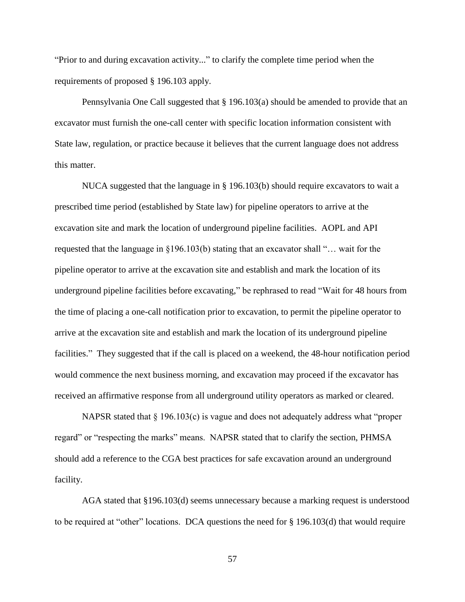"Prior to and during excavation activity..." to clarify the complete time period when the requirements of proposed § 196.103 apply.

Pennsylvania One Call suggested that § 196.103(a) should be amended to provide that an excavator must furnish the one-call center with specific location information consistent with State law, regulation, or practice because it believes that the current language does not address this matter.

NUCA suggested that the language in § 196.103(b) should require excavators to wait a prescribed time period (established by State law) for pipeline operators to arrive at the excavation site and mark the location of underground pipeline facilities. AOPL and API requested that the language in §196.103(b) stating that an excavator shall "… wait for the pipeline operator to arrive at the excavation site and establish and mark the location of its underground pipeline facilities before excavating," be rephrased to read "Wait for 48 hours from the time of placing a one-call notification prior to excavation, to permit the pipeline operator to arrive at the excavation site and establish and mark the location of its underground pipeline facilities." They suggested that if the call is placed on a weekend, the 48-hour notification period would commence the next business morning, and excavation may proceed if the excavator has received an affirmative response from all underground utility operators as marked or cleared.

NAPSR stated that § 196.103(c) is vague and does not adequately address what "proper regard" or "respecting the marks" means. NAPSR stated that to clarify the section, PHMSA should add a reference to the CGA best practices for safe excavation around an underground facility.

AGA stated that §196.103(d) seems unnecessary because a marking request is understood to be required at "other" locations. DCA questions the need for § 196.103(d) that would require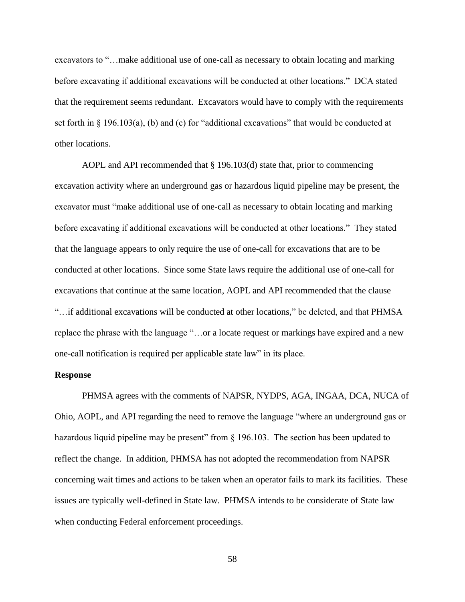excavators to "…make additional use of one-call as necessary to obtain locating and marking before excavating if additional excavations will be conducted at other locations." DCA stated that the requirement seems redundant. Excavators would have to comply with the requirements set forth in  $\S$  196.103(a), (b) and (c) for "additional excavations" that would be conducted at other locations.

AOPL and API recommended that § 196.103(d) state that, prior to commencing excavation activity where an underground gas or hazardous liquid pipeline may be present, the excavator must "make additional use of one-call as necessary to obtain locating and marking before excavating if additional excavations will be conducted at other locations." They stated that the language appears to only require the use of one-call for excavations that are to be conducted at other locations. Since some State laws require the additional use of one-call for excavations that continue at the same location, AOPL and API recommended that the clause "…if additional excavations will be conducted at other locations," be deleted, and that PHMSA replace the phrase with the language "…or a locate request or markings have expired and a new one-call notification is required per applicable state law" in its place.

## **Response**

PHMSA agrees with the comments of NAPSR, NYDPS, AGA, INGAA, DCA, NUCA of Ohio, AOPL, and API regarding the need to remove the language "where an underground gas or hazardous liquid pipeline may be present" from § 196.103. The section has been updated to reflect the change. In addition, PHMSA has not adopted the recommendation from NAPSR concerning wait times and actions to be taken when an operator fails to mark its facilities. These issues are typically well-defined in State law. PHMSA intends to be considerate of State law when conducting Federal enforcement proceedings.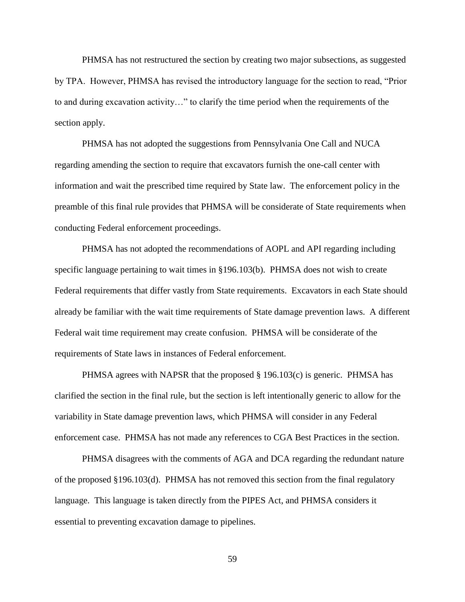PHMSA has not restructured the section by creating two major subsections, as suggested by TPA. However, PHMSA has revised the introductory language for the section to read, "Prior to and during excavation activity…" to clarify the time period when the requirements of the section apply.

PHMSA has not adopted the suggestions from Pennsylvania One Call and NUCA regarding amending the section to require that excavators furnish the one-call center with information and wait the prescribed time required by State law. The enforcement policy in the preamble of this final rule provides that PHMSA will be considerate of State requirements when conducting Federal enforcement proceedings.

PHMSA has not adopted the recommendations of AOPL and API regarding including specific language pertaining to wait times in §196.103(b). PHMSA does not wish to create Federal requirements that differ vastly from State requirements. Excavators in each State should already be familiar with the wait time requirements of State damage prevention laws. A different Federal wait time requirement may create confusion. PHMSA will be considerate of the requirements of State laws in instances of Federal enforcement.

PHMSA agrees with NAPSR that the proposed § 196.103(c) is generic. PHMSA has clarified the section in the final rule, but the section is left intentionally generic to allow for the variability in State damage prevention laws, which PHMSA will consider in any Federal enforcement case. PHMSA has not made any references to CGA Best Practices in the section.

PHMSA disagrees with the comments of AGA and DCA regarding the redundant nature of the proposed §196.103(d). PHMSA has not removed this section from the final regulatory language. This language is taken directly from the PIPES Act, and PHMSA considers it essential to preventing excavation damage to pipelines.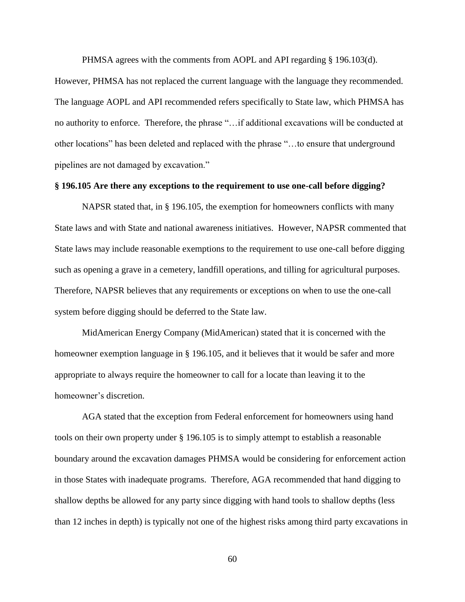PHMSA agrees with the comments from AOPL and API regarding § 196.103(d).

However, PHMSA has not replaced the current language with the language they recommended. The language AOPL and API recommended refers specifically to State law, which PHMSA has no authority to enforce. Therefore, the phrase "…if additional excavations will be conducted at other locations" has been deleted and replaced with the phrase "…to ensure that underground pipelines are not damaged by excavation."

### **§ 196.105 Are there any exceptions to the requirement to use one-call before digging?**

NAPSR stated that, in § 196.105, the exemption for homeowners conflicts with many State laws and with State and national awareness initiatives. However, NAPSR commented that State laws may include reasonable exemptions to the requirement to use one-call before digging such as opening a grave in a cemetery, landfill operations, and tilling for agricultural purposes. Therefore, NAPSR believes that any requirements or exceptions on when to use the one-call system before digging should be deferred to the State law.

MidAmerican Energy Company (MidAmerican) stated that it is concerned with the homeowner exemption language in § 196.105, and it believes that it would be safer and more appropriate to always require the homeowner to call for a locate than leaving it to the homeowner's discretion.

AGA stated that the exception from Federal enforcement for homeowners using hand tools on their own property under § 196.105 is to simply attempt to establish a reasonable boundary around the excavation damages PHMSA would be considering for enforcement action in those States with inadequate programs. Therefore, AGA recommended that hand digging to shallow depths be allowed for any party since digging with hand tools to shallow depths (less than 12 inches in depth) is typically not one of the highest risks among third party excavations in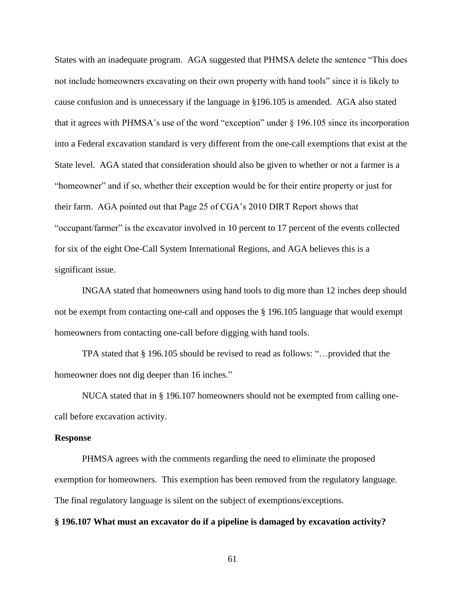States with an inadequate program. AGA suggested that PHMSA delete the sentence "This does not include homeowners excavating on their own property with hand tools" since it is likely to cause confusion and is unnecessary if the language in §196.105 is amended. AGA also stated that it agrees with PHMSA's use of the word "exception" under § 196.105 since its incorporation into a Federal excavation standard is very different from the one-call exemptions that exist at the State level. AGA stated that consideration should also be given to whether or not a farmer is a "homeowner" and if so, whether their exception would be for their entire property or just for their farm. AGA pointed out that Page 25 of CGA's 2010 DIRT Report shows that "occupant/farmer" is the excavator involved in 10 percent to 17 percent of the events collected for six of the eight One-Call System International Regions, and AGA believes this is a significant issue.

INGAA stated that homeowners using hand tools to dig more than 12 inches deep should not be exempt from contacting one-call and opposes the § 196.105 language that would exempt homeowners from contacting one-call before digging with hand tools.

TPA stated that § 196.105 should be revised to read as follows: "…provided that the homeowner does not dig deeper than 16 inches."

NUCA stated that in § 196.107 homeowners should not be exempted from calling onecall before excavation activity.

#### **Response**

PHMSA agrees with the comments regarding the need to eliminate the proposed exemption for homeowners. This exemption has been removed from the regulatory language. The final regulatory language is silent on the subject of exemptions/exceptions.

### **§ 196.107 What must an excavator do if a pipeline is damaged by excavation activity?**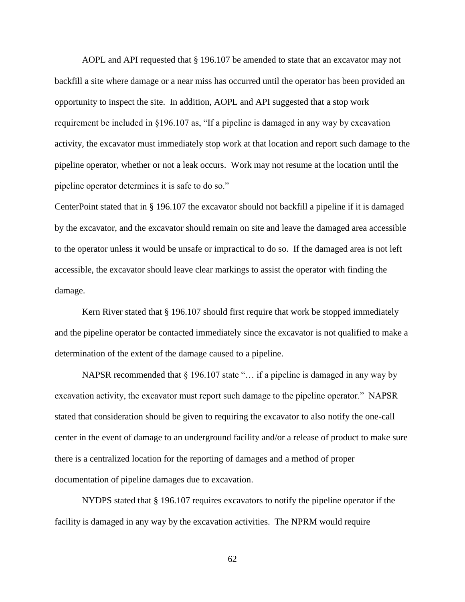AOPL and API requested that § 196.107 be amended to state that an excavator may not backfill a site where damage or a near miss has occurred until the operator has been provided an opportunity to inspect the site. In addition, AOPL and API suggested that a stop work requirement be included in §196.107 as, "If a pipeline is damaged in any way by excavation activity, the excavator must immediately stop work at that location and report such damage to the pipeline operator, whether or not a leak occurs. Work may not resume at the location until the pipeline operator determines it is safe to do so."

CenterPoint stated that in § 196.107 the excavator should not backfill a pipeline if it is damaged by the excavator, and the excavator should remain on site and leave the damaged area accessible to the operator unless it would be unsafe or impractical to do so. If the damaged area is not left accessible, the excavator should leave clear markings to assist the operator with finding the damage.

Kern River stated that § 196.107 should first require that work be stopped immediately and the pipeline operator be contacted immediately since the excavator is not qualified to make a determination of the extent of the damage caused to a pipeline.

NAPSR recommended that  $\S$  196.107 state "... if a pipeline is damaged in any way by excavation activity, the excavator must report such damage to the pipeline operator." NAPSR stated that consideration should be given to requiring the excavator to also notify the one-call center in the event of damage to an underground facility and/or a release of product to make sure there is a centralized location for the reporting of damages and a method of proper documentation of pipeline damages due to excavation.

NYDPS stated that § 196.107 requires excavators to notify the pipeline operator if the facility is damaged in any way by the excavation activities. The NPRM would require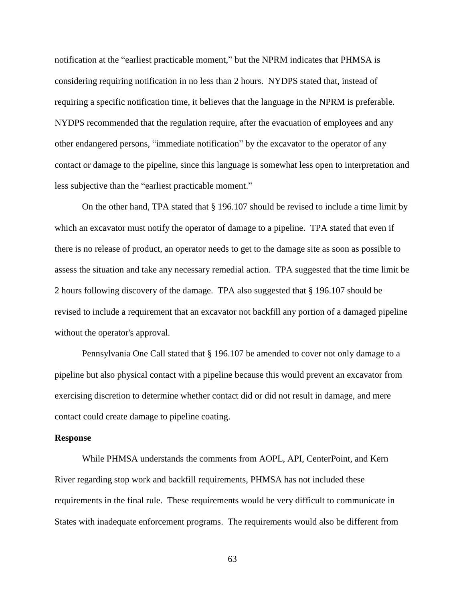notification at the "earliest practicable moment," but the NPRM indicates that PHMSA is considering requiring notification in no less than 2 hours. NYDPS stated that, instead of requiring a specific notification time, it believes that the language in the NPRM is preferable. NYDPS recommended that the regulation require, after the evacuation of employees and any other endangered persons, "immediate notification" by the excavator to the operator of any contact or damage to the pipeline, since this language is somewhat less open to interpretation and less subjective than the "earliest practicable moment."

On the other hand, TPA stated that § 196.107 should be revised to include a time limit by which an excavator must notify the operator of damage to a pipeline. TPA stated that even if there is no release of product, an operator needs to get to the damage site as soon as possible to assess the situation and take any necessary remedial action. TPA suggested that the time limit be 2 hours following discovery of the damage. TPA also suggested that § 196.107 should be revised to include a requirement that an excavator not backfill any portion of a damaged pipeline without the operator's approval.

Pennsylvania One Call stated that § 196.107 be amended to cover not only damage to a pipeline but also physical contact with a pipeline because this would prevent an excavator from exercising discretion to determine whether contact did or did not result in damage, and mere contact could create damage to pipeline coating.

#### **Response**

While PHMSA understands the comments from AOPL, API, CenterPoint, and Kern River regarding stop work and backfill requirements, PHMSA has not included these requirements in the final rule. These requirements would be very difficult to communicate in States with inadequate enforcement programs. The requirements would also be different from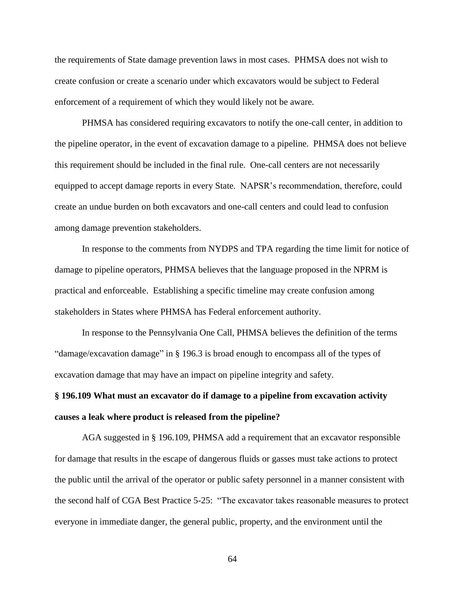the requirements of State damage prevention laws in most cases. PHMSA does not wish to create confusion or create a scenario under which excavators would be subject to Federal enforcement of a requirement of which they would likely not be aware.

PHMSA has considered requiring excavators to notify the one-call center, in addition to the pipeline operator, in the event of excavation damage to a pipeline. PHMSA does not believe this requirement should be included in the final rule. One-call centers are not necessarily equipped to accept damage reports in every State. NAPSR's recommendation, therefore, could create an undue burden on both excavators and one-call centers and could lead to confusion among damage prevention stakeholders.

In response to the comments from NYDPS and TPA regarding the time limit for notice of damage to pipeline operators, PHMSA believes that the language proposed in the NPRM is practical and enforceable. Establishing a specific timeline may create confusion among stakeholders in States where PHMSA has Federal enforcement authority.

In response to the Pennsylvania One Call, PHMSA believes the definition of the terms "damage/excavation damage" in § 196.3 is broad enough to encompass all of the types of excavation damage that may have an impact on pipeline integrity and safety.

# **§ 196.109 What must an excavator do if damage to a pipeline from excavation activity causes a leak where product is released from the pipeline?**

AGA suggested in § 196.109, PHMSA add a requirement that an excavator responsible for damage that results in the escape of dangerous fluids or gasses must take actions to protect the public until the arrival of the operator or public safety personnel in a manner consistent with the second half of CGA Best Practice 5-25: "The excavator takes reasonable measures to protect everyone in immediate danger, the general public, property, and the environment until the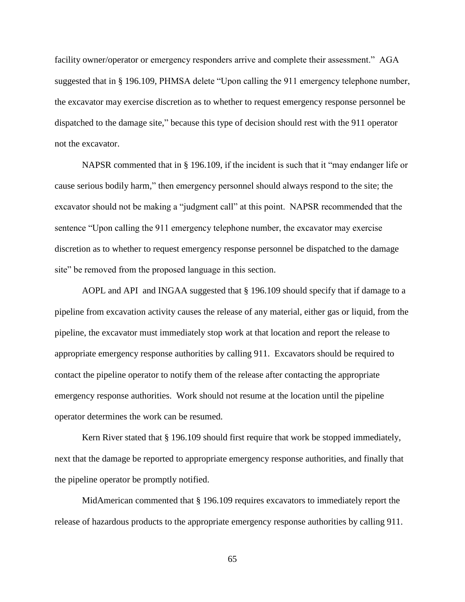facility owner/operator or emergency responders arrive and complete their assessment." AGA suggested that in § 196.109, PHMSA delete "Upon calling the 911 emergency telephone number, the excavator may exercise discretion as to whether to request emergency response personnel be dispatched to the damage site," because this type of decision should rest with the 911 operator not the excavator.

NAPSR commented that in § 196.109, if the incident is such that it "may endanger life or cause serious bodily harm," then emergency personnel should always respond to the site; the excavator should not be making a "judgment call" at this point. NAPSR recommended that the sentence "Upon calling the 911 emergency telephone number, the excavator may exercise discretion as to whether to request emergency response personnel be dispatched to the damage site" be removed from the proposed language in this section.

AOPL and API and INGAA suggested that § 196.109 should specify that if damage to a pipeline from excavation activity causes the release of any material, either gas or liquid, from the pipeline, the excavator must immediately stop work at that location and report the release to appropriate emergency response authorities by calling 911. Excavators should be required to contact the pipeline operator to notify them of the release after contacting the appropriate emergency response authorities. Work should not resume at the location until the pipeline operator determines the work can be resumed.

Kern River stated that § 196.109 should first require that work be stopped immediately, next that the damage be reported to appropriate emergency response authorities, and finally that the pipeline operator be promptly notified.

MidAmerican commented that § 196.109 requires excavators to immediately report the release of hazardous products to the appropriate emergency response authorities by calling 911.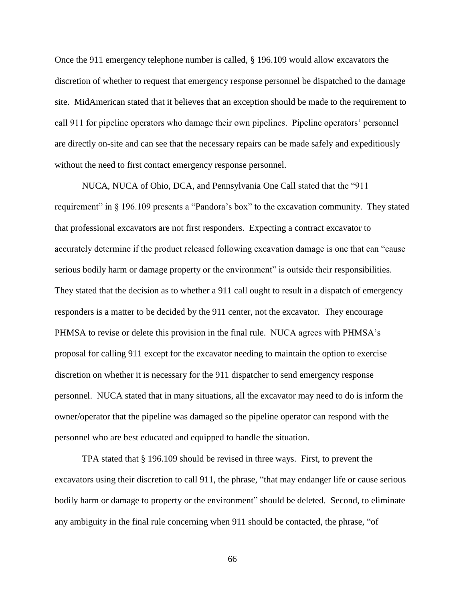Once the 911 emergency telephone number is called, § 196.109 would allow excavators the discretion of whether to request that emergency response personnel be dispatched to the damage site. MidAmerican stated that it believes that an exception should be made to the requirement to call 911 for pipeline operators who damage their own pipelines. Pipeline operators' personnel are directly on-site and can see that the necessary repairs can be made safely and expeditiously without the need to first contact emergency response personnel.

NUCA, NUCA of Ohio, DCA, and Pennsylvania One Call stated that the "911 requirement" in § 196.109 presents a "Pandora's box" to the excavation community. They stated that professional excavators are not first responders. Expecting a contract excavator to accurately determine if the product released following excavation damage is one that can "cause serious bodily harm or damage property or the environment" is outside their responsibilities. They stated that the decision as to whether a 911 call ought to result in a dispatch of emergency responders is a matter to be decided by the 911 center, not the excavator. They encourage PHMSA to revise or delete this provision in the final rule. NUCA agrees with PHMSA's proposal for calling 911 except for the excavator needing to maintain the option to exercise discretion on whether it is necessary for the 911 dispatcher to send emergency response personnel. NUCA stated that in many situations, all the excavator may need to do is inform the owner/operator that the pipeline was damaged so the pipeline operator can respond with the personnel who are best educated and equipped to handle the situation.

TPA stated that § 196.109 should be revised in three ways. First, to prevent the excavators using their discretion to call 911, the phrase, "that may endanger life or cause serious bodily harm or damage to property or the environment" should be deleted. Second, to eliminate any ambiguity in the final rule concerning when 911 should be contacted, the phrase, "of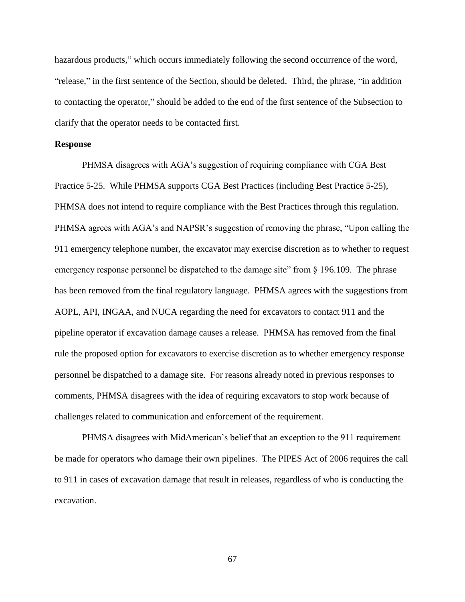hazardous products," which occurs immediately following the second occurrence of the word, "release," in the first sentence of the Section, should be deleted. Third, the phrase, "in addition to contacting the operator," should be added to the end of the first sentence of the Subsection to clarify that the operator needs to be contacted first.

### **Response**

PHMSA disagrees with AGA's suggestion of requiring compliance with CGA Best Practice 5-25. While PHMSA supports CGA Best Practices (including Best Practice 5-25), PHMSA does not intend to require compliance with the Best Practices through this regulation. PHMSA agrees with AGA's and NAPSR's suggestion of removing the phrase, "Upon calling the 911 emergency telephone number, the excavator may exercise discretion as to whether to request emergency response personnel be dispatched to the damage site" from § 196.109. The phrase has been removed from the final regulatory language. PHMSA agrees with the suggestions from AOPL, API, INGAA, and NUCA regarding the need for excavators to contact 911 and the pipeline operator if excavation damage causes a release. PHMSA has removed from the final rule the proposed option for excavators to exercise discretion as to whether emergency response personnel be dispatched to a damage site. For reasons already noted in previous responses to comments, PHMSA disagrees with the idea of requiring excavators to stop work because of challenges related to communication and enforcement of the requirement.

PHMSA disagrees with MidAmerican's belief that an exception to the 911 requirement be made for operators who damage their own pipelines. The PIPES Act of 2006 requires the call to 911 in cases of excavation damage that result in releases, regardless of who is conducting the excavation.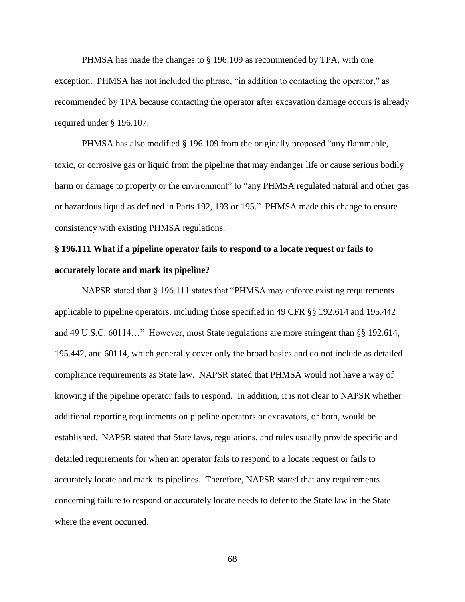PHMSA has made the changes to § 196.109 as recommended by TPA, with one exception. PHMSA has not included the phrase, "in addition to contacting the operator," as recommended by TPA because contacting the operator after excavation damage occurs is already required under § 196.107.

PHMSA has also modified § 196.109 from the originally proposed "any flammable, toxic, or corrosive gas or liquid from the pipeline that may endanger life or cause serious bodily harm or damage to property or the environment" to "any PHMSA regulated natural and other gas or hazardous liquid as defined in Parts 192, 193 or 195." PHMSA made this change to ensure consistency with existing PHMSA regulations.

## **§ 196.111 What if a pipeline operator fails to respond to a locate request or fails to accurately locate and mark its pipeline?**

NAPSR stated that § 196.111 states that "PHMSA may enforce existing requirements applicable to pipeline operators, including those specified in 49 CFR §§ 192.614 and 195.442 and 49 U.S.C. 60114…" However, most State regulations are more stringent than §§ 192.614, 195.442, and 60114, which generally cover only the broad basics and do not include as detailed compliance requirements as State law. NAPSR stated that PHMSA would not have a way of knowing if the pipeline operator fails to respond. In addition, it is not clear to NAPSR whether additional reporting requirements on pipeline operators or excavators, or both, would be established. NAPSR stated that State laws, regulations, and rules usually provide specific and detailed requirements for when an operator fails to respond to a locate request or fails to accurately locate and mark its pipelines. Therefore, NAPSR stated that any requirements concerning failure to respond or accurately locate needs to defer to the State law in the State where the event occurred.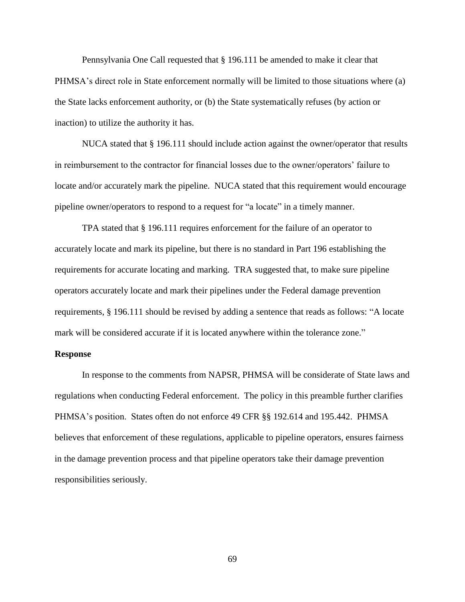Pennsylvania One Call requested that § 196.111 be amended to make it clear that PHMSA's direct role in State enforcement normally will be limited to those situations where (a) the State lacks enforcement authority, or (b) the State systematically refuses (by action or inaction) to utilize the authority it has.

NUCA stated that § 196.111 should include action against the owner/operator that results in reimbursement to the contractor for financial losses due to the owner/operators' failure to locate and/or accurately mark the pipeline. NUCA stated that this requirement would encourage pipeline owner/operators to respond to a request for "a locate" in a timely manner.

TPA stated that § 196.111 requires enforcement for the failure of an operator to accurately locate and mark its pipeline, but there is no standard in Part 196 establishing the requirements for accurate locating and marking. TRA suggested that, to make sure pipeline operators accurately locate and mark their pipelines under the Federal damage prevention requirements, § 196.111 should be revised by adding a sentence that reads as follows: "A locate mark will be considered accurate if it is located anywhere within the tolerance zone."

## **Response**

In response to the comments from NAPSR, PHMSA will be considerate of State laws and regulations when conducting Federal enforcement. The policy in this preamble further clarifies PHMSA's position. States often do not enforce 49 CFR §§ 192.614 and 195.442. PHMSA believes that enforcement of these regulations, applicable to pipeline operators, ensures fairness in the damage prevention process and that pipeline operators take their damage prevention responsibilities seriously.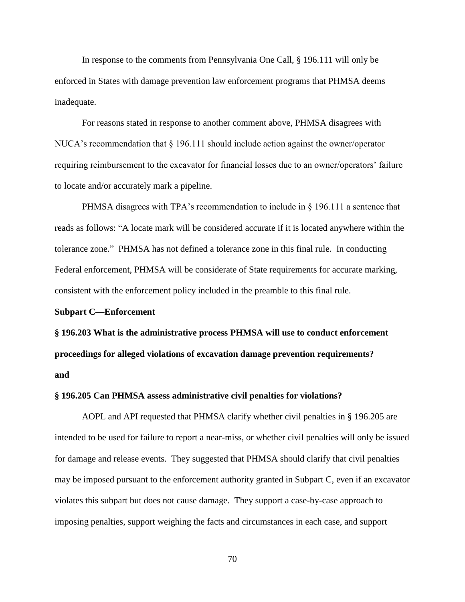In response to the comments from Pennsylvania One Call, § 196.111 will only be enforced in States with damage prevention law enforcement programs that PHMSA deems inadequate.

For reasons stated in response to another comment above, PHMSA disagrees with NUCA's recommendation that  $\S$  196.111 should include action against the owner/operator requiring reimbursement to the excavator for financial losses due to an owner/operators' failure to locate and/or accurately mark a pipeline.

PHMSA disagrees with TPA's recommendation to include in  $\S$  196.111 a sentence that reads as follows: "A locate mark will be considered accurate if it is located anywhere within the tolerance zone." PHMSA has not defined a tolerance zone in this final rule. In conducting Federal enforcement, PHMSA will be considerate of State requirements for accurate marking, consistent with the enforcement policy included in the preamble to this final rule.

#### **Subpart C—Enforcement**

**§ 196.203 What is the administrative process PHMSA will use to conduct enforcement proceedings for alleged violations of excavation damage prevention requirements? and**

## **§ 196.205 Can PHMSA assess administrative civil penalties for violations?**

AOPL and API requested that PHMSA clarify whether civil penalties in § 196.205 are intended to be used for failure to report a near-miss, or whether civil penalties will only be issued for damage and release events. They suggested that PHMSA should clarify that civil penalties may be imposed pursuant to the enforcement authority granted in Subpart C, even if an excavator violates this subpart but does not cause damage. They support a case-by-case approach to imposing penalties, support weighing the facts and circumstances in each case, and support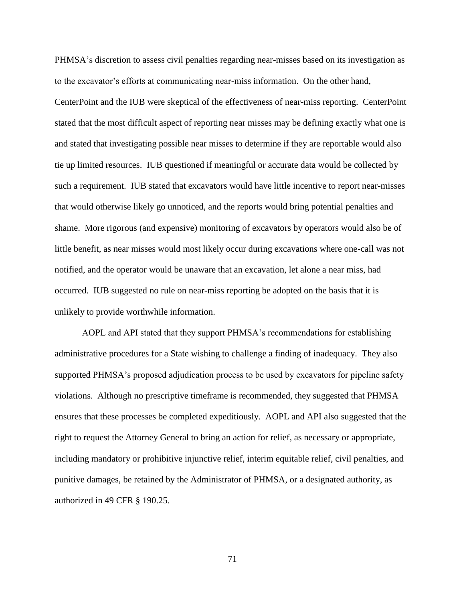PHMSA's discretion to assess civil penalties regarding near-misses based on its investigation as to the excavator's efforts at communicating near-miss information. On the other hand, CenterPoint and the IUB were skeptical of the effectiveness of near-miss reporting. CenterPoint stated that the most difficult aspect of reporting near misses may be defining exactly what one is and stated that investigating possible near misses to determine if they are reportable would also tie up limited resources. IUB questioned if meaningful or accurate data would be collected by such a requirement. IUB stated that excavators would have little incentive to report near-misses that would otherwise likely go unnoticed, and the reports would bring potential penalties and shame. More rigorous (and expensive) monitoring of excavators by operators would also be of little benefit, as near misses would most likely occur during excavations where one-call was not notified, and the operator would be unaware that an excavation, let alone a near miss, had occurred. IUB suggested no rule on near-miss reporting be adopted on the basis that it is unlikely to provide worthwhile information.

AOPL and API stated that they support PHMSA's recommendations for establishing administrative procedures for a State wishing to challenge a finding of inadequacy. They also supported PHMSA's proposed adjudication process to be used by excavators for pipeline safety violations. Although no prescriptive timeframe is recommended, they suggested that PHMSA ensures that these processes be completed expeditiously. AOPL and API also suggested that the right to request the Attorney General to bring an action for relief, as necessary or appropriate, including mandatory or prohibitive injunctive relief, interim equitable relief, civil penalties, and punitive damages, be retained by the Administrator of PHMSA, or a designated authority, as authorized in 49 CFR § 190.25.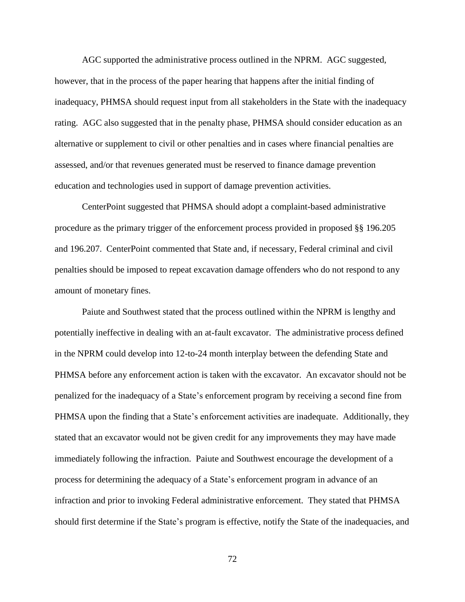AGC supported the administrative process outlined in the NPRM. AGC suggested, however, that in the process of the paper hearing that happens after the initial finding of inadequacy, PHMSA should request input from all stakeholders in the State with the inadequacy rating. AGC also suggested that in the penalty phase, PHMSA should consider education as an alternative or supplement to civil or other penalties and in cases where financial penalties are assessed, and/or that revenues generated must be reserved to finance damage prevention education and technologies used in support of damage prevention activities.

CenterPoint suggested that PHMSA should adopt a complaint-based administrative procedure as the primary trigger of the enforcement process provided in proposed §§ 196.205 and 196.207. CenterPoint commented that State and, if necessary, Federal criminal and civil penalties should be imposed to repeat excavation damage offenders who do not respond to any amount of monetary fines.

Paiute and Southwest stated that the process outlined within the NPRM is lengthy and potentially ineffective in dealing with an at-fault excavator. The administrative process defined in the NPRM could develop into 12-to-24 month interplay between the defending State and PHMSA before any enforcement action is taken with the excavator. An excavator should not be penalized for the inadequacy of a State's enforcement program by receiving a second fine from PHMSA upon the finding that a State's enforcement activities are inadequate. Additionally, they stated that an excavator would not be given credit for any improvements they may have made immediately following the infraction. Paiute and Southwest encourage the development of a process for determining the adequacy of a State's enforcement program in advance of an infraction and prior to invoking Federal administrative enforcement. They stated that PHMSA should first determine if the State's program is effective, notify the State of the inadequacies, and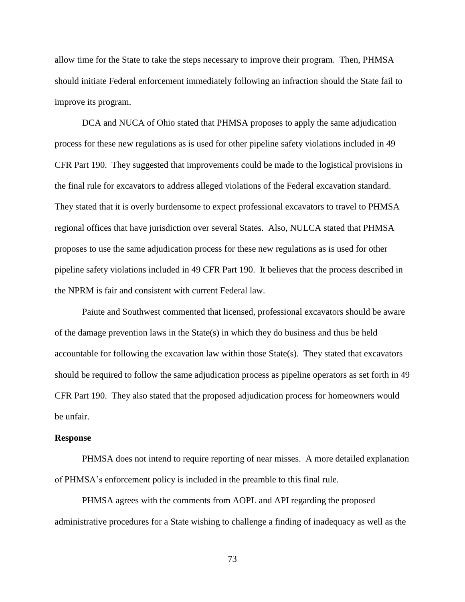allow time for the State to take the steps necessary to improve their program. Then, PHMSA should initiate Federal enforcement immediately following an infraction should the State fail to improve its program.

DCA and NUCA of Ohio stated that PHMSA proposes to apply the same adjudication process for these new regulations as is used for other pipeline safety violations included in 49 CFR Part 190. They suggested that improvements could be made to the logistical provisions in the final rule for excavators to address alleged violations of the Federal excavation standard. They stated that it is overly burdensome to expect professional excavators to travel to PHMSA regional offices that have jurisdiction over several States. Also, NULCA stated that PHMSA proposes to use the same adjudication process for these new regulations as is used for other pipeline safety violations included in 49 CFR Part 190. It believes that the process described in the NPRM is fair and consistent with current Federal law.

Paiute and Southwest commented that licensed, professional excavators should be aware of the damage prevention laws in the State(s) in which they do business and thus be held accountable for following the excavation law within those State(s). They stated that excavators should be required to follow the same adjudication process as pipeline operators as set forth in 49 CFR Part 190. They also stated that the proposed adjudication process for homeowners would be unfair.

#### **Response**

PHMSA does not intend to require reporting of near misses. A more detailed explanation of PHMSA's enforcement policy is included in the preamble to this final rule.

PHMSA agrees with the comments from AOPL and API regarding the proposed administrative procedures for a State wishing to challenge a finding of inadequacy as well as the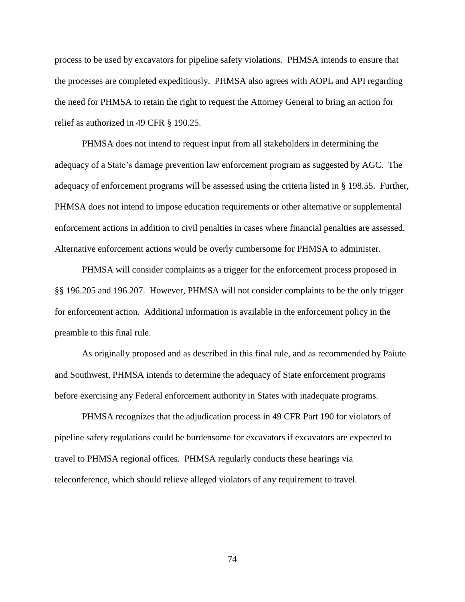process to be used by excavators for pipeline safety violations. PHMSA intends to ensure that the processes are completed expeditiously. PHMSA also agrees with AOPL and API regarding the need for PHMSA to retain the right to request the Attorney General to bring an action for relief as authorized in 49 CFR § 190.25.

PHMSA does not intend to request input from all stakeholders in determining the adequacy of a State's damage prevention law enforcement program as suggested by AGC. The adequacy of enforcement programs will be assessed using the criteria listed in § 198.55. Further, PHMSA does not intend to impose education requirements or other alternative or supplemental enforcement actions in addition to civil penalties in cases where financial penalties are assessed. Alternative enforcement actions would be overly cumbersome for PHMSA to administer.

PHMSA will consider complaints as a trigger for the enforcement process proposed in §§ 196.205 and 196.207. However, PHMSA will not consider complaints to be the only trigger for enforcement action. Additional information is available in the enforcement policy in the preamble to this final rule.

As originally proposed and as described in this final rule, and as recommended by Paiute and Southwest, PHMSA intends to determine the adequacy of State enforcement programs before exercising any Federal enforcement authority in States with inadequate programs.

PHMSA recognizes that the adjudication process in 49 CFR Part 190 for violators of pipeline safety regulations could be burdensome for excavators if excavators are expected to travel to PHMSA regional offices. PHMSA regularly conducts these hearings via teleconference, which should relieve alleged violators of any requirement to travel.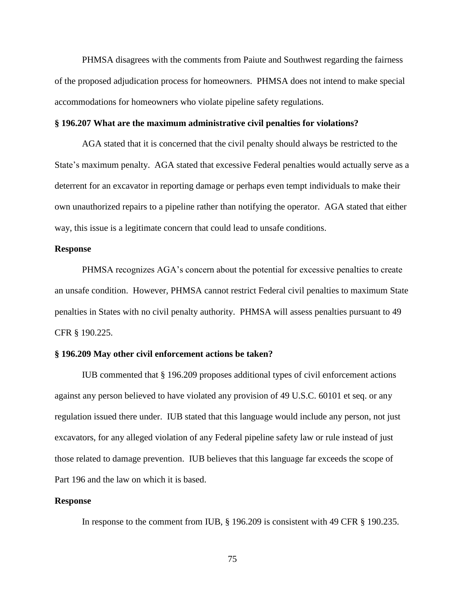PHMSA disagrees with the comments from Paiute and Southwest regarding the fairness of the proposed adjudication process for homeowners. PHMSA does not intend to make special accommodations for homeowners who violate pipeline safety regulations.

### **§ 196.207 What are the maximum administrative civil penalties for violations?**

AGA stated that it is concerned that the civil penalty should always be restricted to the State's maximum penalty. AGA stated that excessive Federal penalties would actually serve as a deterrent for an excavator in reporting damage or perhaps even tempt individuals to make their own unauthorized repairs to a pipeline rather than notifying the operator. AGA stated that either way, this issue is a legitimate concern that could lead to unsafe conditions.

## **Response**

PHMSA recognizes AGA's concern about the potential for excessive penalties to create an unsafe condition. However, PHMSA cannot restrict Federal civil penalties to maximum State penalties in States with no civil penalty authority. PHMSA will assess penalties pursuant to 49 CFR § 190.225.

### **§ 196.209 May other civil enforcement actions be taken?**

IUB commented that § 196.209 proposes additional types of civil enforcement actions against any person believed to have violated any provision of 49 U.S.C. 60101 et seq. or any regulation issued there under. IUB stated that this language would include any person, not just excavators, for any alleged violation of any Federal pipeline safety law or rule instead of just those related to damage prevention. IUB believes that this language far exceeds the scope of Part 196 and the law on which it is based.

## **Response**

In response to the comment from IUB, § 196.209 is consistent with 49 CFR § 190.235.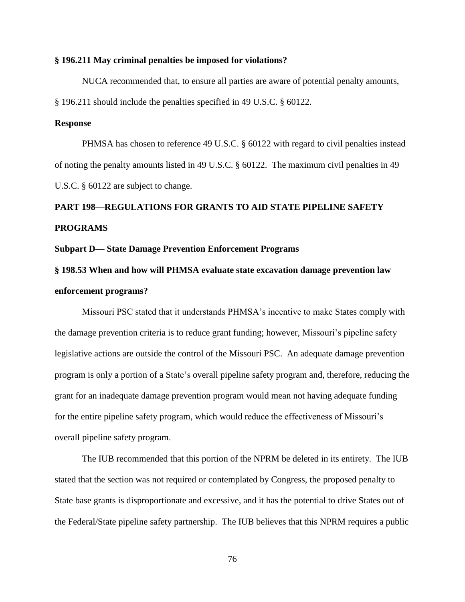#### **§ 196.211 May criminal penalties be imposed for violations?**

NUCA recommended that, to ensure all parties are aware of potential penalty amounts, § 196.211 should include the penalties specified in 49 U.S.C. § 60122.

## **Response**

PHMSA has chosen to reference 49 U.S.C. § 60122 with regard to civil penalties instead of noting the penalty amounts listed in 49 U.S.C. § 60122. The maximum civil penalties in 49 U.S.C. § 60122 are subject to change.

# **PART 198—REGULATIONS FOR GRANTS TO AID STATE PIPELINE SAFETY PROGRAMS**

#### **Subpart D— State Damage Prevention Enforcement Programs**

# **§ 198.53 When and how will PHMSA evaluate state excavation damage prevention law enforcement programs?**

Missouri PSC stated that it understands PHMSA's incentive to make States comply with the damage prevention criteria is to reduce grant funding; however, Missouri's pipeline safety legislative actions are outside the control of the Missouri PSC. An adequate damage prevention program is only a portion of a State's overall pipeline safety program and, therefore, reducing the grant for an inadequate damage prevention program would mean not having adequate funding for the entire pipeline safety program, which would reduce the effectiveness of Missouri's overall pipeline safety program.

The IUB recommended that this portion of the NPRM be deleted in its entirety. The IUB stated that the section was not required or contemplated by Congress, the proposed penalty to State base grants is disproportionate and excessive, and it has the potential to drive States out of the Federal/State pipeline safety partnership. The IUB believes that this NPRM requires a public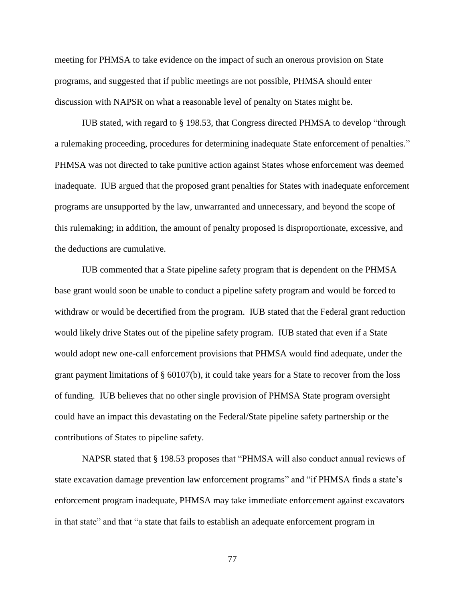meeting for PHMSA to take evidence on the impact of such an onerous provision on State programs, and suggested that if public meetings are not possible, PHMSA should enter discussion with NAPSR on what a reasonable level of penalty on States might be.

IUB stated, with regard to § 198.53, that Congress directed PHMSA to develop "through a rulemaking proceeding, procedures for determining inadequate State enforcement of penalties." PHMSA was not directed to take punitive action against States whose enforcement was deemed inadequate. IUB argued that the proposed grant penalties for States with inadequate enforcement programs are unsupported by the law, unwarranted and unnecessary, and beyond the scope of this rulemaking; in addition, the amount of penalty proposed is disproportionate, excessive, and the deductions are cumulative.

IUB commented that a State pipeline safety program that is dependent on the PHMSA base grant would soon be unable to conduct a pipeline safety program and would be forced to withdraw or would be decertified from the program. IUB stated that the Federal grant reduction would likely drive States out of the pipeline safety program. IUB stated that even if a State would adopt new one-call enforcement provisions that PHMSA would find adequate, under the grant payment limitations of § 60107(b), it could take years for a State to recover from the loss of funding. IUB believes that no other single provision of PHMSA State program oversight could have an impact this devastating on the Federal/State pipeline safety partnership or the contributions of States to pipeline safety.

NAPSR stated that § 198.53 proposes that "PHMSA will also conduct annual reviews of state excavation damage prevention law enforcement programs" and "if PHMSA finds a state's enforcement program inadequate, PHMSA may take immediate enforcement against excavators in that state" and that "a state that fails to establish an adequate enforcement program in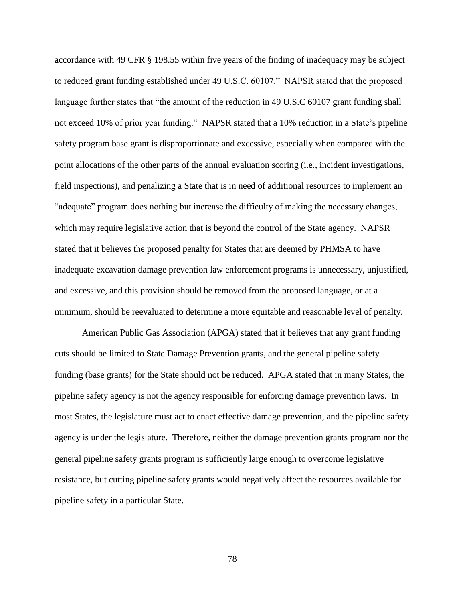accordance with 49 CFR § 198.55 within five years of the finding of inadequacy may be subject to reduced grant funding established under 49 U.S.C. 60107." NAPSR stated that the proposed language further states that "the amount of the reduction in 49 U.S.C 60107 grant funding shall not exceed 10% of prior year funding." NAPSR stated that a 10% reduction in a State's pipeline safety program base grant is disproportionate and excessive, especially when compared with the point allocations of the other parts of the annual evaluation scoring (i.e., incident investigations, field inspections), and penalizing a State that is in need of additional resources to implement an "adequate" program does nothing but increase the difficulty of making the necessary changes, which may require legislative action that is beyond the control of the State agency. NAPSR stated that it believes the proposed penalty for States that are deemed by PHMSA to have inadequate excavation damage prevention law enforcement programs is unnecessary, unjustified, and excessive, and this provision should be removed from the proposed language, or at a minimum, should be reevaluated to determine a more equitable and reasonable level of penalty.

American Public Gas Association (APGA) stated that it believes that any grant funding cuts should be limited to State Damage Prevention grants, and the general pipeline safety funding (base grants) for the State should not be reduced. APGA stated that in many States, the pipeline safety agency is not the agency responsible for enforcing damage prevention laws. In most States, the legislature must act to enact effective damage prevention, and the pipeline safety agency is under the legislature. Therefore, neither the damage prevention grants program nor the general pipeline safety grants program is sufficiently large enough to overcome legislative resistance, but cutting pipeline safety grants would negatively affect the resources available for pipeline safety in a particular State.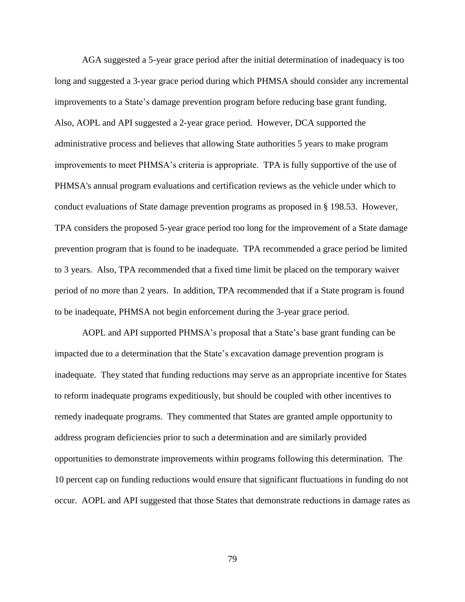AGA suggested a 5-year grace period after the initial determination of inadequacy is too long and suggested a 3-year grace period during which PHMSA should consider any incremental improvements to a State's damage prevention program before reducing base grant funding. Also, AOPL and API suggested a 2-year grace period. However, DCA supported the administrative process and believes that allowing State authorities 5 years to make program improvements to meet PHMSA's criteria is appropriate. TPA is fully supportive of the use of PHMSA's annual program evaluations and certification reviews as the vehicle under which to conduct evaluations of State damage prevention programs as proposed in § 198.53. However, TPA considers the proposed 5-year grace period too long for the improvement of a State damage prevention program that is found to be inadequate. TPA recommended a grace period be limited to 3 years. Also, TPA recommended that a fixed time limit be placed on the temporary waiver period of no more than 2 years. In addition, TPA recommended that if a State program is found to be inadequate, PHMSA not begin enforcement during the 3-year grace period.

AOPL and API supported PHMSA's proposal that a State's base grant funding can be impacted due to a determination that the State's excavation damage prevention program is inadequate. They stated that funding reductions may serve as an appropriate incentive for States to reform inadequate programs expeditiously, but should be coupled with other incentives to remedy inadequate programs. They commented that States are granted ample opportunity to address program deficiencies prior to such a determination and are similarly provided opportunities to demonstrate improvements within programs following this determination. The 10 percent cap on funding reductions would ensure that significant fluctuations in funding do not occur. AOPL and API suggested that those States that demonstrate reductions in damage rates as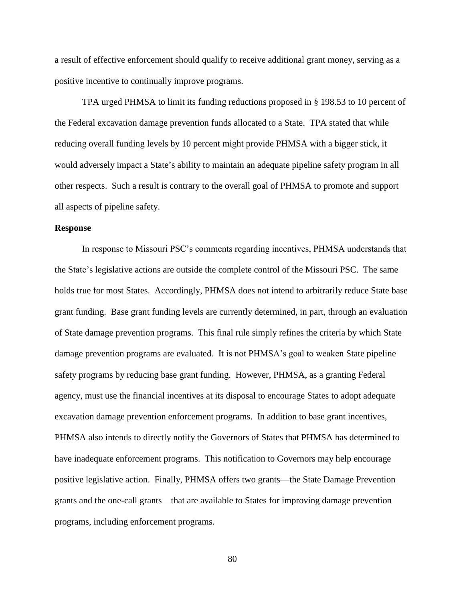a result of effective enforcement should qualify to receive additional grant money, serving as a positive incentive to continually improve programs.

TPA urged PHMSA to limit its funding reductions proposed in § 198.53 to 10 percent of the Federal excavation damage prevention funds allocated to a State. TPA stated that while reducing overall funding levels by 10 percent might provide PHMSA with a bigger stick, it would adversely impact a State's ability to maintain an adequate pipeline safety program in all other respects. Such a result is contrary to the overall goal of PHMSA to promote and support all aspects of pipeline safety.

### **Response**

In response to Missouri PSC's comments regarding incentives, PHMSA understands that the State's legislative actions are outside the complete control of the Missouri PSC. The same holds true for most States. Accordingly, PHMSA does not intend to arbitrarily reduce State base grant funding. Base grant funding levels are currently determined, in part, through an evaluation of State damage prevention programs. This final rule simply refines the criteria by which State damage prevention programs are evaluated. It is not PHMSA's goal to weaken State pipeline safety programs by reducing base grant funding. However, PHMSA, as a granting Federal agency, must use the financial incentives at its disposal to encourage States to adopt adequate excavation damage prevention enforcement programs. In addition to base grant incentives, PHMSA also intends to directly notify the Governors of States that PHMSA has determined to have inadequate enforcement programs. This notification to Governors may help encourage positive legislative action. Finally, PHMSA offers two grants—the State Damage Prevention grants and the one-call grants—that are available to States for improving damage prevention programs, including enforcement programs.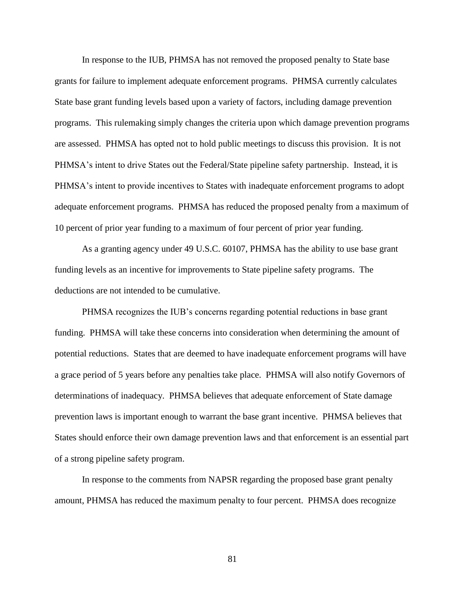In response to the IUB, PHMSA has not removed the proposed penalty to State base grants for failure to implement adequate enforcement programs. PHMSA currently calculates State base grant funding levels based upon a variety of factors, including damage prevention programs. This rulemaking simply changes the criteria upon which damage prevention programs are assessed. PHMSA has opted not to hold public meetings to discuss this provision. It is not PHMSA's intent to drive States out the Federal/State pipeline safety partnership. Instead, it is PHMSA's intent to provide incentives to States with inadequate enforcement programs to adopt adequate enforcement programs. PHMSA has reduced the proposed penalty from a maximum of 10 percent of prior year funding to a maximum of four percent of prior year funding.

As a granting agency under 49 U.S.C. 60107, PHMSA has the ability to use base grant funding levels as an incentive for improvements to State pipeline safety programs. The deductions are not intended to be cumulative.

PHMSA recognizes the IUB's concerns regarding potential reductions in base grant funding. PHMSA will take these concerns into consideration when determining the amount of potential reductions. States that are deemed to have inadequate enforcement programs will have a grace period of 5 years before any penalties take place. PHMSA will also notify Governors of determinations of inadequacy. PHMSA believes that adequate enforcement of State damage prevention laws is important enough to warrant the base grant incentive. PHMSA believes that States should enforce their own damage prevention laws and that enforcement is an essential part of a strong pipeline safety program.

In response to the comments from NAPSR regarding the proposed base grant penalty amount, PHMSA has reduced the maximum penalty to four percent. PHMSA does recognize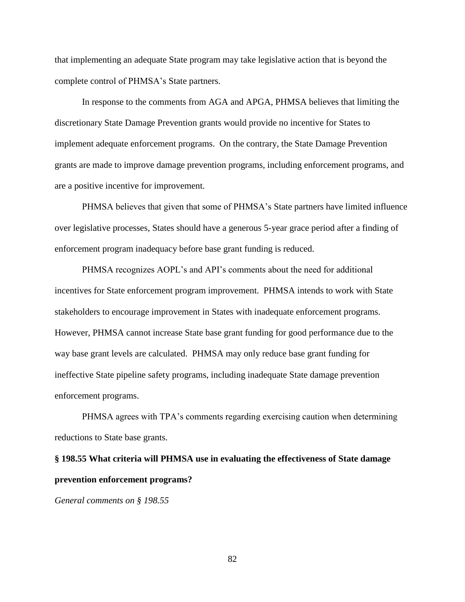that implementing an adequate State program may take legislative action that is beyond the complete control of PHMSA's State partners.

In response to the comments from AGA and APGA, PHMSA believes that limiting the discretionary State Damage Prevention grants would provide no incentive for States to implement adequate enforcement programs. On the contrary, the State Damage Prevention grants are made to improve damage prevention programs, including enforcement programs, and are a positive incentive for improvement.

PHMSA believes that given that some of PHMSA's State partners have limited influence over legislative processes, States should have a generous 5-year grace period after a finding of enforcement program inadequacy before base grant funding is reduced.

PHMSA recognizes AOPL's and API's comments about the need for additional incentives for State enforcement program improvement. PHMSA intends to work with State stakeholders to encourage improvement in States with inadequate enforcement programs. However, PHMSA cannot increase State base grant funding for good performance due to the way base grant levels are calculated. PHMSA may only reduce base grant funding for ineffective State pipeline safety programs, including inadequate State damage prevention enforcement programs.

PHMSA agrees with TPA's comments regarding exercising caution when determining reductions to State base grants.

# **§ 198.55 What criteria will PHMSA use in evaluating the effectiveness of State damage prevention enforcement programs?**

*General comments on § 198.55*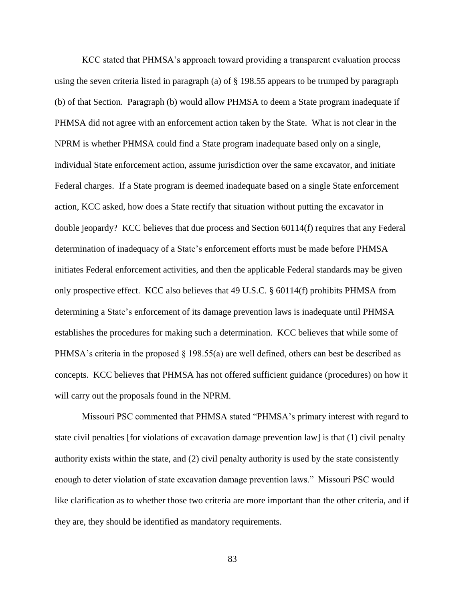KCC stated that PHMSA's approach toward providing a transparent evaluation process using the seven criteria listed in paragraph (a) of § 198.55 appears to be trumped by paragraph (b) of that Section. Paragraph (b) would allow PHMSA to deem a State program inadequate if PHMSA did not agree with an enforcement action taken by the State. What is not clear in the NPRM is whether PHMSA could find a State program inadequate based only on a single, individual State enforcement action, assume jurisdiction over the same excavator, and initiate Federal charges. If a State program is deemed inadequate based on a single State enforcement action, KCC asked, how does a State rectify that situation without putting the excavator in double jeopardy? KCC believes that due process and Section 60114(f) requires that any Federal determination of inadequacy of a State's enforcement efforts must be made before PHMSA initiates Federal enforcement activities, and then the applicable Federal standards may be given only prospective effect. KCC also believes that 49 U.S.C. § 60114(f) prohibits PHMSA from determining a State's enforcement of its damage prevention laws is inadequate until PHMSA establishes the procedures for making such a determination. KCC believes that while some of PHMSA's criteria in the proposed § 198.55(a) are well defined, others can best be described as concepts. KCC believes that PHMSA has not offered sufficient guidance (procedures) on how it will carry out the proposals found in the NPRM.

Missouri PSC commented that PHMSA stated "PHMSA's primary interest with regard to state civil penalties [for violations of excavation damage prevention law] is that (1) civil penalty authority exists within the state, and (2) civil penalty authority is used by the state consistently enough to deter violation of state excavation damage prevention laws." Missouri PSC would like clarification as to whether those two criteria are more important than the other criteria, and if they are, they should be identified as mandatory requirements.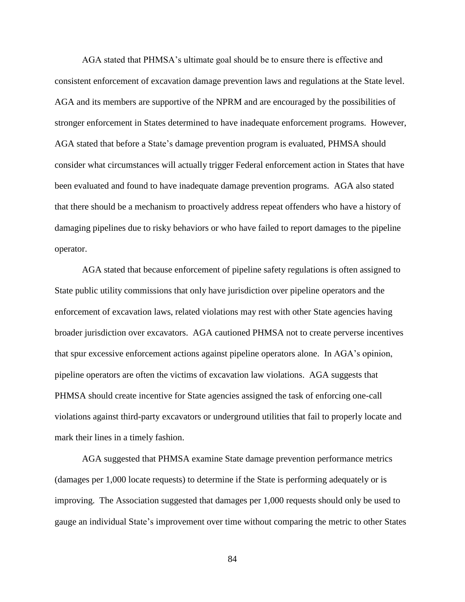AGA stated that PHMSA's ultimate goal should be to ensure there is effective and consistent enforcement of excavation damage prevention laws and regulations at the State level. AGA and its members are supportive of the NPRM and are encouraged by the possibilities of stronger enforcement in States determined to have inadequate enforcement programs. However, AGA stated that before a State's damage prevention program is evaluated, PHMSA should consider what circumstances will actually trigger Federal enforcement action in States that have been evaluated and found to have inadequate damage prevention programs. AGA also stated that there should be a mechanism to proactively address repeat offenders who have a history of damaging pipelines due to risky behaviors or who have failed to report damages to the pipeline operator.

AGA stated that because enforcement of pipeline safety regulations is often assigned to State public utility commissions that only have jurisdiction over pipeline operators and the enforcement of excavation laws, related violations may rest with other State agencies having broader jurisdiction over excavators. AGA cautioned PHMSA not to create perverse incentives that spur excessive enforcement actions against pipeline operators alone. In AGA's opinion, pipeline operators are often the victims of excavation law violations. AGA suggests that PHMSA should create incentive for State agencies assigned the task of enforcing one-call violations against third-party excavators or underground utilities that fail to properly locate and mark their lines in a timely fashion.

AGA suggested that PHMSA examine State damage prevention performance metrics (damages per 1,000 locate requests) to determine if the State is performing adequately or is improving. The Association suggested that damages per 1,000 requests should only be used to gauge an individual State's improvement over time without comparing the metric to other States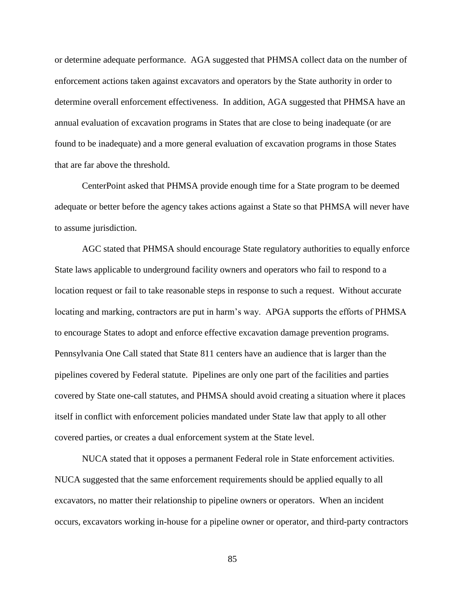or determine adequate performance. AGA suggested that PHMSA collect data on the number of enforcement actions taken against excavators and operators by the State authority in order to determine overall enforcement effectiveness. In addition, AGA suggested that PHMSA have an annual evaluation of excavation programs in States that are close to being inadequate (or are found to be inadequate) and a more general evaluation of excavation programs in those States that are far above the threshold.

CenterPoint asked that PHMSA provide enough time for a State program to be deemed adequate or better before the agency takes actions against a State so that PHMSA will never have to assume jurisdiction.

AGC stated that PHMSA should encourage State regulatory authorities to equally enforce State laws applicable to underground facility owners and operators who fail to respond to a location request or fail to take reasonable steps in response to such a request. Without accurate locating and marking, contractors are put in harm's way. APGA supports the efforts of PHMSA to encourage States to adopt and enforce effective excavation damage prevention programs. Pennsylvania One Call stated that State 811 centers have an audience that is larger than the pipelines covered by Federal statute. Pipelines are only one part of the facilities and parties covered by State one-call statutes, and PHMSA should avoid creating a situation where it places itself in conflict with enforcement policies mandated under State law that apply to all other covered parties, or creates a dual enforcement system at the State level.

NUCA stated that it opposes a permanent Federal role in State enforcement activities. NUCA suggested that the same enforcement requirements should be applied equally to all excavators, no matter their relationship to pipeline owners or operators. When an incident occurs, excavators working in-house for a pipeline owner or operator, and third-party contractors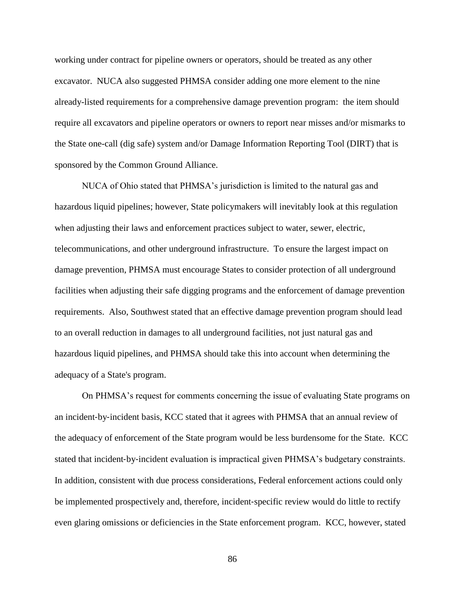working under contract for pipeline owners or operators, should be treated as any other excavator. NUCA also suggested PHMSA consider adding one more element to the nine already-listed requirements for a comprehensive damage prevention program: the item should require all excavators and pipeline operators or owners to report near misses and/or mismarks to the State one-call (dig safe) system and/or Damage Information Reporting Tool (DIRT) that is sponsored by the Common Ground Alliance.

NUCA of Ohio stated that PHMSA's jurisdiction is limited to the natural gas and hazardous liquid pipelines; however, State policymakers will inevitably look at this regulation when adjusting their laws and enforcement practices subject to water, sewer, electric, telecommunications, and other underground infrastructure. To ensure the largest impact on damage prevention, PHMSA must encourage States to consider protection of all underground facilities when adjusting their safe digging programs and the enforcement of damage prevention requirements. Also, Southwest stated that an effective damage prevention program should lead to an overall reduction in damages to all underground facilities, not just natural gas and hazardous liquid pipelines, and PHMSA should take this into account when determining the adequacy of a State's program.

On PHMSA's request for comments concerning the issue of evaluating State programs on an incident‐by‐incident basis, KCC stated that it agrees with PHMSA that an annual review of the adequacy of enforcement of the State program would be less burdensome for the State. KCC stated that incident‐by‐incident evaluation is impractical given PHMSA's budgetary constraints. In addition, consistent with due process considerations, Federal enforcement actions could only be implemented prospectively and, therefore, incident‐specific review would do little to rectify even glaring omissions or deficiencies in the State enforcement program. KCC, however, stated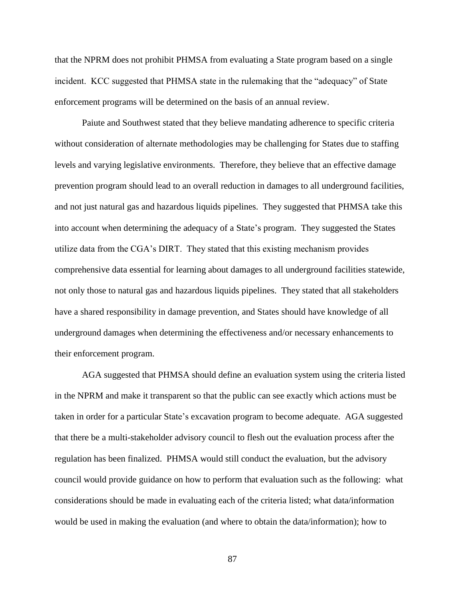that the NPRM does not prohibit PHMSA from evaluating a State program based on a single incident. KCC suggested that PHMSA state in the rulemaking that the "adequacy" of State enforcement programs will be determined on the basis of an annual review.

Paiute and Southwest stated that they believe mandating adherence to specific criteria without consideration of alternate methodologies may be challenging for States due to staffing levels and varying legislative environments. Therefore, they believe that an effective damage prevention program should lead to an overall reduction in damages to all underground facilities, and not just natural gas and hazardous liquids pipelines. They suggested that PHMSA take this into account when determining the adequacy of a State's program. They suggested the States utilize data from the CGA's DIRT. They stated that this existing mechanism provides comprehensive data essential for learning about damages to all underground facilities statewide, not only those to natural gas and hazardous liquids pipelines. They stated that all stakeholders have a shared responsibility in damage prevention, and States should have knowledge of all underground damages when determining the effectiveness and/or necessary enhancements to their enforcement program.

AGA suggested that PHMSA should define an evaluation system using the criteria listed in the NPRM and make it transparent so that the public can see exactly which actions must be taken in order for a particular State's excavation program to become adequate. AGA suggested that there be a multi-stakeholder advisory council to flesh out the evaluation process after the regulation has been finalized. PHMSA would still conduct the evaluation, but the advisory council would provide guidance on how to perform that evaluation such as the following: what considerations should be made in evaluating each of the criteria listed; what data/information would be used in making the evaluation (and where to obtain the data/information); how to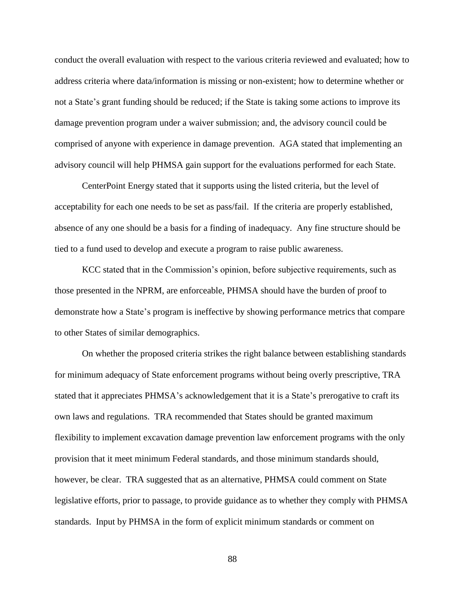conduct the overall evaluation with respect to the various criteria reviewed and evaluated; how to address criteria where data/information is missing or non-existent; how to determine whether or not a State's grant funding should be reduced; if the State is taking some actions to improve its damage prevention program under a waiver submission; and, the advisory council could be comprised of anyone with experience in damage prevention. AGA stated that implementing an advisory council will help PHMSA gain support for the evaluations performed for each State.

CenterPoint Energy stated that it supports using the listed criteria, but the level of acceptability for each one needs to be set as pass/fail. If the criteria are properly established, absence of any one should be a basis for a finding of inadequacy. Any fine structure should be tied to a fund used to develop and execute a program to raise public awareness.

KCC stated that in the Commission's opinion, before subjective requirements, such as those presented in the NPRM, are enforceable, PHMSA should have the burden of proof to demonstrate how a State's program is ineffective by showing performance metrics that compare to other States of similar demographics.

On whether the proposed criteria strikes the right balance between establishing standards for minimum adequacy of State enforcement programs without being overly prescriptive, TRA stated that it appreciates PHMSA's acknowledgement that it is a State's prerogative to craft its own laws and regulations. TRA recommended that States should be granted maximum flexibility to implement excavation damage prevention law enforcement programs with the only provision that it meet minimum Federal standards, and those minimum standards should, however, be clear. TRA suggested that as an alternative, PHMSA could comment on State legislative efforts, prior to passage, to provide guidance as to whether they comply with PHMSA standards. Input by PHMSA in the form of explicit minimum standards or comment on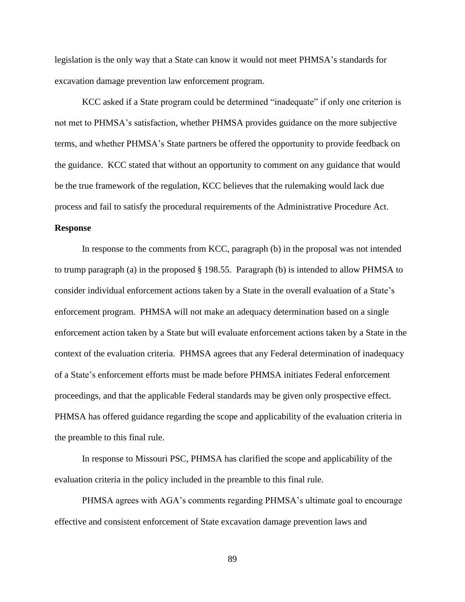legislation is the only way that a State can know it would not meet PHMSA's standards for excavation damage prevention law enforcement program.

KCC asked if a State program could be determined "inadequate" if only one criterion is not met to PHMSA's satisfaction, whether PHMSA provides guidance on the more subjective terms, and whether PHMSA's State partners be offered the opportunity to provide feedback on the guidance. KCC stated that without an opportunity to comment on any guidance that would be the true framework of the regulation, KCC believes that the rulemaking would lack due process and fail to satisfy the procedural requirements of the Administrative Procedure Act.

## **Response**

In response to the comments from KCC, paragraph (b) in the proposal was not intended to trump paragraph (a) in the proposed § 198.55. Paragraph (b) is intended to allow PHMSA to consider individual enforcement actions taken by a State in the overall evaluation of a State's enforcement program. PHMSA will not make an adequacy determination based on a single enforcement action taken by a State but will evaluate enforcement actions taken by a State in the context of the evaluation criteria. PHMSA agrees that any Federal determination of inadequacy of a State's enforcement efforts must be made before PHMSA initiates Federal enforcement proceedings, and that the applicable Federal standards may be given only prospective effect. PHMSA has offered guidance regarding the scope and applicability of the evaluation criteria in the preamble to this final rule.

In response to Missouri PSC, PHMSA has clarified the scope and applicability of the evaluation criteria in the policy included in the preamble to this final rule.

PHMSA agrees with AGA's comments regarding PHMSA's ultimate goal to encourage effective and consistent enforcement of State excavation damage prevention laws and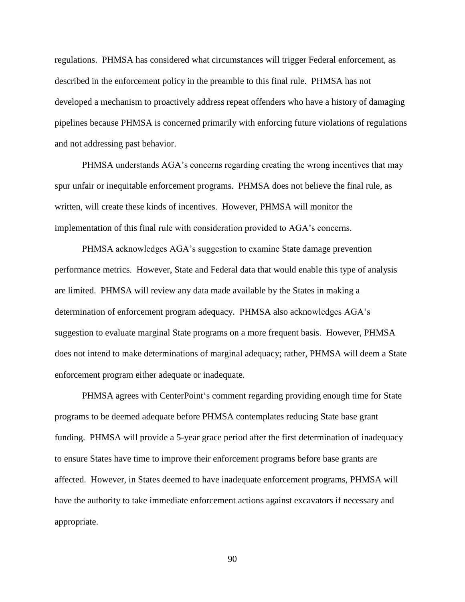regulations. PHMSA has considered what circumstances will trigger Federal enforcement, as described in the enforcement policy in the preamble to this final rule. PHMSA has not developed a mechanism to proactively address repeat offenders who have a history of damaging pipelines because PHMSA is concerned primarily with enforcing future violations of regulations and not addressing past behavior.

PHMSA understands AGA's concerns regarding creating the wrong incentives that may spur unfair or inequitable enforcement programs. PHMSA does not believe the final rule, as written, will create these kinds of incentives. However, PHMSA will monitor the implementation of this final rule with consideration provided to AGA's concerns.

PHMSA acknowledges AGA's suggestion to examine State damage prevention performance metrics. However, State and Federal data that would enable this type of analysis are limited. PHMSA will review any data made available by the States in making a determination of enforcement program adequacy. PHMSA also acknowledges AGA's suggestion to evaluate marginal State programs on a more frequent basis. However, PHMSA does not intend to make determinations of marginal adequacy; rather, PHMSA will deem a State enforcement program either adequate or inadequate.

PHMSA agrees with CenterPoint's comment regarding providing enough time for State programs to be deemed adequate before PHMSA contemplates reducing State base grant funding. PHMSA will provide a 5-year grace period after the first determination of inadequacy to ensure States have time to improve their enforcement programs before base grants are affected. However, in States deemed to have inadequate enforcement programs, PHMSA will have the authority to take immediate enforcement actions against excavators if necessary and appropriate.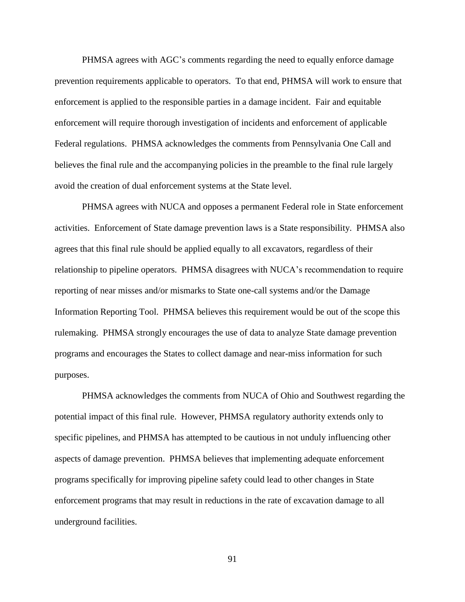PHMSA agrees with AGC's comments regarding the need to equally enforce damage prevention requirements applicable to operators. To that end, PHMSA will work to ensure that enforcement is applied to the responsible parties in a damage incident. Fair and equitable enforcement will require thorough investigation of incidents and enforcement of applicable Federal regulations. PHMSA acknowledges the comments from Pennsylvania One Call and believes the final rule and the accompanying policies in the preamble to the final rule largely avoid the creation of dual enforcement systems at the State level.

PHMSA agrees with NUCA and opposes a permanent Federal role in State enforcement activities. Enforcement of State damage prevention laws is a State responsibility. PHMSA also agrees that this final rule should be applied equally to all excavators, regardless of their relationship to pipeline operators. PHMSA disagrees with NUCA's recommendation to require reporting of near misses and/or mismarks to State one-call systems and/or the Damage Information Reporting Tool. PHMSA believes this requirement would be out of the scope this rulemaking. PHMSA strongly encourages the use of data to analyze State damage prevention programs and encourages the States to collect damage and near-miss information for such purposes.

PHMSA acknowledges the comments from NUCA of Ohio and Southwest regarding the potential impact of this final rule. However, PHMSA regulatory authority extends only to specific pipelines, and PHMSA has attempted to be cautious in not unduly influencing other aspects of damage prevention. PHMSA believes that implementing adequate enforcement programs specifically for improving pipeline safety could lead to other changes in State enforcement programs that may result in reductions in the rate of excavation damage to all underground facilities.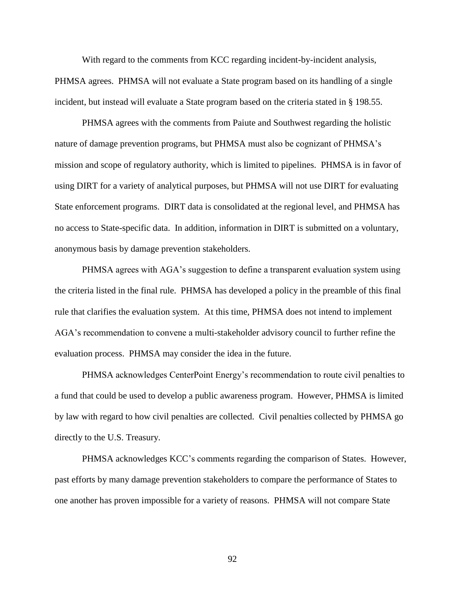With regard to the comments from KCC regarding incident-by-incident analysis, PHMSA agrees. PHMSA will not evaluate a State program based on its handling of a single incident, but instead will evaluate a State program based on the criteria stated in § 198.55.

PHMSA agrees with the comments from Paiute and Southwest regarding the holistic nature of damage prevention programs, but PHMSA must also be cognizant of PHMSA's mission and scope of regulatory authority, which is limited to pipelines. PHMSA is in favor of using DIRT for a variety of analytical purposes, but PHMSA will not use DIRT for evaluating State enforcement programs. DIRT data is consolidated at the regional level, and PHMSA has no access to State-specific data. In addition, information in DIRT is submitted on a voluntary, anonymous basis by damage prevention stakeholders.

PHMSA agrees with AGA's suggestion to define a transparent evaluation system using the criteria listed in the final rule. PHMSA has developed a policy in the preamble of this final rule that clarifies the evaluation system. At this time, PHMSA does not intend to implement AGA's recommendation to convene a multi-stakeholder advisory council to further refine the evaluation process. PHMSA may consider the idea in the future.

PHMSA acknowledges CenterPoint Energy's recommendation to route civil penalties to a fund that could be used to develop a public awareness program. However, PHMSA is limited by law with regard to how civil penalties are collected. Civil penalties collected by PHMSA go directly to the U.S. Treasury.

PHMSA acknowledges KCC's comments regarding the comparison of States. However, past efforts by many damage prevention stakeholders to compare the performance of States to one another has proven impossible for a variety of reasons. PHMSA will not compare State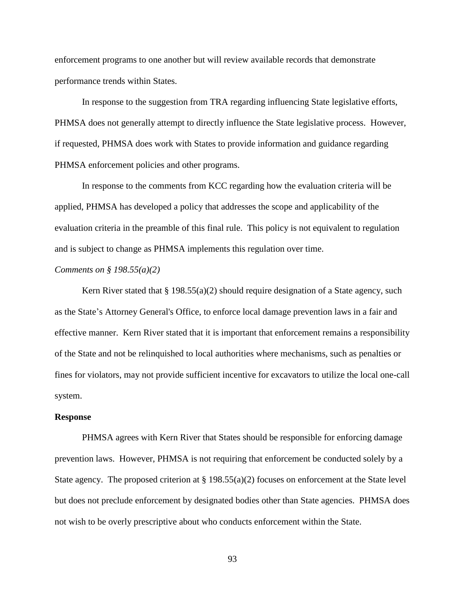enforcement programs to one another but will review available records that demonstrate performance trends within States.

In response to the suggestion from TRA regarding influencing State legislative efforts, PHMSA does not generally attempt to directly influence the State legislative process. However, if requested, PHMSA does work with States to provide information and guidance regarding PHMSA enforcement policies and other programs.

In response to the comments from KCC regarding how the evaluation criteria will be applied, PHMSA has developed a policy that addresses the scope and applicability of the evaluation criteria in the preamble of this final rule. This policy is not equivalent to regulation and is subject to change as PHMSA implements this regulation over time.

## *Comments on § 198.55(a)(2)*

Kern River stated that  $\S 198.55(a)(2)$  should require designation of a State agency, such as the State's Attorney General's Office, to enforce local damage prevention laws in a fair and effective manner. Kern River stated that it is important that enforcement remains a responsibility of the State and not be relinquished to local authorities where mechanisms, such as penalties or fines for violators, may not provide sufficient incentive for excavators to utilize the local one-call system.

#### **Response**

PHMSA agrees with Kern River that States should be responsible for enforcing damage prevention laws. However, PHMSA is not requiring that enforcement be conducted solely by a State agency. The proposed criterion at  $\S 198.55(a)(2)$  focuses on enforcement at the State level but does not preclude enforcement by designated bodies other than State agencies. PHMSA does not wish to be overly prescriptive about who conducts enforcement within the State.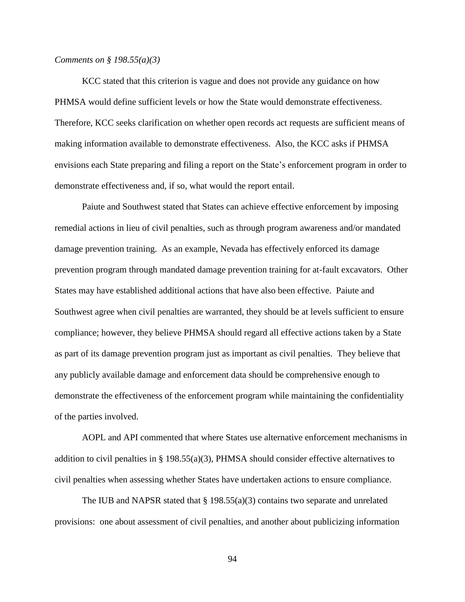#### *Comments on § 198.55(a)(3)*

KCC stated that this criterion is vague and does not provide any guidance on how PHMSA would define sufficient levels or how the State would demonstrate effectiveness. Therefore, KCC seeks clarification on whether open records act requests are sufficient means of making information available to demonstrate effectiveness. Also, the KCC asks if PHMSA envisions each State preparing and filing a report on the State's enforcement program in order to demonstrate effectiveness and, if so, what would the report entail.

Paiute and Southwest stated that States can achieve effective enforcement by imposing remedial actions in lieu of civil penalties, such as through program awareness and/or mandated damage prevention training. As an example, Nevada has effectively enforced its damage prevention program through mandated damage prevention training for at-fault excavators. Other States may have established additional actions that have also been effective. Paiute and Southwest agree when civil penalties are warranted, they should be at levels sufficient to ensure compliance; however, they believe PHMSA should regard all effective actions taken by a State as part of its damage prevention program just as important as civil penalties. They believe that any publicly available damage and enforcement data should be comprehensive enough to demonstrate the effectiveness of the enforcement program while maintaining the confidentiality of the parties involved.

AOPL and API commented that where States use alternative enforcement mechanisms in addition to civil penalties in § 198.55(a)(3), PHMSA should consider effective alternatives to civil penalties when assessing whether States have undertaken actions to ensure compliance.

The IUB and NAPSR stated that  $\S 198.55(a)(3)$  contains two separate and unrelated provisions: one about assessment of civil penalties, and another about publicizing information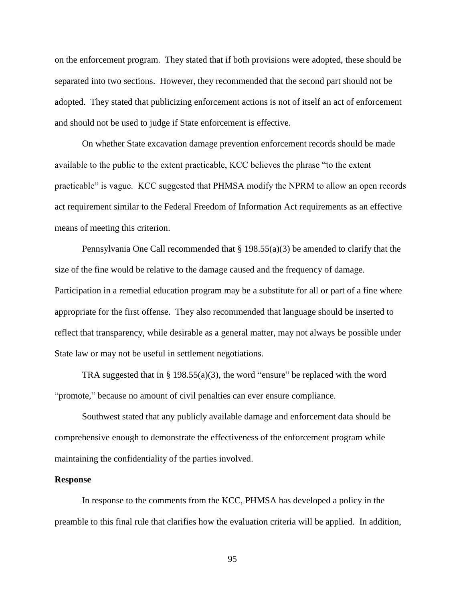on the enforcement program. They stated that if both provisions were adopted, these should be separated into two sections. However, they recommended that the second part should not be adopted. They stated that publicizing enforcement actions is not of itself an act of enforcement and should not be used to judge if State enforcement is effective.

On whether State excavation damage prevention enforcement records should be made available to the public to the extent practicable, KCC believes the phrase "to the extent practicable" is vague. KCC suggested that PHMSA modify the NPRM to allow an open records act requirement similar to the Federal Freedom of Information Act requirements as an effective means of meeting this criterion.

Pennsylvania One Call recommended that  $\S 198.55(a)(3)$  be amended to clarify that the size of the fine would be relative to the damage caused and the frequency of damage. Participation in a remedial education program may be a substitute for all or part of a fine where appropriate for the first offense. They also recommended that language should be inserted to reflect that transparency, while desirable as a general matter, may not always be possible under State law or may not be useful in settlement negotiations.

TRA suggested that in § 198.55(a)(3), the word "ensure" be replaced with the word "promote," because no amount of civil penalties can ever ensure compliance.

Southwest stated that any publicly available damage and enforcement data should be comprehensive enough to demonstrate the effectiveness of the enforcement program while maintaining the confidentiality of the parties involved.

#### **Response**

In response to the comments from the KCC, PHMSA has developed a policy in the preamble to this final rule that clarifies how the evaluation criteria will be applied. In addition,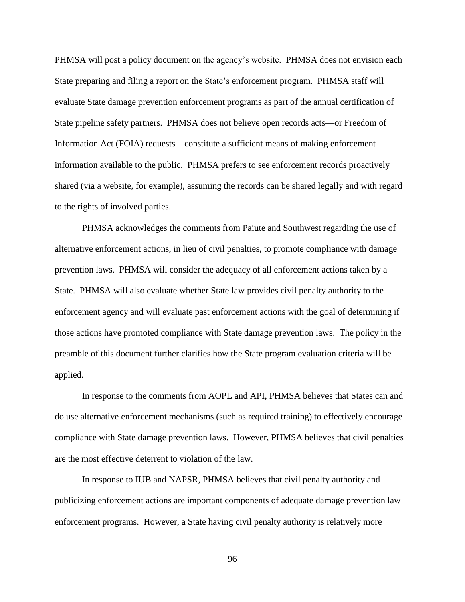PHMSA will post a policy document on the agency's website. PHMSA does not envision each State preparing and filing a report on the State's enforcement program. PHMSA staff will evaluate State damage prevention enforcement programs as part of the annual certification of State pipeline safety partners. PHMSA does not believe open records acts—or Freedom of Information Act (FOIA) requests—constitute a sufficient means of making enforcement information available to the public. PHMSA prefers to see enforcement records proactively shared (via a website, for example), assuming the records can be shared legally and with regard to the rights of involved parties.

PHMSA acknowledges the comments from Paiute and Southwest regarding the use of alternative enforcement actions, in lieu of civil penalties, to promote compliance with damage prevention laws. PHMSA will consider the adequacy of all enforcement actions taken by a State. PHMSA will also evaluate whether State law provides civil penalty authority to the enforcement agency and will evaluate past enforcement actions with the goal of determining if those actions have promoted compliance with State damage prevention laws. The policy in the preamble of this document further clarifies how the State program evaluation criteria will be applied.

In response to the comments from AOPL and API, PHMSA believes that States can and do use alternative enforcement mechanisms (such as required training) to effectively encourage compliance with State damage prevention laws. However, PHMSA believes that civil penalties are the most effective deterrent to violation of the law.

In response to IUB and NAPSR, PHMSA believes that civil penalty authority and publicizing enforcement actions are important components of adequate damage prevention law enforcement programs. However, a State having civil penalty authority is relatively more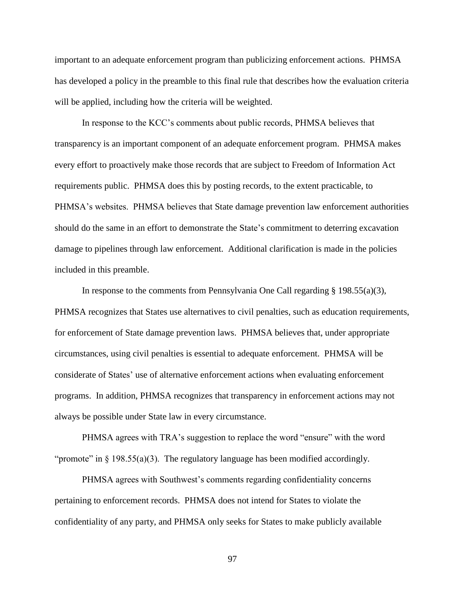important to an adequate enforcement program than publicizing enforcement actions. PHMSA has developed a policy in the preamble to this final rule that describes how the evaluation criteria will be applied, including how the criteria will be weighted.

In response to the KCC's comments about public records, PHMSA believes that transparency is an important component of an adequate enforcement program. PHMSA makes every effort to proactively make those records that are subject to Freedom of Information Act requirements public. PHMSA does this by posting records, to the extent practicable, to PHMSA's websites. PHMSA believes that State damage prevention law enforcement authorities should do the same in an effort to demonstrate the State's commitment to deterring excavation damage to pipelines through law enforcement. Additional clarification is made in the policies included in this preamble.

In response to the comments from Pennsylvania One Call regarding  $\S$  198.55(a)(3), PHMSA recognizes that States use alternatives to civil penalties, such as education requirements, for enforcement of State damage prevention laws. PHMSA believes that, under appropriate circumstances, using civil penalties is essential to adequate enforcement. PHMSA will be considerate of States' use of alternative enforcement actions when evaluating enforcement programs. In addition, PHMSA recognizes that transparency in enforcement actions may not always be possible under State law in every circumstance.

PHMSA agrees with TRA's suggestion to replace the word "ensure" with the word "promote" in  $\S$  198.55(a)(3). The regulatory language has been modified accordingly.

PHMSA agrees with Southwest's comments regarding confidentiality concerns pertaining to enforcement records. PHMSA does not intend for States to violate the confidentiality of any party, and PHMSA only seeks for States to make publicly available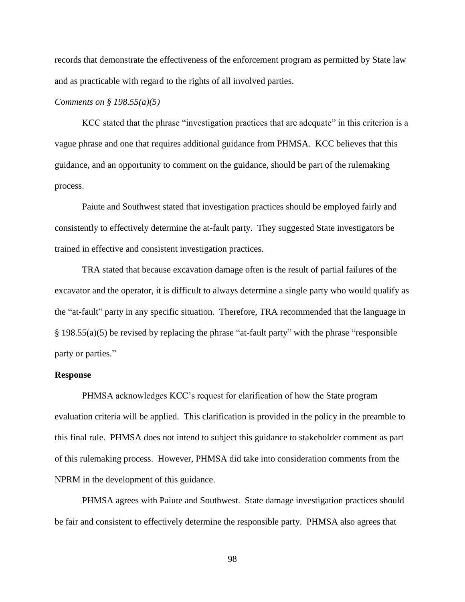records that demonstrate the effectiveness of the enforcement program as permitted by State law and as practicable with regard to the rights of all involved parties.

## *Comments on § 198.55(a)(5)*

KCC stated that the phrase "investigation practices that are adequate" in this criterion is a vague phrase and one that requires additional guidance from PHMSA. KCC believes that this guidance, and an opportunity to comment on the guidance, should be part of the rulemaking process.

Paiute and Southwest stated that investigation practices should be employed fairly and consistently to effectively determine the at-fault party. They suggested State investigators be trained in effective and consistent investigation practices.

TRA stated that because excavation damage often is the result of partial failures of the excavator and the operator, it is difficult to always determine a single party who would qualify as the "at-fault" party in any specific situation. Therefore, TRA recommended that the language in § 198.55(a)(5) be revised by replacing the phrase "at-fault party" with the phrase "responsible party or parties."

#### **Response**

PHMSA acknowledges KCC's request for clarification of how the State program evaluation criteria will be applied. This clarification is provided in the policy in the preamble to this final rule. PHMSA does not intend to subject this guidance to stakeholder comment as part of this rulemaking process. However, PHMSA did take into consideration comments from the NPRM in the development of this guidance.

PHMSA agrees with Paiute and Southwest. State damage investigation practices should be fair and consistent to effectively determine the responsible party. PHMSA also agrees that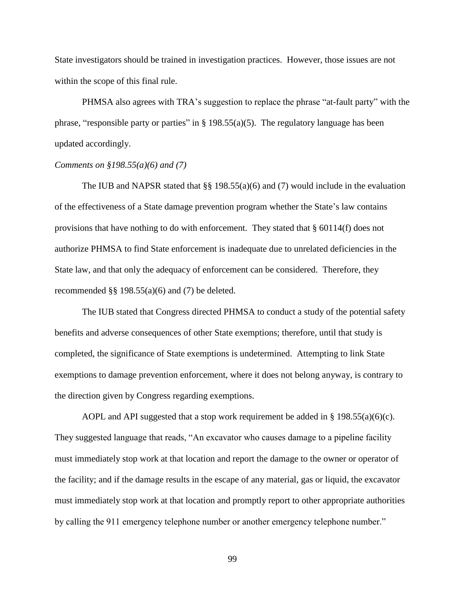State investigators should be trained in investigation practices. However, those issues are not within the scope of this final rule.

PHMSA also agrees with TRA's suggestion to replace the phrase "at-fault party" with the phrase, "responsible party or parties" in § 198.55(a)(5). The regulatory language has been updated accordingly.

## *Comments on §198.55(a)(6) and (7)*

The IUB and NAPSR stated that  $\S$ § 198.55(a)(6) and (7) would include in the evaluation of the effectiveness of a State damage prevention program whether the State's law contains provisions that have nothing to do with enforcement. They stated that § 60114(f) does not authorize PHMSA to find State enforcement is inadequate due to unrelated deficiencies in the State law, and that only the adequacy of enforcement can be considered. Therefore, they recommended  $\S$ § 198.55(a)(6) and (7) be deleted.

The IUB stated that Congress directed PHMSA to conduct a study of the potential safety benefits and adverse consequences of other State exemptions; therefore, until that study is completed, the significance of State exemptions is undetermined. Attempting to link State exemptions to damage prevention enforcement, where it does not belong anyway, is contrary to the direction given by Congress regarding exemptions.

AOPL and API suggested that a stop work requirement be added in § 198.55(a)(6)(c). They suggested language that reads, "An excavator who causes damage to a pipeline facility must immediately stop work at that location and report the damage to the owner or operator of the facility; and if the damage results in the escape of any material, gas or liquid, the excavator must immediately stop work at that location and promptly report to other appropriate authorities by calling the 911 emergency telephone number or another emergency telephone number."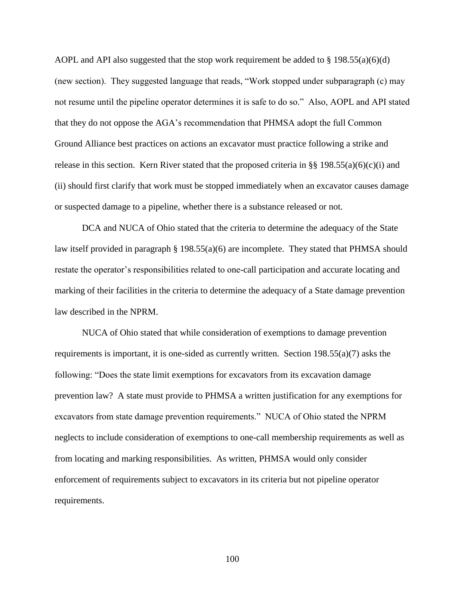AOPL and API also suggested that the stop work requirement be added to  $\S$  198.55(a)(6)(d) (new section). They suggested language that reads, "Work stopped under subparagraph (c) may not resume until the pipeline operator determines it is safe to do so." Also, AOPL and API stated that they do not oppose the AGA's recommendation that PHMSA adopt the full Common Ground Alliance best practices on actions an excavator must practice following a strike and release in this section. Kern River stated that the proposed criteria in §§ 198.55(a)(6)(c)(i) and (ii) should first clarify that work must be stopped immediately when an excavator causes damage or suspected damage to a pipeline, whether there is a substance released or not.

DCA and NUCA of Ohio stated that the criteria to determine the adequacy of the State law itself provided in paragraph § 198.55(a)(6) are incomplete. They stated that PHMSA should restate the operator's responsibilities related to one-call participation and accurate locating and marking of their facilities in the criteria to determine the adequacy of a State damage prevention law described in the NPRM.

NUCA of Ohio stated that while consideration of exemptions to damage prevention requirements is important, it is one-sided as currently written. Section 198.55(a)(7) asks the following: "Does the state limit exemptions for excavators from its excavation damage prevention law? A state must provide to PHMSA a written justification for any exemptions for excavators from state damage prevention requirements." NUCA of Ohio stated the NPRM neglects to include consideration of exemptions to one-call membership requirements as well as from locating and marking responsibilities. As written, PHMSA would only consider enforcement of requirements subject to excavators in its criteria but not pipeline operator requirements.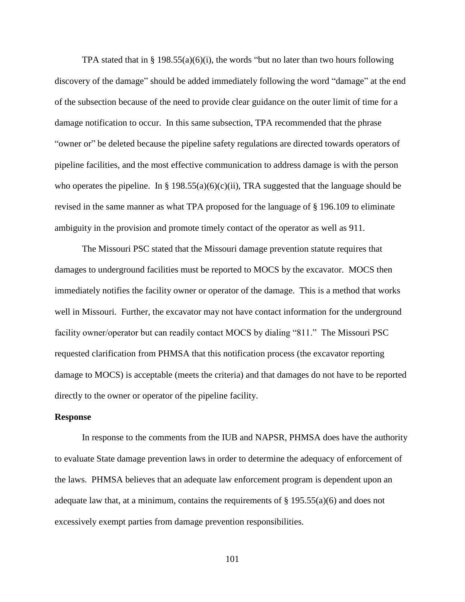TPA stated that in § 198.55(a)(6)(i), the words "but no later than two hours following discovery of the damage" should be added immediately following the word "damage" at the end of the subsection because of the need to provide clear guidance on the outer limit of time for a damage notification to occur. In this same subsection, TPA recommended that the phrase "owner or" be deleted because the pipeline safety regulations are directed towards operators of pipeline facilities, and the most effective communication to address damage is with the person who operates the pipeline. In § 198.55(a)(6)(c)(ii), TRA suggested that the language should be revised in the same manner as what TPA proposed for the language of § 196.109 to eliminate ambiguity in the provision and promote timely contact of the operator as well as 911.

The Missouri PSC stated that the Missouri damage prevention statute requires that damages to underground facilities must be reported to MOCS by the excavator. MOCS then immediately notifies the facility owner or operator of the damage. This is a method that works well in Missouri. Further, the excavator may not have contact information for the underground facility owner/operator but can readily contact MOCS by dialing "811." The Missouri PSC requested clarification from PHMSA that this notification process (the excavator reporting damage to MOCS) is acceptable (meets the criteria) and that damages do not have to be reported directly to the owner or operator of the pipeline facility.

#### **Response**

In response to the comments from the IUB and NAPSR, PHMSA does have the authority to evaluate State damage prevention laws in order to determine the adequacy of enforcement of the laws. PHMSA believes that an adequate law enforcement program is dependent upon an adequate law that, at a minimum, contains the requirements of  $\S$  195.55(a)(6) and does not excessively exempt parties from damage prevention responsibilities.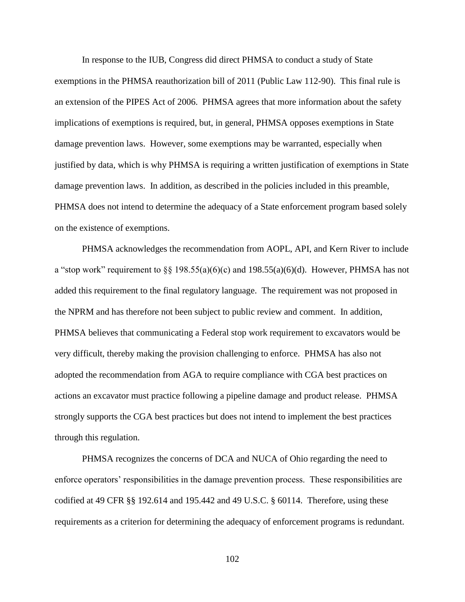In response to the IUB, Congress did direct PHMSA to conduct a study of State exemptions in the PHMSA reauthorization bill of 2011 (Public Law 112-90). This final rule is an extension of the PIPES Act of 2006. PHMSA agrees that more information about the safety implications of exemptions is required, but, in general, PHMSA opposes exemptions in State damage prevention laws. However, some exemptions may be warranted, especially when justified by data, which is why PHMSA is requiring a written justification of exemptions in State damage prevention laws. In addition, as described in the policies included in this preamble, PHMSA does not intend to determine the adequacy of a State enforcement program based solely on the existence of exemptions.

PHMSA acknowledges the recommendation from AOPL, API, and Kern River to include a "stop work" requirement to  $\S$ § 198.55(a)(6)(c) and 198.55(a)(6)(d). However, PHMSA has not added this requirement to the final regulatory language. The requirement was not proposed in the NPRM and has therefore not been subject to public review and comment. In addition, PHMSA believes that communicating a Federal stop work requirement to excavators would be very difficult, thereby making the provision challenging to enforce. PHMSA has also not adopted the recommendation from AGA to require compliance with CGA best practices on actions an excavator must practice following a pipeline damage and product release. PHMSA strongly supports the CGA best practices but does not intend to implement the best practices through this regulation.

PHMSA recognizes the concerns of DCA and NUCA of Ohio regarding the need to enforce operators' responsibilities in the damage prevention process. These responsibilities are codified at 49 CFR §§ 192.614 and 195.442 and 49 U.S.C. § 60114. Therefore, using these requirements as a criterion for determining the adequacy of enforcement programs is redundant.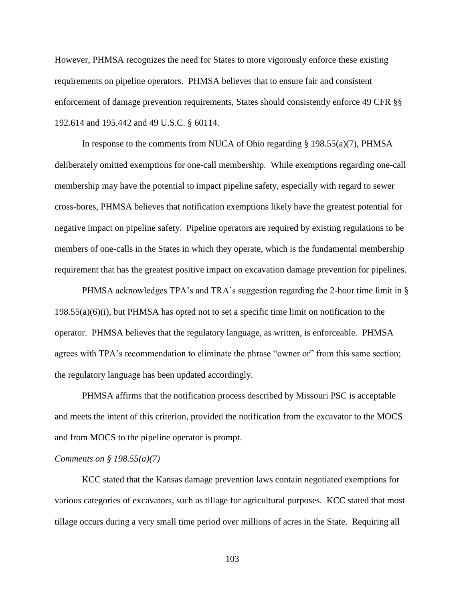However, PHMSA recognizes the need for States to more vigorously enforce these existing requirements on pipeline operators. PHMSA believes that to ensure fair and consistent enforcement of damage prevention requirements, States should consistently enforce 49 CFR §§ 192.614 and 195.442 and 49 U.S.C. § 60114.

In response to the comments from NUCA of Ohio regarding  $\S$  198.55(a)(7), PHMSA deliberately omitted exemptions for one-call membership. While exemptions regarding one-call membership may have the potential to impact pipeline safety, especially with regard to sewer cross-bores, PHMSA believes that notification exemptions likely have the greatest potential for negative impact on pipeline safety. Pipeline operators are required by existing regulations to be members of one-calls in the States in which they operate, which is the fundamental membership requirement that has the greatest positive impact on excavation damage prevention for pipelines.

PHMSA acknowledges TPA's and TRA's suggestion regarding the 2-hour time limit in § 198.55(a)(6)(i), but PHMSA has opted not to set a specific time limit on notification to the operator. PHMSA believes that the regulatory language, as written, is enforceable. PHMSA agrees with TPA's recommendation to eliminate the phrase "owner or" from this same section; the regulatory language has been updated accordingly.

PHMSA affirms that the notification process described by Missouri PSC is acceptable and meets the intent of this criterion, provided the notification from the excavator to the MOCS and from MOCS to the pipeline operator is prompt.

## *Comments on § 198.55(a)(7)*

KCC stated that the Kansas damage prevention laws contain negotiated exemptions for various categories of excavators, such as tillage for agricultural purposes. KCC stated that most tillage occurs during a very small time period over millions of acres in the State. Requiring all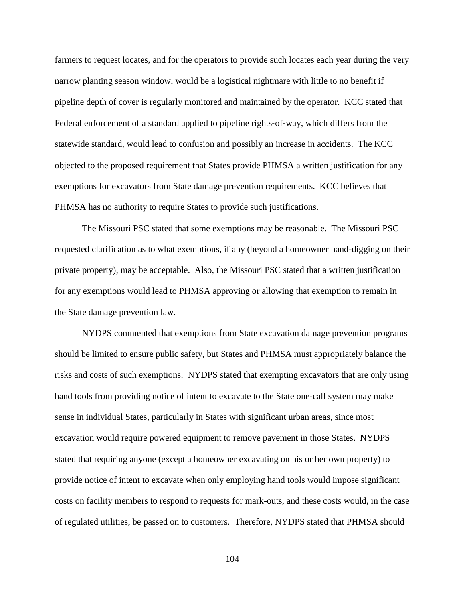farmers to request locates, and for the operators to provide such locates each year during the very narrow planting season window, would be a logistical nightmare with little to no benefit if pipeline depth of cover is regularly monitored and maintained by the operator. KCC stated that Federal enforcement of a standard applied to pipeline rights-of-way, which differs from the statewide standard, would lead to confusion and possibly an increase in accidents. The KCC objected to the proposed requirement that States provide PHMSA a written justification for any exemptions for excavators from State damage prevention requirements. KCC believes that PHMSA has no authority to require States to provide such justifications.

The Missouri PSC stated that some exemptions may be reasonable. The Missouri PSC requested clarification as to what exemptions, if any (beyond a homeowner hand-digging on their private property), may be acceptable. Also, the Missouri PSC stated that a written justification for any exemptions would lead to PHMSA approving or allowing that exemption to remain in the State damage prevention law.

NYDPS commented that exemptions from State excavation damage prevention programs should be limited to ensure public safety, but States and PHMSA must appropriately balance the risks and costs of such exemptions. NYDPS stated that exempting excavators that are only using hand tools from providing notice of intent to excavate to the State one-call system may make sense in individual States, particularly in States with significant urban areas, since most excavation would require powered equipment to remove pavement in those States. NYDPS stated that requiring anyone (except a homeowner excavating on his or her own property) to provide notice of intent to excavate when only employing hand tools would impose significant costs on facility members to respond to requests for mark-outs, and these costs would, in the case of regulated utilities, be passed on to customers. Therefore, NYDPS stated that PHMSA should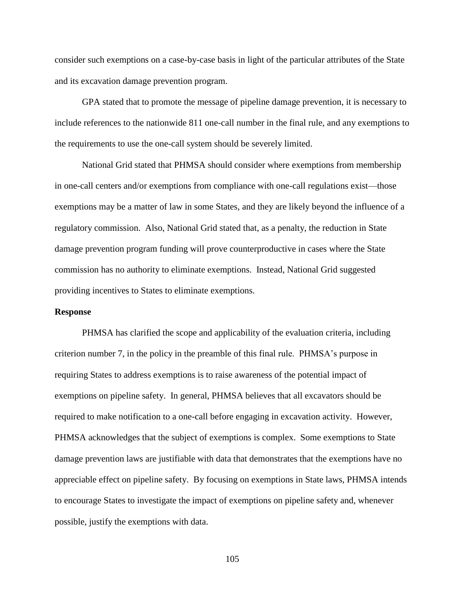consider such exemptions on a case-by-case basis in light of the particular attributes of the State and its excavation damage prevention program.

GPA stated that to promote the message of pipeline damage prevention, it is necessary to include references to the nationwide 811 one-call number in the final rule, and any exemptions to the requirements to use the one-call system should be severely limited.

National Grid stated that PHMSA should consider where exemptions from membership in one-call centers and/or exemptions from compliance with one-call regulations exist—those exemptions may be a matter of law in some States, and they are likely beyond the influence of a regulatory commission. Also, National Grid stated that, as a penalty, the reduction in State damage prevention program funding will prove counterproductive in cases where the State commission has no authority to eliminate exemptions. Instead, National Grid suggested providing incentives to States to eliminate exemptions.

## **Response**

PHMSA has clarified the scope and applicability of the evaluation criteria, including criterion number 7, in the policy in the preamble of this final rule. PHMSA's purpose in requiring States to address exemptions is to raise awareness of the potential impact of exemptions on pipeline safety. In general, PHMSA believes that all excavators should be required to make notification to a one-call before engaging in excavation activity. However, PHMSA acknowledges that the subject of exemptions is complex. Some exemptions to State damage prevention laws are justifiable with data that demonstrates that the exemptions have no appreciable effect on pipeline safety. By focusing on exemptions in State laws, PHMSA intends to encourage States to investigate the impact of exemptions on pipeline safety and, whenever possible, justify the exemptions with data.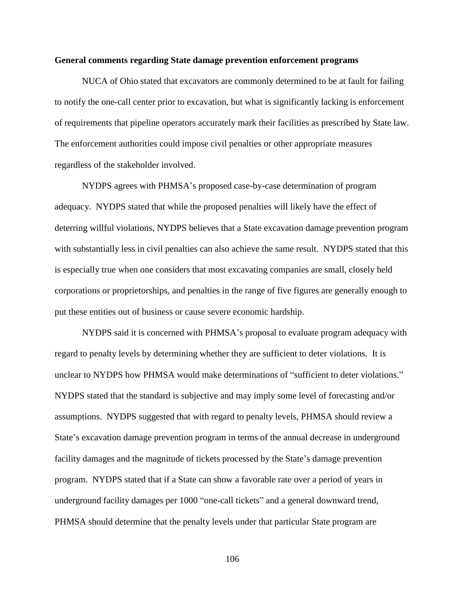### **General comments regarding State damage prevention enforcement programs**

NUCA of Ohio stated that excavators are commonly determined to be at fault for failing to notify the one-call center prior to excavation, but what is significantly lacking is enforcement of requirements that pipeline operators accurately mark their facilities as prescribed by State law. The enforcement authorities could impose civil penalties or other appropriate measures regardless of the stakeholder involved.

NYDPS agrees with PHMSA's proposed case-by-case determination of program adequacy. NYDPS stated that while the proposed penalties will likely have the effect of deterring willful violations, NYDPS believes that a State excavation damage prevention program with substantially less in civil penalties can also achieve the same result. NYDPS stated that this is especially true when one considers that most excavating companies are small, closely held corporations or proprietorships, and penalties in the range of five figures are generally enough to put these entities out of business or cause severe economic hardship.

NYDPS said it is concerned with PHMSA's proposal to evaluate program adequacy with regard to penalty levels by determining whether they are sufficient to deter violations. It is unclear to NYDPS how PHMSA would make determinations of "sufficient to deter violations." NYDPS stated that the standard is subjective and may imply some level of forecasting and/or assumptions. NYDPS suggested that with regard to penalty levels, PHMSA should review a State's excavation damage prevention program in terms of the annual decrease in underground facility damages and the magnitude of tickets processed by the State's damage prevention program. NYDPS stated that if a State can show a favorable rate over a period of years in underground facility damages per 1000 "one-call tickets" and a general downward trend, PHMSA should determine that the penalty levels under that particular State program are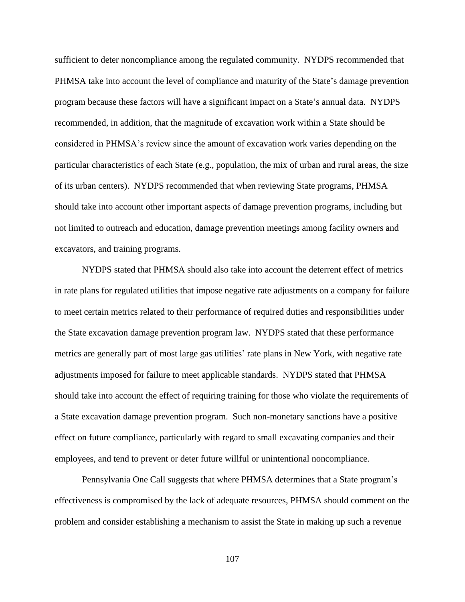sufficient to deter noncompliance among the regulated community. NYDPS recommended that PHMSA take into account the level of compliance and maturity of the State's damage prevention program because these factors will have a significant impact on a State's annual data. NYDPS recommended, in addition, that the magnitude of excavation work within a State should be considered in PHMSA's review since the amount of excavation work varies depending on the particular characteristics of each State (e.g., population, the mix of urban and rural areas, the size of its urban centers). NYDPS recommended that when reviewing State programs, PHMSA should take into account other important aspects of damage prevention programs, including but not limited to outreach and education, damage prevention meetings among facility owners and excavators, and training programs.

NYDPS stated that PHMSA should also take into account the deterrent effect of metrics in rate plans for regulated utilities that impose negative rate adjustments on a company for failure to meet certain metrics related to their performance of required duties and responsibilities under the State excavation damage prevention program law. NYDPS stated that these performance metrics are generally part of most large gas utilities' rate plans in New York, with negative rate adjustments imposed for failure to meet applicable standards. NYDPS stated that PHMSA should take into account the effect of requiring training for those who violate the requirements of a State excavation damage prevention program. Such non-monetary sanctions have a positive effect on future compliance, particularly with regard to small excavating companies and their employees, and tend to prevent or deter future willful or unintentional noncompliance.

Pennsylvania One Call suggests that where PHMSA determines that a State program's effectiveness is compromised by the lack of adequate resources, PHMSA should comment on the problem and consider establishing a mechanism to assist the State in making up such a revenue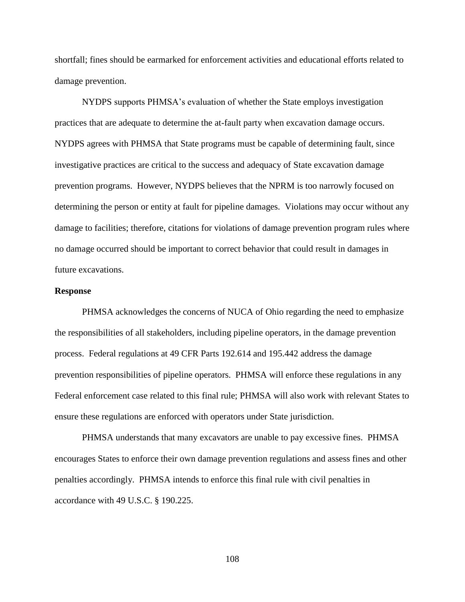shortfall; fines should be earmarked for enforcement activities and educational efforts related to damage prevention.

NYDPS supports PHMSA's evaluation of whether the State employs investigation practices that are adequate to determine the at-fault party when excavation damage occurs. NYDPS agrees with PHMSA that State programs must be capable of determining fault, since investigative practices are critical to the success and adequacy of State excavation damage prevention programs. However, NYDPS believes that the NPRM is too narrowly focused on determining the person or entity at fault for pipeline damages. Violations may occur without any damage to facilities; therefore, citations for violations of damage prevention program rules where no damage occurred should be important to correct behavior that could result in damages in future excavations.

#### **Response**

PHMSA acknowledges the concerns of NUCA of Ohio regarding the need to emphasize the responsibilities of all stakeholders, including pipeline operators, in the damage prevention process. Federal regulations at 49 CFR Parts 192.614 and 195.442 address the damage prevention responsibilities of pipeline operators. PHMSA will enforce these regulations in any Federal enforcement case related to this final rule; PHMSA will also work with relevant States to ensure these regulations are enforced with operators under State jurisdiction.

PHMSA understands that many excavators are unable to pay excessive fines. PHMSA encourages States to enforce their own damage prevention regulations and assess fines and other penalties accordingly. PHMSA intends to enforce this final rule with civil penalties in accordance with 49 U.S.C. § 190.225.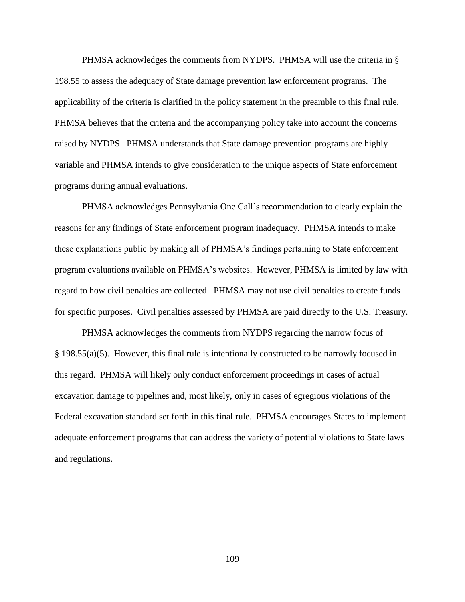PHMSA acknowledges the comments from NYDPS. PHMSA will use the criteria in § 198.55 to assess the adequacy of State damage prevention law enforcement programs. The applicability of the criteria is clarified in the policy statement in the preamble to this final rule. PHMSA believes that the criteria and the accompanying policy take into account the concerns raised by NYDPS. PHMSA understands that State damage prevention programs are highly variable and PHMSA intends to give consideration to the unique aspects of State enforcement programs during annual evaluations.

PHMSA acknowledges Pennsylvania One Call's recommendation to clearly explain the reasons for any findings of State enforcement program inadequacy. PHMSA intends to make these explanations public by making all of PHMSA's findings pertaining to State enforcement program evaluations available on PHMSA's websites. However, PHMSA is limited by law with regard to how civil penalties are collected. PHMSA may not use civil penalties to create funds for specific purposes. Civil penalties assessed by PHMSA are paid directly to the U.S. Treasury.

PHMSA acknowledges the comments from NYDPS regarding the narrow focus of § 198.55(a)(5). However, this final rule is intentionally constructed to be narrowly focused in this regard. PHMSA will likely only conduct enforcement proceedings in cases of actual excavation damage to pipelines and, most likely, only in cases of egregious violations of the Federal excavation standard set forth in this final rule. PHMSA encourages States to implement adequate enforcement programs that can address the variety of potential violations to State laws and regulations.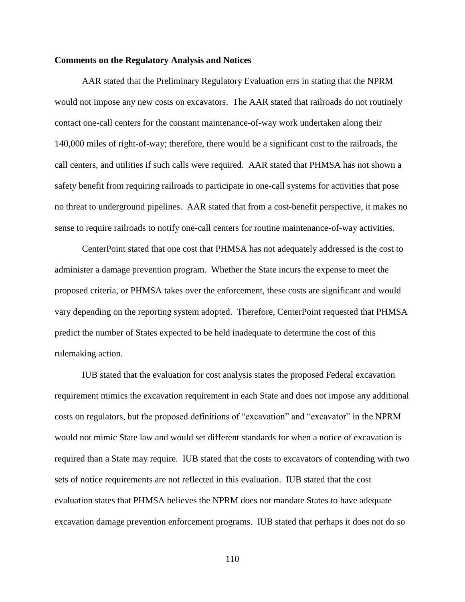#### **Comments on the Regulatory Analysis and Notices**

AAR stated that the Preliminary Regulatory Evaluation errs in stating that the NPRM would not impose any new costs on excavators. The AAR stated that railroads do not routinely contact one-call centers for the constant maintenance-of-way work undertaken along their 140,000 miles of right-of-way; therefore, there would be a significant cost to the railroads, the call centers, and utilities if such calls were required. AAR stated that PHMSA has not shown a safety benefit from requiring railroads to participate in one-call systems for activities that pose no threat to underground pipelines. AAR stated that from a cost-benefit perspective, it makes no sense to require railroads to notify one-call centers for routine maintenance-of-way activities.

CenterPoint stated that one cost that PHMSA has not adequately addressed is the cost to administer a damage prevention program. Whether the State incurs the expense to meet the proposed criteria, or PHMSA takes over the enforcement, these costs are significant and would vary depending on the reporting system adopted. Therefore, CenterPoint requested that PHMSA predict the number of States expected to be held inadequate to determine the cost of this rulemaking action.

IUB stated that the evaluation for cost analysis states the proposed Federal excavation requirement mimics the excavation requirement in each State and does not impose any additional costs on regulators, but the proposed definitions of "excavation" and "excavator" in the NPRM would not mimic State law and would set different standards for when a notice of excavation is required than a State may require. IUB stated that the costs to excavators of contending with two sets of notice requirements are not reflected in this evaluation. IUB stated that the cost evaluation states that PHMSA believes the NPRM does not mandate States to have adequate excavation damage prevention enforcement programs. IUB stated that perhaps it does not do so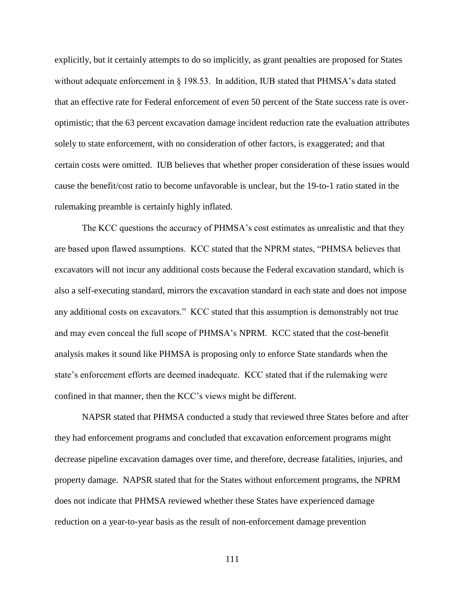explicitly, but it certainly attempts to do so implicitly, as grant penalties are proposed for States without adequate enforcement in § 198.53. In addition, IUB stated that PHMSA's data stated that an effective rate for Federal enforcement of even 50 percent of the State success rate is overoptimistic; that the 63 percent excavation damage incident reduction rate the evaluation attributes solely to state enforcement, with no consideration of other factors, is exaggerated; and that certain costs were omitted. IUB believes that whether proper consideration of these issues would cause the benefit/cost ratio to become unfavorable is unclear, but the 19-to-1 ratio stated in the rulemaking preamble is certainly highly inflated.

The KCC questions the accuracy of PHMSA's cost estimates as unrealistic and that they are based upon flawed assumptions. KCC stated that the NPRM states, "PHMSA believes that excavators will not incur any additional costs because the Federal excavation standard, which is also a self-executing standard, mirrors the excavation standard in each state and does not impose any additional costs on excavators." KCC stated that this assumption is demonstrably not true and may even conceal the full scope of PHMSA's NPRM. KCC stated that the cost-benefit analysis makes it sound like PHMSA is proposing only to enforce State standards when the state's enforcement efforts are deemed inadequate. KCC stated that if the rulemaking were confined in that manner, then the KCC's views might be different.

NAPSR stated that PHMSA conducted a study that reviewed three States before and after they had enforcement programs and concluded that excavation enforcement programs might decrease pipeline excavation damages over time, and therefore, decrease fatalities, injuries, and property damage. NAPSR stated that for the States without enforcement programs, the NPRM does not indicate that PHMSA reviewed whether these States have experienced damage reduction on a year-to-year basis as the result of non-enforcement damage prevention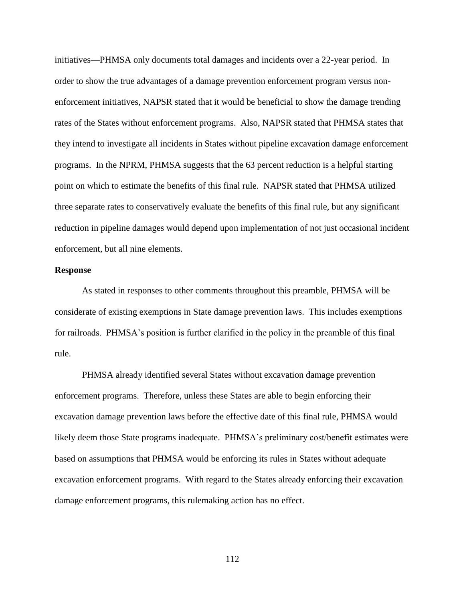initiatives—PHMSA only documents total damages and incidents over a 22-year period. In order to show the true advantages of a damage prevention enforcement program versus nonenforcement initiatives, NAPSR stated that it would be beneficial to show the damage trending rates of the States without enforcement programs. Also, NAPSR stated that PHMSA states that they intend to investigate all incidents in States without pipeline excavation damage enforcement programs. In the NPRM, PHMSA suggests that the 63 percent reduction is a helpful starting point on which to estimate the benefits of this final rule. NAPSR stated that PHMSA utilized three separate rates to conservatively evaluate the benefits of this final rule, but any significant reduction in pipeline damages would depend upon implementation of not just occasional incident enforcement, but all nine elements.

#### **Response**

As stated in responses to other comments throughout this preamble, PHMSA will be considerate of existing exemptions in State damage prevention laws. This includes exemptions for railroads. PHMSA's position is further clarified in the policy in the preamble of this final rule.

PHMSA already identified several States without excavation damage prevention enforcement programs. Therefore, unless these States are able to begin enforcing their excavation damage prevention laws before the effective date of this final rule, PHMSA would likely deem those State programs inadequate. PHMSA's preliminary cost/benefit estimates were based on assumptions that PHMSA would be enforcing its rules in States without adequate excavation enforcement programs. With regard to the States already enforcing their excavation damage enforcement programs, this rulemaking action has no effect.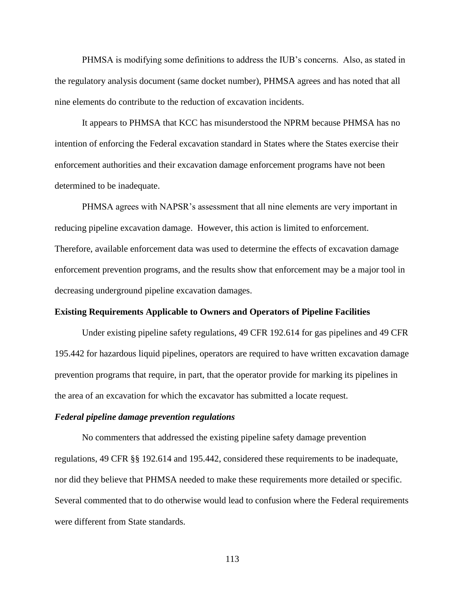PHMSA is modifying some definitions to address the IUB's concerns. Also, as stated in the regulatory analysis document (same docket number), PHMSA agrees and has noted that all nine elements do contribute to the reduction of excavation incidents.

It appears to PHMSA that KCC has misunderstood the NPRM because PHMSA has no intention of enforcing the Federal excavation standard in States where the States exercise their enforcement authorities and their excavation damage enforcement programs have not been determined to be inadequate.

PHMSA agrees with NAPSR's assessment that all nine elements are very important in reducing pipeline excavation damage. However, this action is limited to enforcement. Therefore, available enforcement data was used to determine the effects of excavation damage enforcement prevention programs, and the results show that enforcement may be a major tool in decreasing underground pipeline excavation damages.

## **Existing Requirements Applicable to Owners and Operators of Pipeline Facilities**

Under existing pipeline safety regulations, 49 CFR 192.614 for gas pipelines and 49 CFR 195.442 for hazardous liquid pipelines, operators are required to have written excavation damage prevention programs that require, in part, that the operator provide for marking its pipelines in the area of an excavation for which the excavator has submitted a locate request.

#### *Federal pipeline damage prevention regulations*

No commenters that addressed the existing pipeline safety damage prevention regulations, 49 CFR §§ 192.614 and 195.442, considered these requirements to be inadequate, nor did they believe that PHMSA needed to make these requirements more detailed or specific. Several commented that to do otherwise would lead to confusion where the Federal requirements were different from State standards.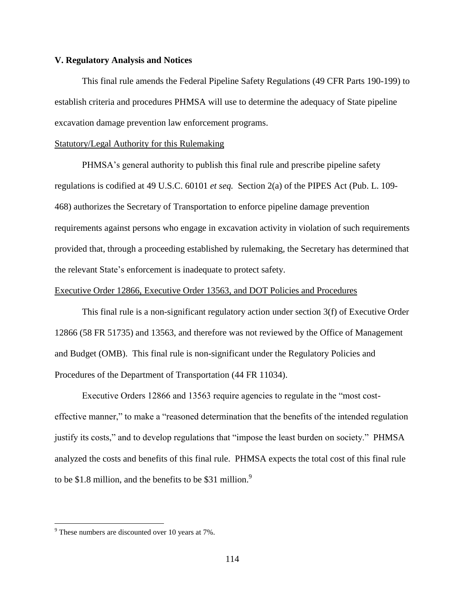## **V. Regulatory Analysis and Notices**

This final rule amends the Federal Pipeline Safety Regulations (49 CFR Parts 190-199) to establish criteria and procedures PHMSA will use to determine the adequacy of State pipeline excavation damage prevention law enforcement programs.

#### Statutory/Legal Authority for this Rulemaking

PHMSA's general authority to publish this final rule and prescribe pipeline safety regulations is codified at 49 U.S.C. 60101 *et seq.* Section 2(a) of the PIPES Act (Pub. L. 109- 468) authorizes the Secretary of Transportation to enforce pipeline damage prevention requirements against persons who engage in excavation activity in violation of such requirements provided that, through a proceeding established by rulemaking, the Secretary has determined that the relevant State's enforcement is inadequate to protect safety.

#### Executive Order 12866, Executive Order 13563, and DOT Policies and Procedures

This final rule is a non-significant regulatory action under section 3(f) of Executive Order 12866 (58 FR 51735) and 13563, and therefore was not reviewed by the Office of Management and Budget (OMB). This final rule is non-significant under the Regulatory Policies and Procedures of the Department of Transportation (44 FR 11034).

Executive Orders 12866 and 13563 require agencies to regulate in the "most costeffective manner," to make a "reasoned determination that the benefits of the intended regulation justify its costs," and to develop regulations that "impose the least burden on society." PHMSA analyzed the costs and benefits of this final rule. PHMSA expects the total cost of this final rule to be \$1.8 million, and the benefits to be \$31 million. $\degree$ 

 $\overline{a}$ 

 $9^9$  These numbers are discounted over 10 years at 7%.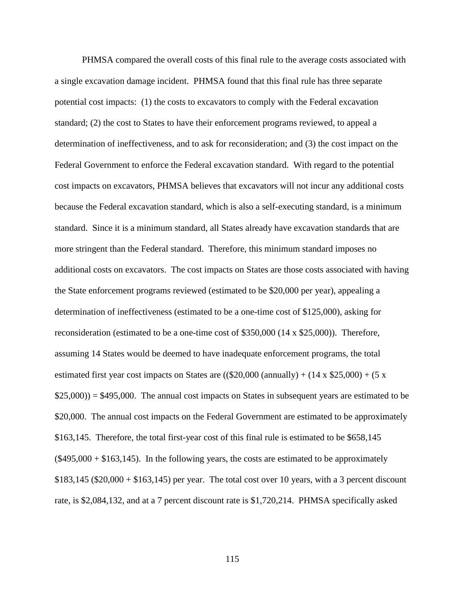PHMSA compared the overall costs of this final rule to the average costs associated with a single excavation damage incident. PHMSA found that this final rule has three separate potential cost impacts: (1) the costs to excavators to comply with the Federal excavation standard; (2) the cost to States to have their enforcement programs reviewed, to appeal a determination of ineffectiveness, and to ask for reconsideration; and (3) the cost impact on the Federal Government to enforce the Federal excavation standard. With regard to the potential cost impacts on excavators, PHMSA believes that excavators will not incur any additional costs because the Federal excavation standard, which is also a self-executing standard, is a minimum standard. Since it is a minimum standard, all States already have excavation standards that are more stringent than the Federal standard. Therefore, this minimum standard imposes no additional costs on excavators. The cost impacts on States are those costs associated with having the State enforcement programs reviewed (estimated to be \$20,000 per year), appealing a determination of ineffectiveness (estimated to be a one-time cost of \$125,000), asking for reconsideration (estimated to be a one-time cost of \$350,000 (14 x \$25,000)). Therefore, assuming 14 States would be deemed to have inadequate enforcement programs, the total estimated first year cost impacts on States are  $((\$20,000 \text{ (annually}) + (14 \text{ x } \$25,000) + (5 \text{ x})$  $$25,000$ ) =  $$495,000$ . The annual cost impacts on States in subsequent years are estimated to be \$20,000. The annual cost impacts on the Federal Government are estimated to be approximately \$163,145. Therefore, the total first-year cost of this final rule is estimated to be \$658,145  $(\$495,000 + \$163,145)$ . In the following years, the costs are estimated to be approximately  $$183,145 ($20,000 + $163,145)$  per year. The total cost over 10 years, with a 3 percent discount rate, is \$2,084,132, and at a 7 percent discount rate is \$1,720,214. PHMSA specifically asked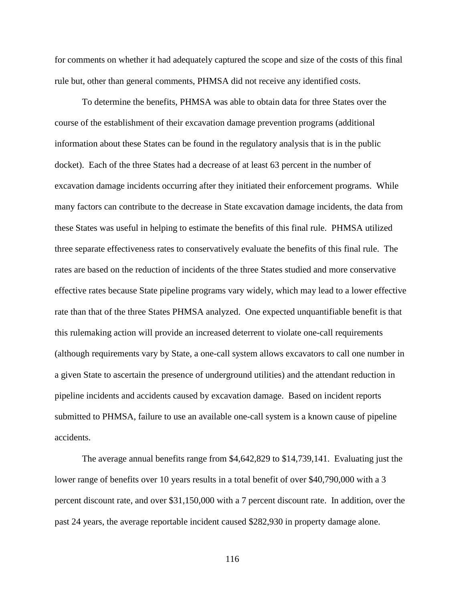for comments on whether it had adequately captured the scope and size of the costs of this final rule but, other than general comments, PHMSA did not receive any identified costs.

To determine the benefits, PHMSA was able to obtain data for three States over the course of the establishment of their excavation damage prevention programs (additional information about these States can be found in the regulatory analysis that is in the public docket). Each of the three States had a decrease of at least 63 percent in the number of excavation damage incidents occurring after they initiated their enforcement programs. While many factors can contribute to the decrease in State excavation damage incidents, the data from these States was useful in helping to estimate the benefits of this final rule. PHMSA utilized three separate effectiveness rates to conservatively evaluate the benefits of this final rule. The rates are based on the reduction of incidents of the three States studied and more conservative effective rates because State pipeline programs vary widely, which may lead to a lower effective rate than that of the three States PHMSA analyzed. One expected unquantifiable benefit is that this rulemaking action will provide an increased deterrent to violate one-call requirements (although requirements vary by State, a one-call system allows excavators to call one number in a given State to ascertain the presence of underground utilities) and the attendant reduction in pipeline incidents and accidents caused by excavation damage. Based on incident reports submitted to PHMSA, failure to use an available one-call system is a known cause of pipeline accidents.

The average annual benefits range from \$4,642,829 to \$14,739,141. Evaluating just the lower range of benefits over 10 years results in a total benefit of over \$40,790,000 with a 3 percent discount rate, and over \$31,150,000 with a 7 percent discount rate. In addition, over the past 24 years, the average reportable incident caused \$282,930 in property damage alone.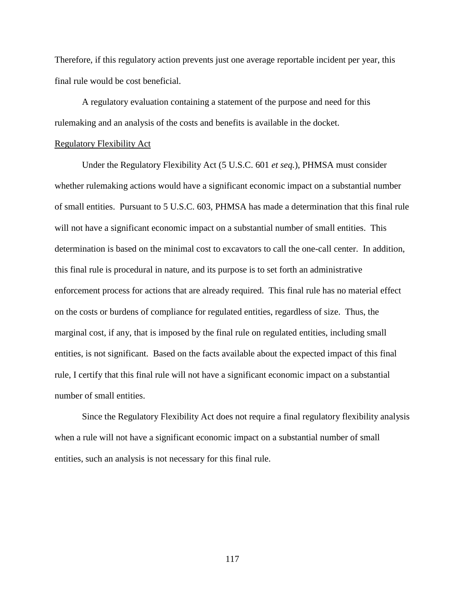Therefore, if this regulatory action prevents just one average reportable incident per year, this final rule would be cost beneficial.

A regulatory evaluation containing a statement of the purpose and need for this rulemaking and an analysis of the costs and benefits is available in the docket.

#### Regulatory Flexibility Act

Under the Regulatory Flexibility Act (5 U.S.C. 601 *et seq.*), PHMSA must consider whether rulemaking actions would have a significant economic impact on a substantial number of small entities. Pursuant to 5 U.S.C. 603, PHMSA has made a determination that this final rule will not have a significant economic impact on a substantial number of small entities. This determination is based on the minimal cost to excavators to call the one-call center. In addition, this final rule is procedural in nature, and its purpose is to set forth an administrative enforcement process for actions that are already required. This final rule has no material effect on the costs or burdens of compliance for regulated entities, regardless of size. Thus, the marginal cost, if any, that is imposed by the final rule on regulated entities, including small entities, is not significant. Based on the facts available about the expected impact of this final rule, I certify that this final rule will not have a significant economic impact on a substantial number of small entities.

Since the Regulatory Flexibility Act does not require a final regulatory flexibility analysis when a rule will not have a significant economic impact on a substantial number of small entities, such an analysis is not necessary for this final rule.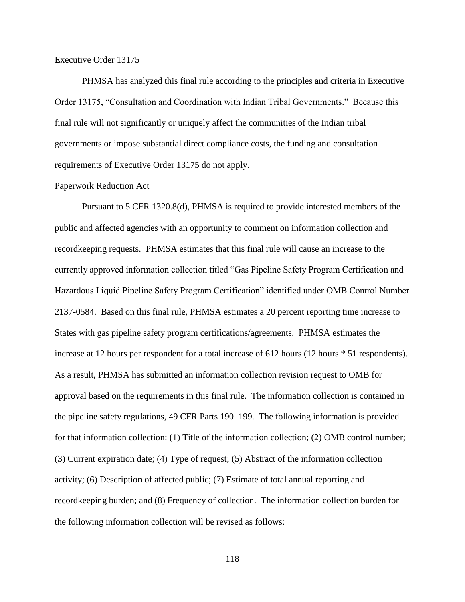#### Executive Order 13175

PHMSA has analyzed this final rule according to the principles and criteria in Executive Order 13175, "Consultation and Coordination with Indian Tribal Governments." Because this final rule will not significantly or uniquely affect the communities of the Indian tribal governments or impose substantial direct compliance costs, the funding and consultation requirements of Executive Order 13175 do not apply.

#### Paperwork Reduction Act

Pursuant to 5 CFR 1320.8(d), PHMSA is required to provide interested members of the public and affected agencies with an opportunity to comment on information collection and recordkeeping requests. PHMSA estimates that this final rule will cause an increase to the currently approved information collection titled "Gas Pipeline Safety Program Certification and Hazardous Liquid Pipeline Safety Program Certification" identified under OMB Control Number 2137-0584. Based on this final rule, PHMSA estimates a 20 percent reporting time increase to States with gas pipeline safety program certifications/agreements. PHMSA estimates the increase at 12 hours per respondent for a total increase of 612 hours (12 hours  $*$  51 respondents). As a result, PHMSA has submitted an information collection revision request to OMB for approval based on the requirements in this final rule. The information collection is contained in the pipeline safety regulations, 49 CFR Parts 190–199. The following information is provided for that information collection: (1) Title of the information collection; (2) OMB control number; (3) Current expiration date; (4) Type of request; (5) Abstract of the information collection activity; (6) Description of affected public; (7) Estimate of total annual reporting and recordkeeping burden; and (8) Frequency of collection. The information collection burden for the following information collection will be revised as follows: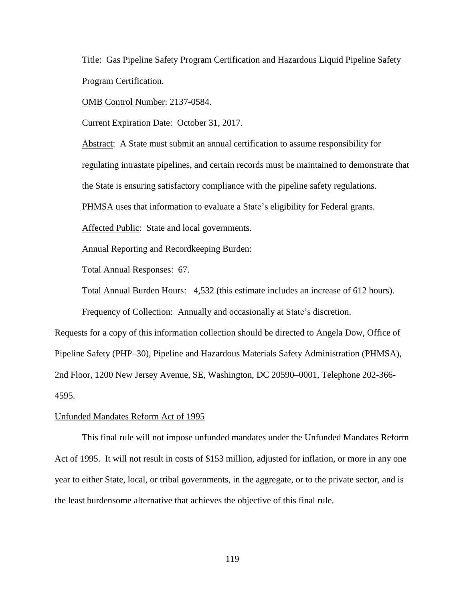Title: Gas Pipeline Safety Program Certification and Hazardous Liquid Pipeline Safety Program Certification.

OMB Control Number: 2137-0584.

Current Expiration Date: October 31, 2017.

Abstract: A State must submit an annual certification to assume responsibility for regulating intrastate pipelines, and certain records must be maintained to demonstrate that the State is ensuring satisfactory compliance with the pipeline safety regulations.

PHMSA uses that information to evaluate a State's eligibility for Federal grants.

Affected Public: State and local governments.

Annual Reporting and Recordkeeping Burden:

Total Annual Responses: 67.

Total Annual Burden Hours: 4,532 (this estimate includes an increase of 612 hours).

Frequency of Collection: Annually and occasionally at State's discretion.

Requests for a copy of this information collection should be directed to Angela Dow, Office of Pipeline Safety (PHP–30), Pipeline and Hazardous Materials Safety Administration (PHMSA), 2nd Floor, 1200 New Jersey Avenue, SE, Washington, DC 20590–0001, Telephone 202-366- 4595.

#### Unfunded Mandates Reform Act of 1995

This final rule will not impose unfunded mandates under the Unfunded Mandates Reform Act of 1995. It will not result in costs of \$153 million, adjusted for inflation, or more in any one year to either State, local, or tribal governments, in the aggregate, or to the private sector, and is the least burdensome alternative that achieves the objective of this final rule.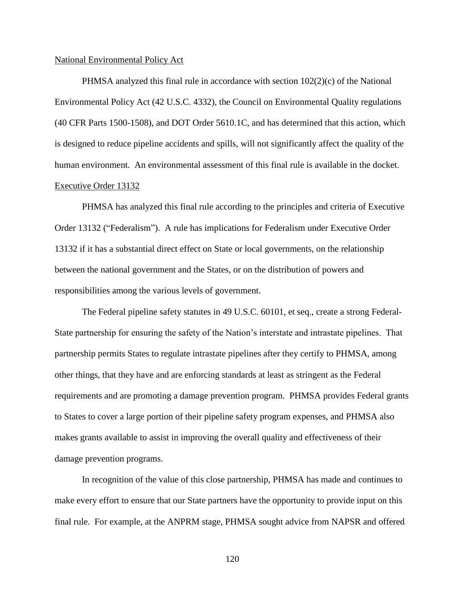#### National Environmental Policy Act

PHMSA analyzed this final rule in accordance with section 102(2)(c) of the National Environmental Policy Act (42 U.S.C. 4332), the Council on Environmental Quality regulations (40 CFR Parts 1500-1508), and DOT Order 5610.1C, and has determined that this action, which is designed to reduce pipeline accidents and spills, will not significantly affect the quality of the human environment. An environmental assessment of this final rule is available in the docket. Executive Order 13132

PHMSA has analyzed this final rule according to the principles and criteria of Executive Order 13132 ("Federalism"). A rule has implications for Federalism under Executive Order 13132 if it has a substantial direct effect on State or local governments, on the relationship between the national government and the States, or on the distribution of powers and responsibilities among the various levels of government.

The Federal pipeline safety statutes in 49 U.S.C. 60101, et seq., create a strong Federal-State partnership for ensuring the safety of the Nation's interstate and intrastate pipelines. That partnership permits States to regulate intrastate pipelines after they certify to PHMSA, among other things, that they have and are enforcing standards at least as stringent as the Federal requirements and are promoting a damage prevention program. PHMSA provides Federal grants to States to cover a large portion of their pipeline safety program expenses, and PHMSA also makes grants available to assist in improving the overall quality and effectiveness of their damage prevention programs.

In recognition of the value of this close partnership, PHMSA has made and continues to make every effort to ensure that our State partners have the opportunity to provide input on this final rule. For example, at the ANPRM stage, PHMSA sought advice from NAPSR and offered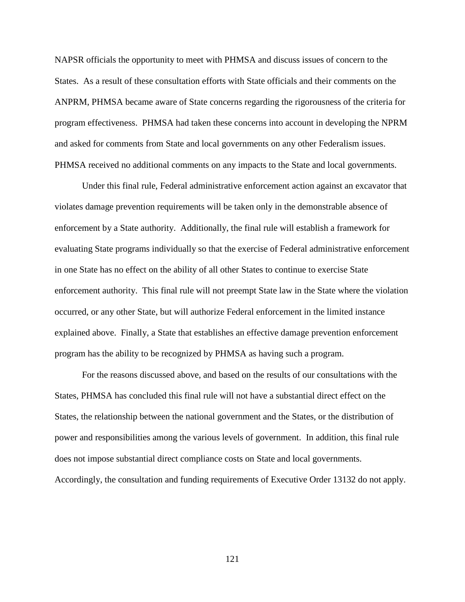NAPSR officials the opportunity to meet with PHMSA and discuss issues of concern to the States. As a result of these consultation efforts with State officials and their comments on the ANPRM, PHMSA became aware of State concerns regarding the rigorousness of the criteria for program effectiveness. PHMSA had taken these concerns into account in developing the NPRM and asked for comments from State and local governments on any other Federalism issues. PHMSA received no additional comments on any impacts to the State and local governments.

Under this final rule, Federal administrative enforcement action against an excavator that violates damage prevention requirements will be taken only in the demonstrable absence of enforcement by a State authority. Additionally, the final rule will establish a framework for evaluating State programs individually so that the exercise of Federal administrative enforcement in one State has no effect on the ability of all other States to continue to exercise State enforcement authority. This final rule will not preempt State law in the State where the violation occurred, or any other State, but will authorize Federal enforcement in the limited instance explained above. Finally, a State that establishes an effective damage prevention enforcement program has the ability to be recognized by PHMSA as having such a program.

For the reasons discussed above, and based on the results of our consultations with the States, PHMSA has concluded this final rule will not have a substantial direct effect on the States, the relationship between the national government and the States, or the distribution of power and responsibilities among the various levels of government. In addition, this final rule does not impose substantial direct compliance costs on State and local governments. Accordingly, the consultation and funding requirements of Executive Order 13132 do not apply.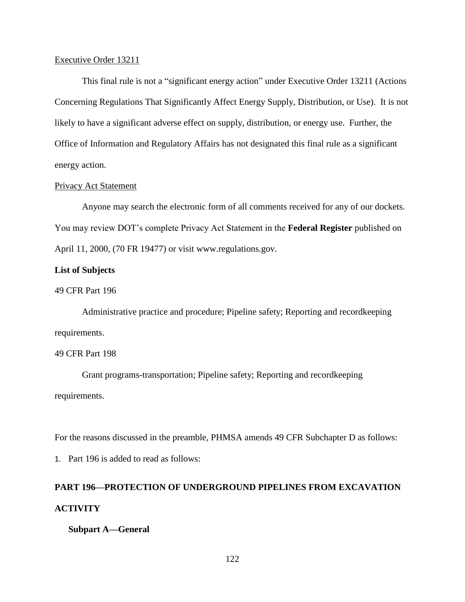#### Executive Order 13211

This final rule is not a "significant energy action" under Executive Order 13211 (Actions Concerning Regulations That Significantly Affect Energy Supply, Distribution, or Use). It is not likely to have a significant adverse effect on supply, distribution, or energy use. Further, the Office of Information and Regulatory Affairs has not designated this final rule as a significant energy action.

## Privacy Act Statement

Anyone may search the electronic form of all comments received for any of our dockets. You may review DOT's complete Privacy Act Statement in the **Federal Register** published on April 11, 2000, (70 FR 19477) or visit www.regulations.gov.

## **List of Subjects**

# 49 CFR Part 196

Administrative practice and procedure; Pipeline safety; Reporting and recordkeeping requirements.

#### 49 CFR Part 198

Grant programs-transportation; Pipeline safety; Reporting and recordkeeping requirements.

For the reasons discussed in the preamble, PHMSA amends 49 CFR Subchapter D as follows:

1. Part 196 is added to read as follows:

# **PART 196—PROTECTION OF UNDERGROUND PIPELINES FROM EXCAVATION ACTIVITY**

#### **Subpart A—General**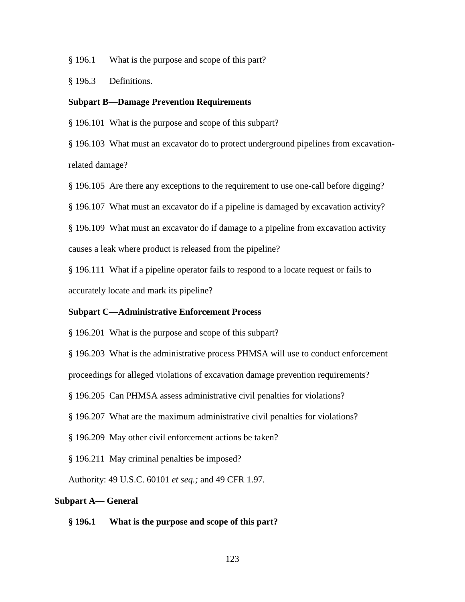§ 196.1 What is the purpose and scope of this part?

§ 196.3 Definitions.

# **Subpart B—Damage Prevention Requirements**

§ 196.101 What is the purpose and scope of this subpart?

§ 196.103 What must an excavator do to protect underground pipelines from excavationrelated damage?

§ 196.105 Are there any exceptions to the requirement to use one-call before digging?

§ 196.107 What must an excavator do if a pipeline is damaged by excavation activity?

§ 196.109 What must an excavator do if damage to a pipeline from excavation activity causes a leak where product is released from the pipeline?

§ 196.111 What if a pipeline operator fails to respond to a locate request or fails to accurately locate and mark its pipeline?

## **Subpart C—Administrative Enforcement Process**

§ 196.201 What is the purpose and scope of this subpart?

§ 196.203 What is the administrative process PHMSA will use to conduct enforcement

proceedings for alleged violations of excavation damage prevention requirements?

§ 196.205 Can PHMSA assess administrative civil penalties for violations?

§ 196.207 What are the maximum administrative civil penalties for violations?

§ 196.209 May other civil enforcement actions be taken?

§ 196.211 May criminal penalties be imposed?

Authority: 49 U.S.C. 60101 *et seq.;* and 49 CFR 1.97*.*

#### **Subpart A— General**

#### **§ 196.1 What is the purpose and scope of this part?**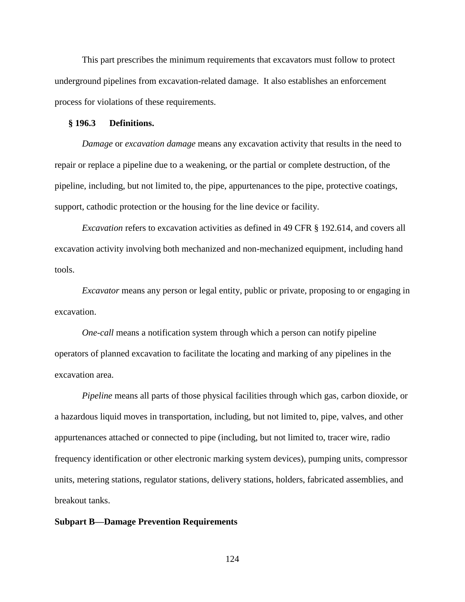This part prescribes the minimum requirements that excavators must follow to protect underground pipelines from excavation-related damage. It also establishes an enforcement process for violations of these requirements.

#### **§ 196.3 Definitions.**

*Damage* or *excavation damage* means any excavation activity that results in the need to repair or replace a pipeline due to a weakening, or the partial or complete destruction, of the pipeline, including, but not limited to, the pipe, appurtenances to the pipe, protective coatings, support, cathodic protection or the housing for the line device or facility.

*Excavation* refers to excavation activities as defined in 49 CFR § 192.614, and covers all excavation activity involving both mechanized and non-mechanized equipment, including hand tools.

*Excavator* means any person or legal entity, public or private, proposing to or engaging in excavation.

*One-call* means a notification system through which a person can notify pipeline operators of planned excavation to facilitate the locating and marking of any pipelines in the excavation area.

*Pipeline* means all parts of those physical facilities through which gas, carbon dioxide, or a hazardous liquid moves in transportation, including, but not limited to, pipe, valves, and other appurtenances attached or connected to pipe (including, but not limited to, tracer wire, radio frequency identification or other electronic marking system devices), pumping units, compressor units, metering stations, regulator stations, delivery stations, holders, fabricated assemblies, and breakout tanks.

#### **Subpart B—Damage Prevention Requirements**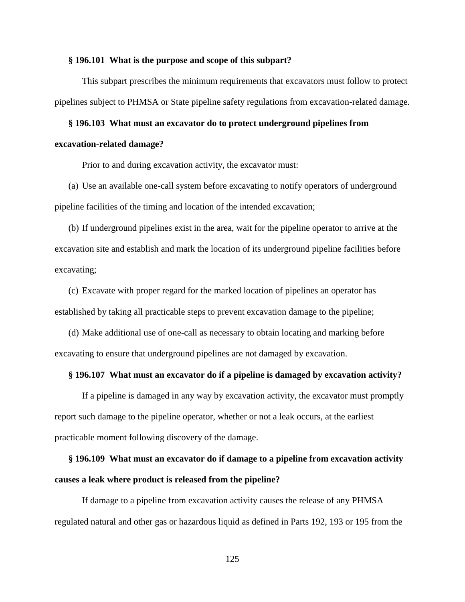#### **§ 196.101 What is the purpose and scope of this subpart?**

This subpart prescribes the minimum requirements that excavators must follow to protect pipelines subject to PHMSA or State pipeline safety regulations from excavation-related damage.

## **§ 196.103 What must an excavator do to protect underground pipelines from**

#### **excavation-related damage?**

Prior to and during excavation activity, the excavator must:

(a) Use an available one-call system before excavating to notify operators of underground pipeline facilities of the timing and location of the intended excavation;

(b) If underground pipelines exist in the area, wait for the pipeline operator to arrive at the excavation site and establish and mark the location of its underground pipeline facilities before excavating;

(c) Excavate with proper regard for the marked location of pipelines an operator has established by taking all practicable steps to prevent excavation damage to the pipeline;

(d) Make additional use of one-call as necessary to obtain locating and marking before excavating to ensure that underground pipelines are not damaged by excavation.

### **§ 196.107 What must an excavator do if a pipeline is damaged by excavation activity?**

If a pipeline is damaged in any way by excavation activity, the excavator must promptly report such damage to the pipeline operator, whether or not a leak occurs, at the earliest practicable moment following discovery of the damage.

# **§ 196.109 What must an excavator do if damage to a pipeline from excavation activity causes a leak where product is released from the pipeline?**

If damage to a pipeline from excavation activity causes the release of any PHMSA regulated natural and other gas or hazardous liquid as defined in Parts 192, 193 or 195 from the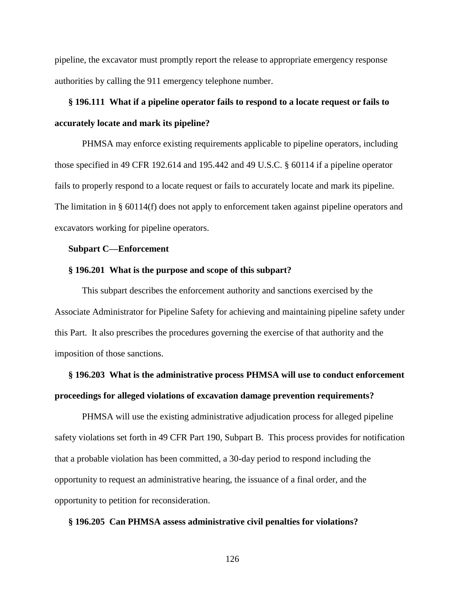pipeline, the excavator must promptly report the release to appropriate emergency response authorities by calling the 911 emergency telephone number.

# **§ 196.111 What if a pipeline operator fails to respond to a locate request or fails to accurately locate and mark its pipeline?**

PHMSA may enforce existing requirements applicable to pipeline operators, including those specified in 49 CFR 192.614 and 195.442 and 49 U.S.C. § 60114 if a pipeline operator fails to properly respond to a locate request or fails to accurately locate and mark its pipeline. The limitation in § 60114(f) does not apply to enforcement taken against pipeline operators and excavators working for pipeline operators.

# **Subpart C—Enforcement**

#### **§ 196.201 What is the purpose and scope of this subpart?**

This subpart describes the enforcement authority and sanctions exercised by the Associate Administrator for Pipeline Safety for achieving and maintaining pipeline safety under this Part. It also prescribes the procedures governing the exercise of that authority and the imposition of those sanctions.

# **§ 196.203 What is the administrative process PHMSA will use to conduct enforcement proceedings for alleged violations of excavation damage prevention requirements?**

PHMSA will use the existing administrative adjudication process for alleged pipeline safety violations set forth in 49 CFR Part 190, Subpart B. This process provides for notification that a probable violation has been committed, a 30-day period to respond including the opportunity to request an administrative hearing, the issuance of a final order, and the opportunity to petition for reconsideration.

#### **§ 196.205 Can PHMSA assess administrative civil penalties for violations?**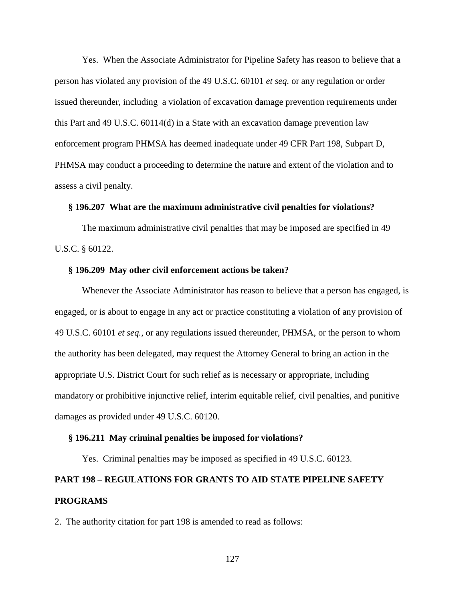Yes. When the Associate Administrator for Pipeline Safety has reason to believe that a person has violated any provision of the 49 U.S.C. 60101 *et seq.* or any regulation or order issued thereunder, including a violation of excavation damage prevention requirements under this Part and 49 U.S.C. 60114(d) in a State with an excavation damage prevention law enforcement program PHMSA has deemed inadequate under 49 CFR Part 198, Subpart D, PHMSA may conduct a proceeding to determine the nature and extent of the violation and to assess a civil penalty.

# **§ 196.207 What are the maximum administrative civil penalties for violations?**

The maximum administrative civil penalties that may be imposed are specified in 49 U.S.C. § 60122.

#### **§ 196.209 May other civil enforcement actions be taken?**

Whenever the Associate Administrator has reason to believe that a person has engaged, is engaged, or is about to engage in any act or practice constituting a violation of any provision of 49 U.S.C. 60101 *et seq.*, or any regulations issued thereunder, PHMSA, or the person to whom the authority has been delegated, may request the Attorney General to bring an action in the appropriate U.S. District Court for such relief as is necessary or appropriate, including mandatory or prohibitive injunctive relief, interim equitable relief, civil penalties, and punitive damages as provided under 49 U.S.C. 60120.

#### **§ 196.211 May criminal penalties be imposed for violations?**

Yes. Criminal penalties may be imposed as specified in 49 U.S.C. 60123.

# **PART 198 – REGULATIONS FOR GRANTS TO AID STATE PIPELINE SAFETY PROGRAMS**

2. The authority citation for part 198 is amended to read as follows: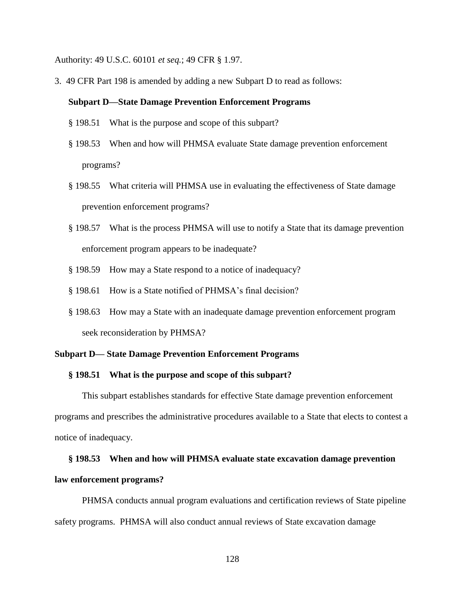Authority: 49 U.S.C. 60101 *et seq.*; 49 CFR § 1.97.

3. 49 CFR Part 198 is amended by adding a new Subpart D to read as follows:

#### **Subpart D—State Damage Prevention Enforcement Programs**

- § 198.51 What is the purpose and scope of this subpart?
- § 198.53 When and how will PHMSA evaluate State damage prevention enforcement programs?
- § 198.55 What criteria will PHMSA use in evaluating the effectiveness of State damage prevention enforcement programs?
- § 198.57 What is the process PHMSA will use to notify a State that its damage prevention enforcement program appears to be inadequate?
- § 198.59 How may a State respond to a notice of inadequacy?
- § 198.61 How is a State notified of PHMSA's final decision?
- § 198.63 How may a State with an inadequate damage prevention enforcement program seek reconsideration by PHMSA?

#### **Subpart D— State Damage Prevention Enforcement Programs**

### **§ 198.51 What is the purpose and scope of this subpart?**

This subpart establishes standards for effective State damage prevention enforcement programs and prescribes the administrative procedures available to a State that elects to contest a notice of inadequacy.

# **§ 198.53 When and how will PHMSA evaluate state excavation damage prevention**

# **law enforcement programs?**

PHMSA conducts annual program evaluations and certification reviews of State pipeline safety programs. PHMSA will also conduct annual reviews of State excavation damage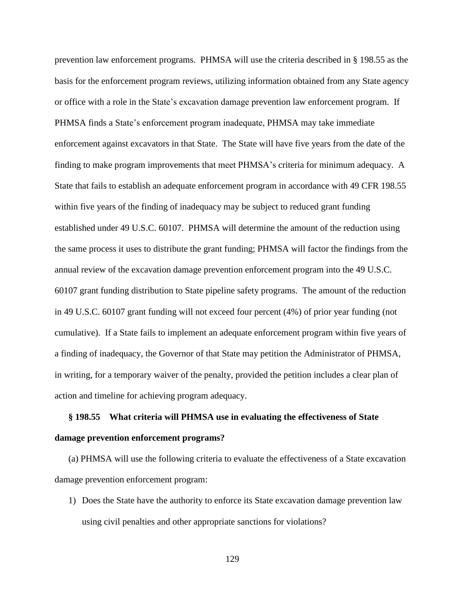prevention law enforcement programs. PHMSA will use the criteria described in § 198.55 as the basis for the enforcement program reviews, utilizing information obtained from any State agency or office with a role in the State's excavation damage prevention law enforcement program. If PHMSA finds a State's enforcement program inadequate, PHMSA may take immediate enforcement against excavators in that State. The State will have five years from the date of the finding to make program improvements that meet PHMSA's criteria for minimum adequacy. A State that fails to establish an adequate enforcement program in accordance with 49 CFR 198.55 within five years of the finding of inadequacy may be subject to reduced grant funding established under 49 U.S.C. 60107. PHMSA will determine the amount of the reduction using the same process it uses to distribute the grant funding; PHMSA will factor the findings from the annual review of the excavation damage prevention enforcement program into the 49 U.S.C. 60107 grant funding distribution to State pipeline safety programs. The amount of the reduction in 49 U.S.C. 60107 grant funding will not exceed four percent (4%) of prior year funding (not cumulative). If a State fails to implement an adequate enforcement program within five years of a finding of inadequacy, the Governor of that State may petition the Administrator of PHMSA, in writing, for a temporary waiver of the penalty, provided the petition includes a clear plan of action and timeline for achieving program adequacy.

# **§ 198.55 What criteria will PHMSA use in evaluating the effectiveness of State damage prevention enforcement programs?**

(a) PHMSA will use the following criteria to evaluate the effectiveness of a State excavation damage prevention enforcement program:

1) Does the State have the authority to enforce its State excavation damage prevention law using civil penalties and other appropriate sanctions for violations?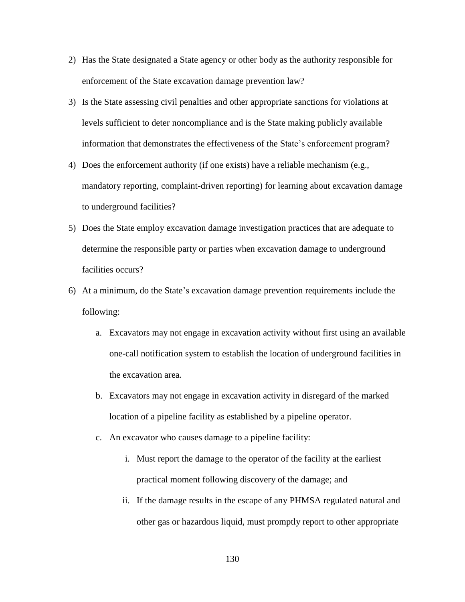- 2) Has the State designated a State agency or other body as the authority responsible for enforcement of the State excavation damage prevention law?
- 3) Is the State assessing civil penalties and other appropriate sanctions for violations at levels sufficient to deter noncompliance and is the State making publicly available information that demonstrates the effectiveness of the State's enforcement program?
- 4) Does the enforcement authority (if one exists) have a reliable mechanism (e.g., mandatory reporting, complaint-driven reporting) for learning about excavation damage to underground facilities?
- 5) Does the State employ excavation damage investigation practices that are adequate to determine the responsible party or parties when excavation damage to underground facilities occurs?
- 6) At a minimum, do the State's excavation damage prevention requirements include the following:
	- a. Excavators may not engage in excavation activity without first using an available one-call notification system to establish the location of underground facilities in the excavation area.
	- b. Excavators may not engage in excavation activity in disregard of the marked location of a pipeline facility as established by a pipeline operator.
	- c. An excavator who causes damage to a pipeline facility:
		- i. Must report the damage to the operator of the facility at the earliest practical moment following discovery of the damage; and
		- ii. If the damage results in the escape of any PHMSA regulated natural and other gas or hazardous liquid, must promptly report to other appropriate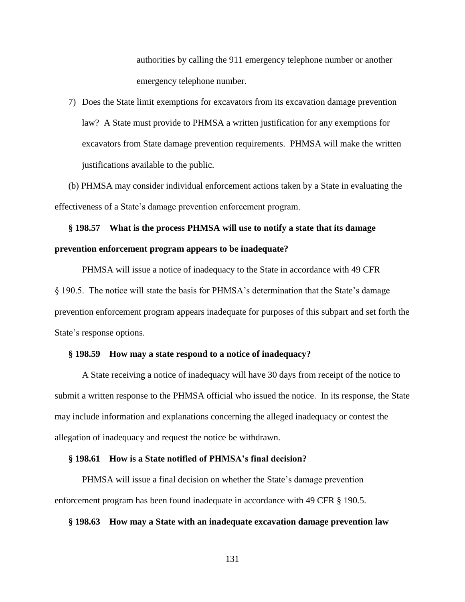authorities by calling the 911 emergency telephone number or another emergency telephone number.

7) Does the State limit exemptions for excavators from its excavation damage prevention law? A State must provide to PHMSA a written justification for any exemptions for excavators from State damage prevention requirements. PHMSA will make the written justifications available to the public.

(b) PHMSA may consider individual enforcement actions taken by a State in evaluating the effectiveness of a State's damage prevention enforcement program.

# **§ 198.57 What is the process PHMSA will use to notify a state that its damage prevention enforcement program appears to be inadequate?**

PHMSA will issue a notice of inadequacy to the State in accordance with 49 CFR § 190.5. The notice will state the basis for PHMSA's determination that the State's damage prevention enforcement program appears inadequate for purposes of this subpart and set forth the State's response options.

#### **§ 198.59 How may a state respond to a notice of inadequacy?**

A State receiving a notice of inadequacy will have 30 days from receipt of the notice to submit a written response to the PHMSA official who issued the notice. In its response, the State may include information and explanations concerning the alleged inadequacy or contest the allegation of inadequacy and request the notice be withdrawn.

# **§ 198.61 How is a State notified of PHMSA's final decision?**

PHMSA will issue a final decision on whether the State's damage prevention enforcement program has been found inadequate in accordance with 49 CFR § 190.5.

#### **§ 198.63 How may a State with an inadequate excavation damage prevention law**